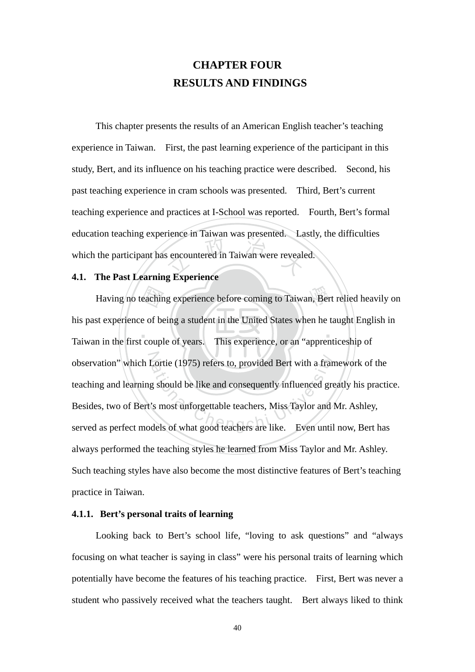# **CHAPTER FOUR RESULTS AND FINDINGS**

s encountered in Taiwan were revealed a Kynoriange This chapter presents the results of an American English teacher's teaching experience in Taiwan. First, the past learning experience of the participant in this study, Bert, and its influence on his teaching practice were described. Second, his past teaching experience in cram schools was presented. Third, Bert's current teaching experience and practices at I-School was reported. Fourth, Bert's formal education teaching experience in Taiwan was presented. Lastly, the difficulties which the participant has encountered in Taiwan were revealed.

# **4.1. The Past Learning Experience**

eachir<br>e of be<br>coupl Having no teaching experience before coming to Taiwan, Bert relied heavily on ‧ observation" which Lortie (1975) refers to, provided Bert with a framework of the teaching and learning should be like and consequently influenced greatly his practi<br>Besides, two of Bert's most unforgettable teachers, Miss his past experience of being a student in the United States when he taught English in Taiwan in the first couple of years. This experience, or an "apprenticeship of teaching and learning should be like and consequently influenced greatly his practice. Besides, two of Bert's most unforgettable teachers, Miss Taylor and Mr. Ashley, served as perfect models of what good teachers are like. Even until now, Bert has always performed the teaching styles he learned from Miss Taylor and Mr. Ashley. Such teaching styles have also become the most distinctive features of Bert's teaching practice in Taiwan.

### **4.1.1. Bert's personal traits of learning**

Looking back to Bert's school life, "loving to ask questions" and "always focusing on what teacher is saying in class" were his personal traits of learning which potentially have become the features of his teaching practice. First, Bert was never a student who passively received what the teachers taught. Bert always liked to think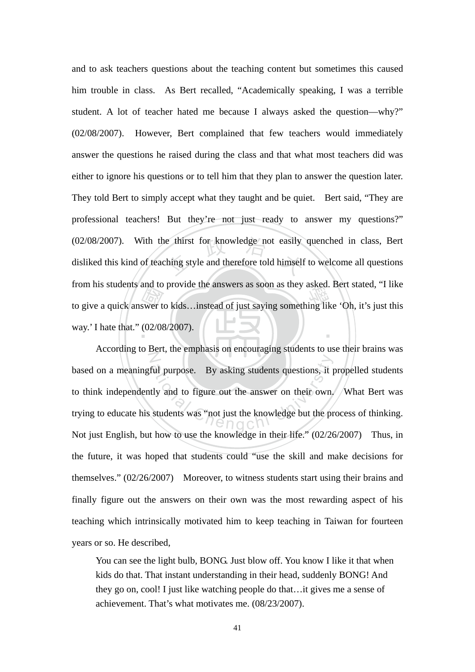From his students and to provide the answers as soon as they asked. Bert stated, This<br>to give a quick answer to kids…instead of just saying something like 'Oh, it's just this<br>way.' I hate that.'' (02/08/2007). (02/08/2007). With the thirst for knowledge not easily quenched in class, Bert disliked this kind of teaching style and therefore told himself to welcome all questions ‧ and to ask teachers questions about the teaching content but sometimes this caused him trouble in class. As Bert recalled, "Academically speaking, I was a terrible student. A lot of teacher hated me because I always asked the question—why?" (02/08/2007). However, Bert complained that few teachers would immediately answer the questions he raised during the class and that what most teachers did was either to ignore his questions or to tell him that they plan to answer the question later. They told Bert to simply accept what they taught and be quiet. Bert said, "They are professional teachers! But they're not just ready to answer my questions?" disliked this kind of teaching style and therefore told himself to welcome all questions from his students and to provide the answers as soon as they asked. Bert stated, "I like way.' I hate that." (02/08/2007).

Z ful purpose. By asking students questions, it purpose. By asking students questions, it purposes that the answer on their own, students was "pot just the knowledge but the processes" According to Bert, the emphasis on encouraging students to use their brains was based on a meaningful purpose. By asking students questions, it propelled students to think independently and to figure out the answer on their own. What Bert was trying to educate his students was "not just the knowledge but the process of thinking. Not just English, but how to use the knowledge in their life." (02/26/2007) Thus, in the future, it was hoped that students could "use the skill and make decisions for themselves." (02/26/2007) Moreover, to witness students start using their brains and finally figure out the answers on their own was the most rewarding aspect of his teaching which intrinsically motivated him to keep teaching in Taiwan for fourteen years or so. He described,

You can see the light bulb, BONG. Just blow off. You know I like it that when kids do that. That instant understanding in their head, suddenly BONG! And they go on, cool! I just like watching people do that…it gives me a sense of achievement. That's what motivates me. (08/23/2007).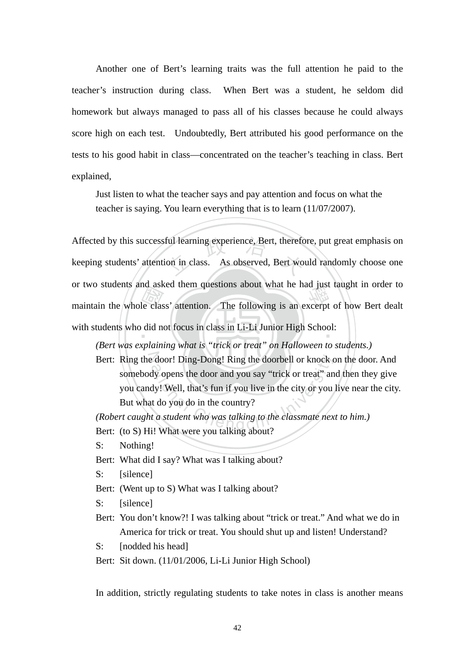Another one of Bert's learning traits was the full attention he paid to the teacher's instruction during class. When Bert was a student, he seldom did homework but always managed to pass all of his classes because he could always score high on each test. Undoubtedly, Bert attributed his good performance on the tests to his good habit in class—concentrated on the teacher's teaching in class. Bert explained,

Just listen to what the teacher says and pay attention and focus on what the teacher is saying. You learn everything that is to learn (11/07/2007).

maintain the whole class' attention. The following is an excerpt of how Bert dealt<br>with students who did not focus in class in Li-Li Junior High School:<br>(Bert was explaining what is "trick or treat" on Halloween to student Affected by this successful learning experience, Bert, therefore, put great emphasis on keeping students' attention in class. As observed, Bert would randomly choose one with students who did not focus in class in Li-Li Junior High School: keeping students' attention in class. As observed, Bert would randomly choose one or two students and asked them questions about what he had just taught in order to

*(Bert was explaining what is "trick or treat" on Halloween to students.)* 

Bert: Ring the door! Ding-Dong! Ring the doorbell or knock on the door. And ation Chengel Ring the doorbell or knock of the door.<br>All opens the door and you say "trick or treat" and dy! Well, that's fun if you live in the city or you<br>at do you do in the country?<br>At a student who was talking to the somebody opens the door and you say "trick or treat" and then they give you candy! Well, that's fun if you live in the city or you live near the city. But what do you do in the country?

*(Robert caught a student who was talking to the classmate next to him.)* 

- Bert: (to S) Hi! What were you talking about?
- S: Nothing!
- Bert: What did I say? What was I talking about?
- S: [silence]
- Bert: (Went up to S) What was I talking about?
- S: [silence]
- Bert: You don't know?! I was talking about "trick or treat." And what we do in America for trick or treat. You should shut up and listen! Understand?
- S: [nodded his head]
- Bert: Sit down. (11/01/2006, Li-Li Junior High School)

In addition, strictly regulating students to take notes in class is another means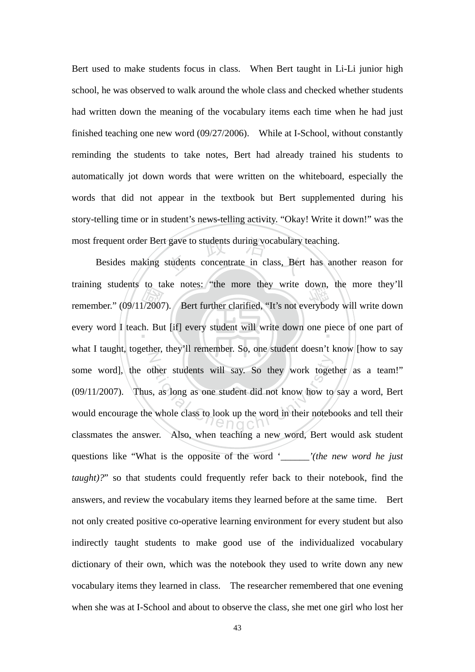Bert used to make students focus in class. When Bert taught in Li-Li junior high school, he was observed to walk around the whole class and checked whether students had written down the meaning of the vocabulary items each time when he had just finished teaching one new word (09/27/2006). While at I-School, without constantly reminding the students to take notes, Bert had already trained his students to automatically jot down words that were written on the whiteboard, especially the words that did not appear in the textbook but Bert supplemented during his story-telling time or in student's news-telling activity. "Okay! Write it down!" was the most frequent order Bert gave to students during vocabulary teaching.

remember." (09/11/2007). Bert further clarified, "It's not everybody will write down<br>every word I teach. But [if] every student will write down one piece of one part of gave to students during vocabulary<br>students concentrate in class, Bert every word I teach. But [if] every student will write down one piece of one part of N ther students will say. So they work toget<br>
s, as long as one student did not know how to<br>
whole class to look up the word in their noteber<br>  $\bigcap_{n=0}^{\infty}$ Besides making students concentrate in class, Bert has another reason for training students to take notes: "the more they write down, the more they'll what I taught, together, they'll remember. So, one student doesn't know [how to say some word], the other students will say. So they work together as a team!" (09/11/2007). Thus, as long as one student did not know how to say a word, Bert would encourage the whole class to look up the word in their notebooks and tell their classmates the answer. Also, when teaching a new word, Bert would ask student questions like "What is the opposite of the word '*\_\_\_\_\_\_'(the new word he just taught*)?" so that students could frequently refer back to their notebook, find the answers, and review the vocabulary items they learned before at the same time. Bert not only created positive co-operative learning environment for every student but also indirectly taught students to make good use of the individualized vocabulary dictionary of their own, which was the notebook they used to write down any new vocabulary items they learned in class. The researcher remembered that one evening when she was at I-School and about to observe the class, she met one girl who lost her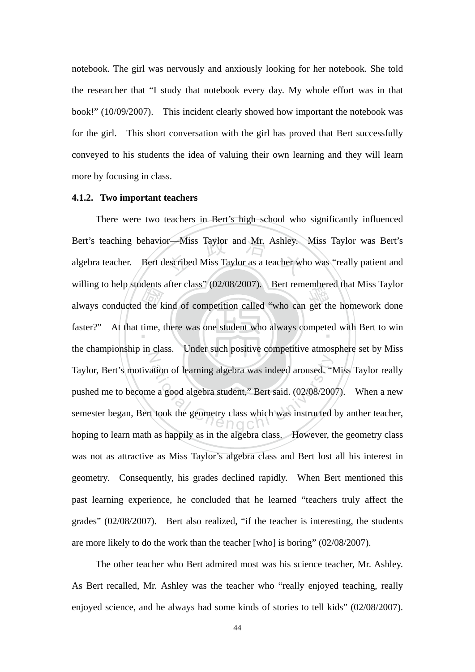notebook. The girl was nervously and anxiously looking for her notebook. She told the researcher that "I study that notebook every day. My whole effort was in that book!" (10/09/2007). This incident clearly showed how important the notebook was for the girl. This short conversation with the girl has proved that Bert successfully conveyed to his students the idea of valuing their own learning and they will learn more by focusing in class.

#### **4.1.2. Two important teachers**

always conducted the kind of competition called "who can get the homework done<br>faster?" At that time, there was one student who always competed with Bert to win Bert's teaching behavior—Miss Taylor and Mr. Ashley. Miss Taylor was Bert's algebra teacher. Bert described Miss Taylor as a teacher who was "really patient and faster?" At that time, there was one student who always competed with Bert to win N ation of learning algebra was indeed aroused. "I<br>e a good algebra student," Bert said. (02/08/200<br>t took the geometry class which was instructed There were two teachers in Bert's high school who significantly influenced algebra teacher. Bert described Miss Taylor as a teacher who was "really patient and willing to help students after class" (02/08/2007). Bert remembered that Miss Taylor the championship in class. Under such positive competitive atmosphere set by Miss Taylor, Bert's motivation of learning algebra was indeed aroused. "Miss Taylor really pushed me to become a good algebra student," Bert said. (02/08/2007). When a new semester began, Bert took the geometry class which was instructed by anther teacher, hoping to learn math as happily as in the algebra class. However, the geometry class was not as attractive as Miss Taylor's algebra class and Bert lost all his interest in geometry. Consequently, his grades declined rapidly. When Bert mentioned this past learning experience, he concluded that he learned "teachers truly affect the grades" (02/08/2007). Bert also realized, "if the teacher is interesting, the students are more likely to do the work than the teacher [who] is boring" (02/08/2007).

The other teacher who Bert admired most was his science teacher, Mr. Ashley. As Bert recalled, Mr. Ashley was the teacher who "really enjoyed teaching, really enjoyed science, and he always had some kinds of stories to tell kids" (02/08/2007).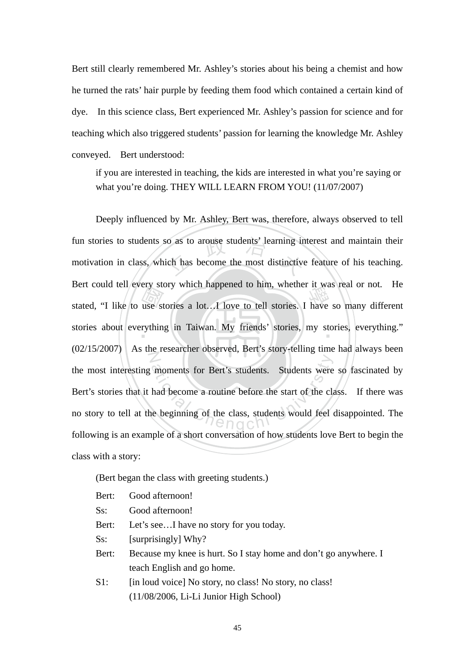Bert still clearly remembered Mr. Ashley's stories about his being a chemist and how he turned the rats' hair purple by feeding them food which contained a certain kind of dye. In this science class, Bert experienced Mr. Ashley's passion for science and for teaching which also triggered students' passion for learning the knowledge Mr. Ashley conveyed. Bert understood:

if you are interested in teaching, the kids are interested in what you're saying or what you're doing. THEY WILL LEARN FROM YOU! (11/07/2007)

Bert could ten every story which happened to him, whether it was tear of not. The<br>stated, "I like to use stories a lot...I love to tell stories. I have so many different<br>stories about everything in Taiwan. My friends' stor Figure 3.1 and 4.5 and 4.5 and 5.6 and 5.6 and 5.6 and 5.7 and 5.7 and 5.7 and 5.7 and 5.7 and 5.7 and 5.7 and 5.7 and 5.7 and 5.7 and 5.7 and 5.7 and 5.7 and 5.7 and 5.7 and 5.7 and 5.7 and 5.7 and 5.7 and 5.7 and 5.7 and stories about everything in Taiwan. My friends' stories, my stories, everything." N moments for Bert's students. Students were<br>had become a routine before the start of the cla<br>the beginning of the class, students would feel Deeply influenced by Mr. Ashley, Bert was, therefore, always observed to tell fun stories to students so as to arouse students' learning interest and maintain their motivation in class, which has become the most distinctive feature of his teaching. Bert could tell every story which happened to him, whether it was real or not. He (02/15/2007) As the researcher observed, Bert's story-telling time had always been the most interesting moments for Bert's students. Students were so fascinated by Bert's stories that it had become a routine before the start of the class. If there was no story to tell at the beginning of the class, students would feel disappointed. The following is an example of a short conversation of how students love Bert to begin the class with a story:

(Bert began the class with greeting students.)

- Bert: Good afternoon!
- Ss: Good afternoon!
- Bert: Let's see...I have no story for you today.
- Ss: [surprisingly] Why?
- Bert: Because my knee is hurt. So I stay home and don't go anywhere. I teach English and go home.
- S1: [in loud voice] No story, no class! No story, no class! (11/08/2006, Li-Li Junior High School)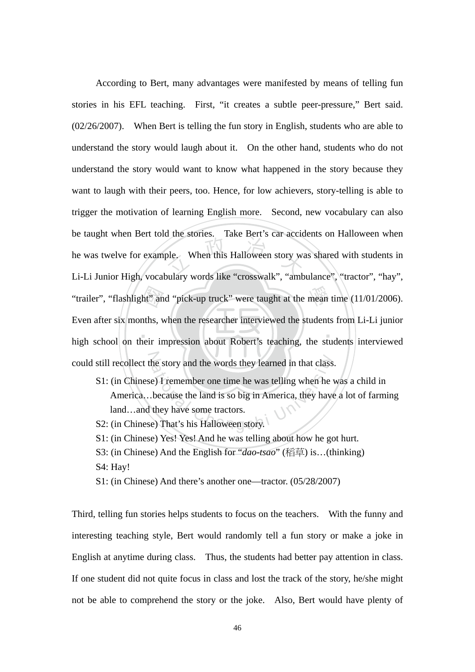$\blacksquare$ "trailer", "flashlight" and "pick-up truck" were taught at the mean time (11/01/2006).<br>Even after six months, when the researcher interviewed the students from Li-Li junior<br>high school on their impression about Robert's te ple. When this Halloween story was According to Bert, many advantages were manifested by means of telling fun stories in his EFL teaching. First, "it creates a subtle peer-pressure," Bert said. (02/26/2007). When Bert is telling the fun story in English, students who are able to understand the story would laugh about it. On the other hand, students who do not understand the story would want to know what happened in the story because they want to laugh with their peers, too. Hence, for low achievers, story-telling is able to trigger the motivation of learning English more. Second, new vocabulary can also be taught when Bert told the stories. Take Bert's car accidents on Halloween when he was twelve for example. When this Halloween story was shared with students in Li-Li Junior High, vocabulary words like "crosswalk", "ambulance", "tractor", "hay", Even after six months, when the researcher interviewed the students from Li-Li junior high school on their impression about Robert's teaching, the students interviewed

- could still recollect the story and the words they learned in that class.<br>S1: (in Chinese) I remember one time he was telling when he w<br>America...because the land is so big in America, they have<br>land...and they have some t S1: (in Chinese) I remember one time he was telling when he was a child in America…because the land is so big in America, they have a lot of farming land…and they have some tractors.
	- S2: (in Chinese) That's his Halloween story.
	- S1: (in Chinese) Yes! Yes! And he was telling about how he got hurt.
	- S3: (in Chinese) And the English for "*dao-tsao*" (稻草) is…(thinking) S4: Hay!
	- S1: (in Chinese) And there's another one—tractor. (05/28/2007)

Third, telling fun stories helps students to focus on the teachers. With the funny and interesting teaching style, Bert would randomly tell a fun story or make a joke in English at anytime during class. Thus, the students had better pay attention in class. If one student did not quite focus in class and lost the track of the story, he/she might not be able to comprehend the story or the joke. Also, Bert would have plenty of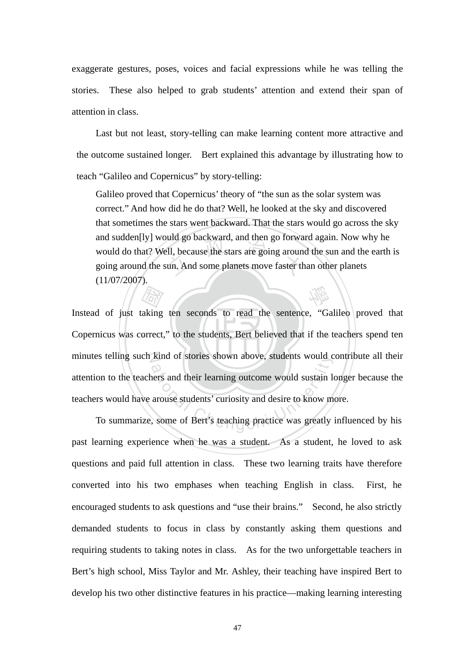exaggerate gestures, poses, voices and facial expressions while he was telling the stories. These also helped to grab students' attention and extend their span of attention in class.

Last but not least, story-telling can make learning content more attractive and the outcome sustained longer. Bert explained this advantage by illustrating how to teach "Galileo and Copernicus" by story-telling:

and sudden[Iy] would go backward, and then go forward again. Now w<br>would do that? Well, because the stars are going around the sun and the<br>going around the sun. And some planets move faster than other planets 學 Galileo proved that Copernicus' theory of "the sun as the solar system was correct." And how did he do that? Well, he looked at the sky and discovered that sometimes the stars went backward. That the stars would go across the sky and sudden[ly] would go backward, and then go forward again. Now why he would do that? Well, because the stars are going around the sun and the earth is (11/07/2007).

Copernicus was correct," to the students, Bert believed that if the teachers spend ten aking<br>aking<br>orrect. minutes telling such kind of stories shown above, students would contribute all their kind of stories shown above, students would conduct<br>above, students would sustain learning outcome would sustain learning outcome would sustain learning arouse students' curiosity and desire to know m<br>some of Bert's teachi Instead of just taking ten seconds to read the sentence, "Galileo proved that attention to the teachers and their learning outcome would sustain longer because the teachers would have arouse students' curiosity and desire to know more.

 To summarize, some of Bert's teaching practice was greatly influenced by his past learning experience when he was a student. As a student, he loved to ask questions and paid full attention in class. These two learning traits have therefore converted into his two emphases when teaching English in class. First, he encouraged students to ask questions and "use their brains." Second, he also strictly demanded students to focus in class by constantly asking them questions and requiring students to taking notes in class. As for the two unforgettable teachers in Bert's high school, Miss Taylor and Mr. Ashley, their teaching have inspired Bert to develop his two other distinctive features in his practice—making learning interesting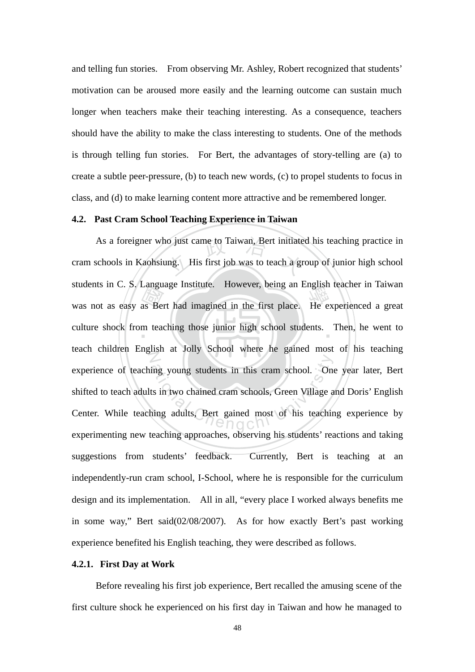and telling fun stories. From observing Mr. Ashley, Robert recognized that students' motivation can be aroused more easily and the learning outcome can sustain much longer when teachers make their teaching interesting. As a consequence, teachers should have the ability to make the class interesting to students. One of the methods is through telling fun stories. For Bert, the advantages of story-telling are (a) to create a subtle peer-pressure, (b) to teach new words, (c) to propel students to focus in class, and (d) to make learning content more attractive and be remembered longer.

### **4.2. Past Cram School Teaching Experience in Taiwan**

was not as easy as Bert had imagined in the first place. He experienced a great culture shock from teaching those junior high school students. Then, he went to As a foreigner who just came to Taiwan, Bert initiated his teaching practice in<br>schools in Kaohsiung. His first job was to teach a group of junior high school culture shock from teaching those junior high school students. Then, he went to Z ing young students in this cram school. One<br>ts in two chained cram schools, Green Village a<br>ning adults, Bert gained most of his teachin cram schools in Kaohsiung. His first job was to teach a group of junior high school students in C. S. Language Institute. However, being an English teacher in Taiwan teach children English at Jolly School where he gained most of his teaching experience of teaching young students in this cram school. One year later, Bert shifted to teach adults in two chained cram schools, Green Village and Doris' English Center. While teaching adults, Bert gained most of his teaching experience by experimenting new teaching approaches, observing his students' reactions and taking suggestions from students' feedback. Currently, Bert is teaching at an independently-run cram school, I-School, where he is responsible for the curriculum design and its implementation. All in all, "every place I worked always benefits me in some way," Bert said(02/08/2007). As for how exactly Bert's past working experience benefited his English teaching, they were described as follows.

#### **4.2.1. First Day at Work**

Before revealing his first job experience, Bert recalled the amusing scene of the first culture shock he experienced on his first day in Taiwan and how he managed to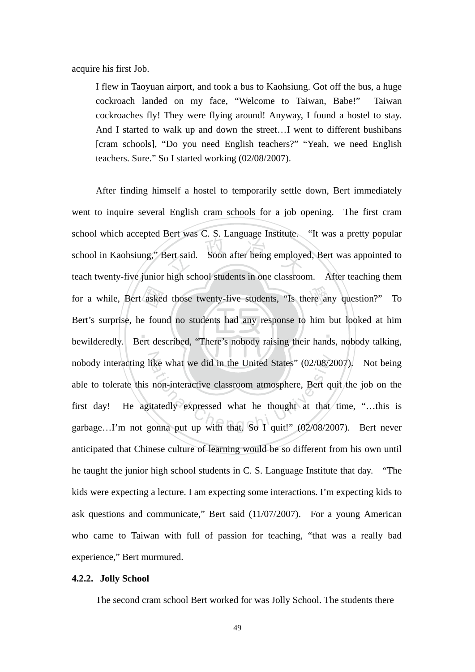acquire his first Job.

I flew in Taoyuan airport, and took a bus to Kaohsiung. Got off the bus, a huge cockroach landed on my face, "Welcome to Taiwan, Babe!" Taiwan cockroaches fly! They were flying around! Anyway, I found a hostel to stay. And I started to walk up and down the street…I went to different bushibans [cram schools], "Do you need English teachers?" "Yeah, we need English teachers. Sure." So I started working (02/08/2007).

 $\blacksquare$ askee<br>e four<br>ert des ert said. Soon after being employe for a while, Bert asked those twenty-five students, "Is there any question?" To nobody interacting like what we did in the United States" (02/08/2007). Not being<br>able to tolerate this non-interactive classroom atmosphere, Bert quit the job on the<br>first day! He agitatedly expressed what he thought at t After finding himself a hostel to temporarily settle down, Bert immediately went to inquire several English cram schools for a job opening. The first cram school which accepted Bert was C. S. Language Institute. "It was a pretty popular school in Kaohsiung," Bert said. Soon after being employed, Bert was appointed to teach twenty-five junior high school students in one classroom. After teaching them Bert's surprise, he found no students had any response to him but looked at him bewilderedly. Bert described, "There's nobody raising their hands, nobody talking, able to tolerate this non-interactive classroom atmosphere, Bert quit the job on the first day! He agitatedly expressed what he thought at that time, "…this is garbage…I'm not gonna put up with that. So I quit!" (02/08/2007). Bert never anticipated that Chinese culture of learning would be so different from his own until he taught the junior high school students in C. S. Language Institute that day. "The kids were expecting a lecture. I am expecting some interactions. I'm expecting kids to ask questions and communicate," Bert said (11/07/2007). For a young American who came to Taiwan with full of passion for teaching, "that was a really bad experience," Bert murmured.

#### **4.2.2. Jolly School**

The second cram school Bert worked for was Jolly School. The students there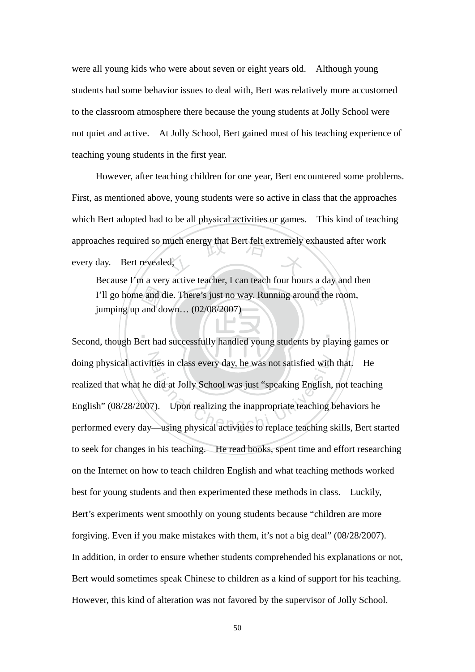were all young kids who were about seven or eight years old. Although young students had some behavior issues to deal with, Bert was relatively more accustomed to the classroom atmosphere there because the young students at Jolly School were not quiet and active. At Jolly School, Bert gained most of his teaching experience of teaching young students in the first year.

approaches required so much energy that Bert felt extremely exhausted after work<br>every day. Bert revealed, However, after teaching children for one year, Bert encountered some problems. First, as mentioned above, young students were so active in class that the approaches which Bert adopted had to be all physical activities or games. This kind of teaching every day. Bert revealed,

I'll go home and die. There's just no way. Running around the room,<br>
jumping up and down... (02/08/2007)<br>
d, though Bert had successfully handled young students by playing ga Because I'm a very active teacher, I can teach four hours a day and then jumping up and down… (02/08/2007)

 $\blacksquare$ doing physical activities in class every day, he was not satisfied with that. He<br>realized that what he did at Jolly School was just "speaking English, not teaching<br>English" (08/28/2007). Upon realizing the inappropriate te Second, though Bert had successfully handled young students by playing games or realized that what he did at Jolly School was just "speaking English, not teaching English" (08/28/2007). Upon realizing the inappropriate teaching behaviors he performed every day—using physical activities to replace teaching skills, Bert started to seek for changes in his teaching. He read books, spent time and effort researching on the Internet on how to teach children English and what teaching methods worked best for young students and then experimented these methods in class. Luckily, Bert's experiments went smoothly on young students because "children are more forgiving. Even if you make mistakes with them, it's not a big deal" (08/28/2007). In addition, in order to ensure whether students comprehended his explanations or not, Bert would sometimes speak Chinese to children as a kind of support for his teaching. However, this kind of alteration was not favored by the supervisor of Jolly School.

50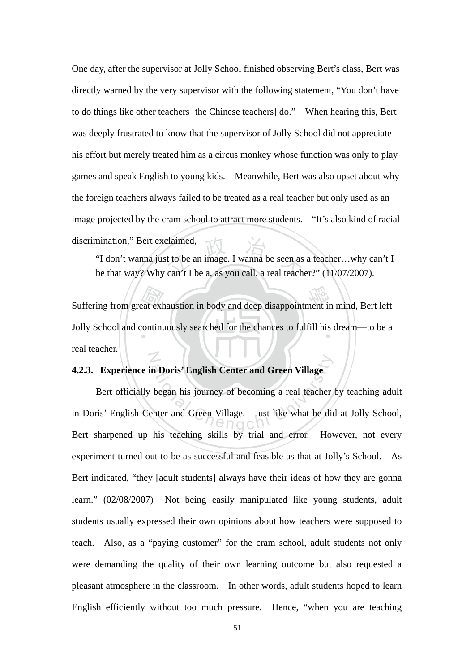One day, after the supervisor at Jolly School finished observing Bert's class, Bert was directly warned by the very supervisor with the following statement, "You don't have to do things like other teachers [the Chinese teachers] do." When hearing this, Bert was deeply frustrated to know that the supervisor of Jolly School did not appreciate his effort but merely treated him as a circus monkey whose function was only to play games and speak English to young kids. Meanwhile, Bert was also upset about why the foreign teachers always failed to be treated as a real teacher but only used as an image projected by the cram school to attract more students. "It's also kind of racial discrimination," Bert exclaimed,

claimed,<br>t to be an image. I wanna be seen as<br>can't I be a, as you call, a real teacher "I don't wanna just to be an image. I wanna be seen as a teacher…why can't I be that way? Why can't I be a, as you call, a real teacher?" (11/07/2007).

Suffering from great exhaustion in body and deep disappointment in mind, Bert left<br>Jolly School and continuously searched for the chances to fulfill his dream—to be a Jolly School and continuously searched for the chances to fulfill his dream—to be a N real teacher.

## **4.2.3. Experience in Doris' English Center and Green Village**

n Doris' English Center and Green Village<br>began his journey of becoming a real teacher<br>enter and Green Village. Just like what he did Bert officially began his journey of becoming a real teacher by teaching adult in Doris' English Center and Green Village. Just like what he did at Jolly School, Bert sharpened up his teaching skills by trial and error. However, not every experiment turned out to be as successful and feasible as that at Jolly's School. As Bert indicated, "they [adult students] always have their ideas of how they are gonna learn." (02/08/2007) Not being easily manipulated like young students, adult students usually expressed their own opinions about how teachers were supposed to teach. Also, as a "paying customer" for the cram school, adult students not only were demanding the quality of their own learning outcome but also requested a pleasant atmosphere in the classroom. In other words, adult students hoped to learn English efficiently without too much pressure. Hence, "when you are teaching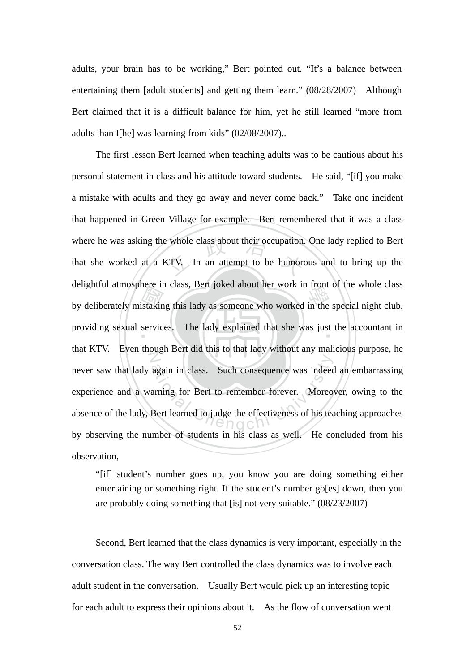adults, your brain has to be working," Bert pointed out. "It's a balance between entertaining them [adult students] and getting them learn." (08/28/2007) Although Bert claimed that it is a difficult balance for him, yet he still learned "more from adults than I[he] was learning from kids" (02/08/2007)..

by deliberately mistaking this lady as someone who worked in the special night club,<br>providing sexual services. The lady explained that she was just the accountant in whole class about their occupation.<br>
XTV. In an attempt to be humore providing sexual services. The lady explained that she was just the accountant in Z again in class. Such consequence was indeed<br>arning for Bert to remember forever. Moreo The first lesson Bert learned when teaching adults was to be cautious about his personal statement in class and his attitude toward students. He said, "[if] you make a mistake with adults and they go away and never come back." Take one incident that happened in Green Village for example. Bert remembered that it was a class where he was asking the whole class about their occupation. One lady replied to Bert that she worked at a KTV. In an attempt to be humorous and to bring up the delightful atmosphere in class, Bert joked about her work in front of the whole class that KTV. Even though Bert did this to that lady without any malicious purpose, he never saw that lady again in class. Such consequence was indeed an embarrassing experience and a warning for Bert to remember forever. Moreover, owing to the absence of the lady, Bert learned to judge the effectiveness of his teaching approaches by observing the number of students in his class as well. He concluded from his observation,

"[if] student's number goes up, you know you are doing something either entertaining or something right. If the student's number go[es] down, then you are probably doing something that [is] not very suitable." (08/23/2007)

 Second, Bert learned that the class dynamics is very important, especially in the conversation class. The way Bert controlled the class dynamics was to involve each adult student in the conversation. Usually Bert would pick up an interesting topic for each adult to express their opinions about it. As the flow of conversation went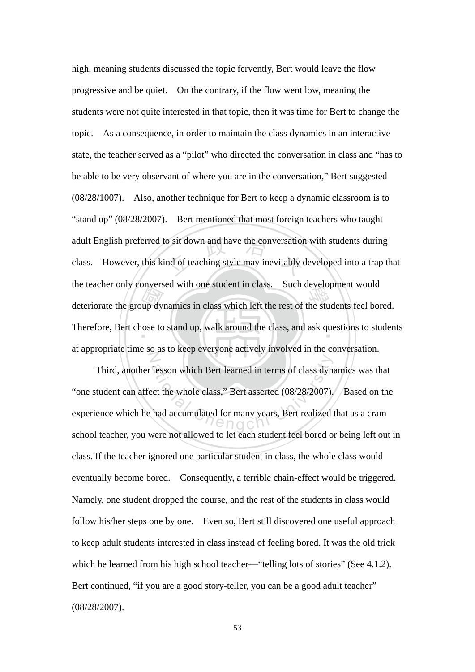bivers<br>up dy<br>cose to o sit down and have the conversation<br>nd of teaching style may inevitably of deteriorate the group dynamics in class which left the rest of the students feel bored. Therefore, Bert chose to stand up, walk around the class, and ask questions to students N high, meaning students discussed the topic fervently, Bert would leave the flow progressive and be quiet. On the contrary, if the flow went low, meaning the students were not quite interested in that topic, then it was time for Bert to change the topic. As a consequence, in order to maintain the class dynamics in an interactive state, the teacher served as a "pilot" who directed the conversation in class and "has to be able to be very observant of where you are in the conversation," Bert suggested (08/28/1007). Also, another technique for Bert to keep a dynamic classroom is to "stand up" (08/28/2007). Bert mentioned that most foreign teachers who taught adult English preferred to sit down and have the conversation with students during class. However, this kind of teaching style may inevitably developed into a trap that the teacher only conversed with one student in class. Such development would at appropriate time so as to keep everyone actively involved in the conversation.

Tesson which Bert learned in terms of class dyna<br>
ect the whole class," Bert asserted (08/28/2007).<br>
had accumulated for many years, Bert realized Third, another lesson which Bert learned in terms of class dynamics was that "one student can affect the whole class," Bert asserted (08/28/2007). Based on the experience which he had accumulated for many years, Bert realized that as a cram school teacher, you were not allowed to let each student feel bored or being left out in class. If the teacher ignored one particular student in class, the whole class would eventually become bored. Consequently, a terrible chain-effect would be triggered. Namely, one student dropped the course, and the rest of the students in class would follow his/her steps one by one. Even so, Bert still discovered one useful approach to keep adult students interested in class instead of feeling bored. It was the old trick which he learned from his high school teacher—"telling lots of stories" (See 4.1.2). Bert continued, "if you are a good story-teller, you can be a good adult teacher" (08/28/2007).

53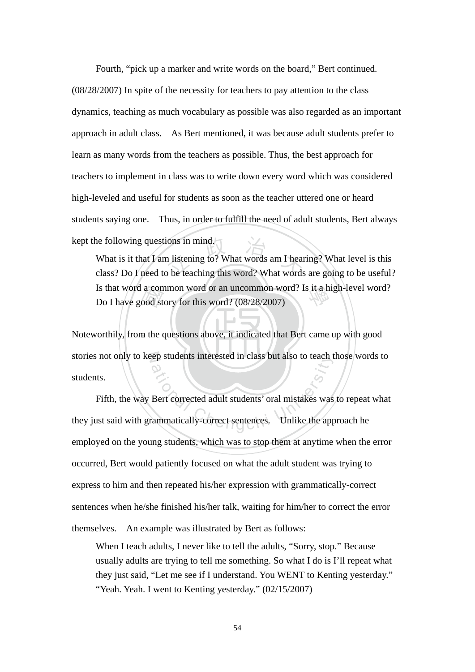Fourth, "pick up a marker and write words on the board," Bert continued. (08/28/2007) In spite of the necessity for teachers to pay attention to the class dynamics, teaching as much vocabulary as possible was also regarded as an important approach in adult class. As Bert mentioned, it was because adult students prefer to learn as many words from the teachers as possible. Thus, the best approach for teachers to implement in class was to write down every word which was considered high-leveled and useful for students as soon as the teacher uttered one or heard students saying one. Thus, in order to fulfill the need of adult students, Bert always kept the following questions in mind.

a con<br>ood st<br>m the o ions in mind.<br>In listening to? What words am I hear<br>abo be teaching this word? What words Is that word a common word or an uncommon word? Is it a high-level word?<br>Do I have good story for this word? (08/28/2007) What is it that I am listening to? What words am I hearing? What level is this class? Do I need to be teaching this word? What words are going to be useful? Do I have good story for this word? (08/28/2007)

Noteworthily, from the questions above, it indicated that Bert came up with good stories not only to keep students interested in class but also to teach those words to students.

rep students interested in class but also to teach the students interested adult students' oral mistakes was<br>ammatically-correct sentences. Unlike the app Fifth, the way Bert corrected adult students' oral mistakes was to repeat what they just said with grammatically-correct sentences. Unlike the approach he employed on the young students, which was to stop them at anytime when the error occurred, Bert would patiently focused on what the adult student was trying to express to him and then repeated his/her expression with grammatically-correct sentences when he/she finished his/her talk, waiting for him/her to correct the error themselves. An example was illustrated by Bert as follows:

When I teach adults, I never like to tell the adults, "Sorry, stop." Because usually adults are trying to tell me something. So what I do is I'll repeat what they just said, "Let me see if I understand. You WENT to Kenting yesterday." "Yeah. Yeah. I went to Kenting yesterday." (02/15/2007)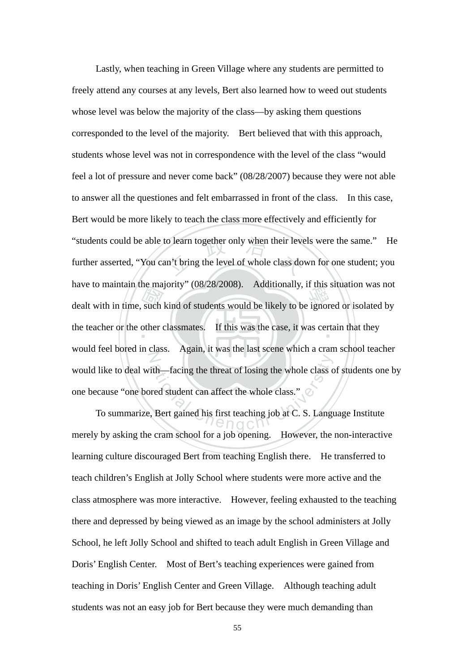dealt with in time, such kind of students would be likely to be ignored or isolated by the teacher or the other classmates. If this was the case, it was certain that they "students could be able to learn together only when their levels were the same." He<br>further asserted, "You can't bring the level of whole class down for one student; you the teacher or the other classmates. If this was the case, it was certain that they N ith—facing the threat of losing the whole class c<br>red student can affect the whole class."<br>Bert gained his first teaching job at C. S. Langu Lastly, when teaching in Green Village where any students are permitted to freely attend any courses at any levels, Bert also learned how to weed out students whose level was below the majority of the class—by asking them questions corresponded to the level of the majority. Bert believed that with this approach, students whose level was not in correspondence with the level of the class "would feel a lot of pressure and never come back" (08/28/2007) because they were not able to answer all the questiones and felt embarrassed in front of the class. In this case, Bert would be more likely to teach the class more effectively and efficiently for further asserted, "You can't bring the level of whole class down for one student; you have to maintain the majority" (08/28/2008). Additionally, if this situation was not would feel bored in class. Again, it was the last scene which a cram school teacher would like to deal with—facing the threat of losing the whole class of students one by one because "one bored student can affect the whole class."

To summarize, Bert gained his first teaching job at C. S. Language Institute merely by asking the cram school for a job opening. However, the non-interactive learning culture discouraged Bert from teaching English there. He transferred to teach children's English at Jolly School where students were more active and the class atmosphere was more interactive. However, feeling exhausted to the teaching there and depressed by being viewed as an image by the school administers at Jolly School, he left Jolly School and shifted to teach adult English in Green Village and Doris' English Center. Most of Bert's teaching experiences were gained from teaching in Doris' English Center and Green Village. Although teaching adult students was not an easy job for Bert because they were much demanding than

55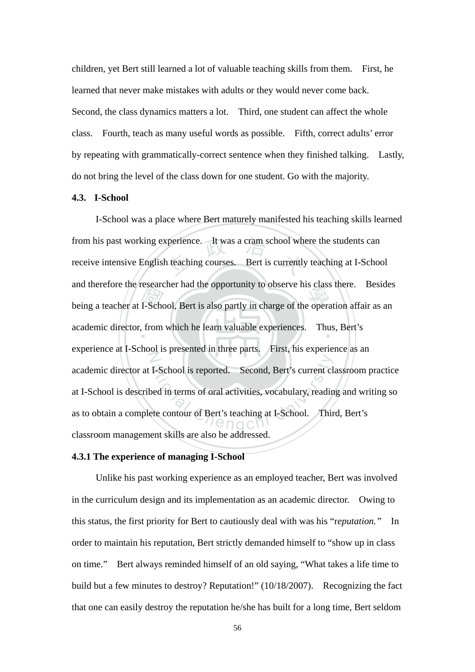children, yet Bert still learned a lot of valuable teaching skills from them. First, he learned that never make mistakes with adults or they would never come back. Second, the class dynamics matters a lot. Third, one student can affect the whole class. Fourth, teach as many useful words as possible. Fifth, correct adults' error by repeating with grammatically-correct sentence when they finished talking. Lastly, do not bring the level of the class down for one student. Go with the majority.

# **4.3. I-School**

being a teacher at I-School, Bert is also partly in charge of the operation affair as an academic director, from which he learn valuable experiences. Thus, Bert's from his past working experience. It was a cram school where the students can<br>receive intensive English teaching courses. Bert is currently teaching at I-School academic director, from which he learn valuable experiences. Thus, Bert's N I-School is reported. Second, Bert's current cl<br>bed in terms of oral activities, vocabulary, readin<br>te contour of Bert's teaching at I-School. Thir I-School was a place where Bert maturely manifested his teaching skills learned receive intensive English teaching courses. Bert is currently teaching at I-School and therefore the researcher had the opportunity to observe his class there. Besides experience at I-School is presented in three parts. First, his experience as an academic director at I-School is reported. Second, Bert's current classroom practice at I-School is described in terms of oral activities, vocabulary, reading and writing so as to obtain a complete contour of Bert's teaching at I-School. Third, Bert's classroom management skills are also be addressed.

#### **4.3.1 The experience of managing I-School**

 Unlike his past working experience as an employed teacher, Bert was involved in the curriculum design and its implementation as an academic director. Owing to this status, the first priority for Bert to cautiously deal with was his "r*eputation."* In order to maintain his reputation, Bert strictly demanded himself to "show up in class on time." Bert always reminded himself of an old saying, "What takes a life time to build but a few minutes to destroy? Reputation!" (10/18/2007). Recognizing the fact that one can easily destroy the reputation he/she has built for a long time, Bert seldom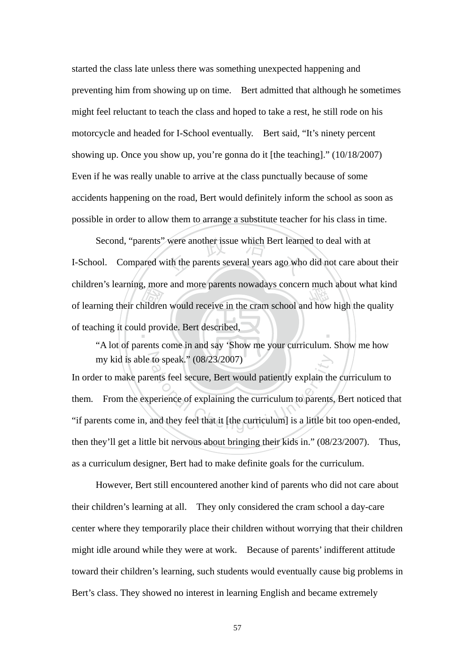started the class late unless there was something unexpected happening and preventing him from showing up on time. Bert admitted that although he sometimes might feel reluctant to teach the class and hoped to take a rest, he still rode on his motorcycle and headed for I-School eventually. Bert said, "It's ninety percent showing up. Once you show up, you're gonna do it [the teaching]." (10/18/2007) Even if he was really unable to arrive at the class punctually because of some accidents happening on the road, Bert would definitely inform the school as soon as possible in order to allow them to arrange a substitute teacher for his class in time.

of learning their children would receive in the cram school and how high the quality<br>of teaching it could provide. Bert described,<br>"A lot of parents come in and say 'Show me your curriculum. Show me how Second, "parents" were another issue which Bert learned to deal with at I-School. Compared with the parents several years ago who did not care about ‧ I-School. Compared with the parents several years ago who did not care about their children's learning, more and more parents nowadays concern much about what kind of teaching it could provide. Bert described,

my kid is able to speak."  $(08/23/2007)$ "A lot of parents come in and say 'Show me your curriculum. Show me how

to speak." (08/23/2007)<br>ents feel secure, Bert would patiently explain the<br>perience of explaining the curriculum to parents,<br>and they feel that it [the curriculum] is a little bi In order to make parents feel secure, Bert would patiently explain the curriculum to them. From the experience of explaining the curriculum to parents, Bert noticed that "if parents come in, and they feel that it [the curriculum] is a little bit too open-ended, then they'll get a little bit nervous about bringing their kids in." (08/23/2007). Thus, as a curriculum designer, Bert had to make definite goals for the curriculum.

However, Bert still encountered another kind of parents who did not care about their children's learning at all. They only considered the cram school a day-care center where they temporarily place their children without worrying that their children might idle around while they were at work. Because of parents' indifferent attitude toward their children's learning, such students would eventually cause big problems in Bert's class. They showed no interest in learning English and became extremely

57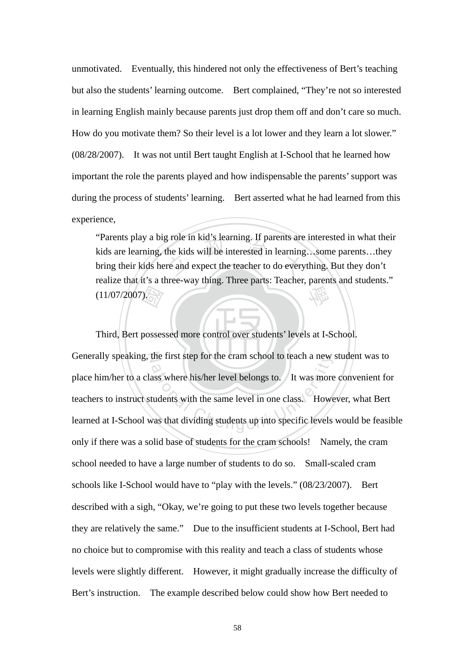unmotivated. Eventually, this hindered not only the effectiveness of Bert's teaching but also the students' learning outcome. Bert complained, "They're not so interested in learning English mainly because parents just drop them off and don't care so much. How do you motivate them? So their level is a lot lower and they learn a lot slower." (08/28/2007). It was not until Bert taught English at I-School that he learned how important the role the parents played and how indispensable the parents' support was during the process of students' learning. Bert asserted what he had learned from this experience,

g role in kid's learning. If parents are<br>the kids will be interested in learning<br>re and expect the teacher to do every 學 "Parents play a big role in kid's learning. If parents are interested in what their kids are learning, the kids will be interested in learning…some parents…they bring their kids here and expect the teacher to do everything. But they don't realize that it's a three-way thing. Three parts: Teacher, parents and students." (11/07/2007).

‧ 國 Third, Bert possessed more control over students' levels at I-School. Generally speaking, the first step for the cram school to teach a new student was to the first step for the cram school to teach a new<br>ass where his/her level belongs to. It was more<br>tudents with the same level in one class. Howe<br>was that dividing students up into specific levels place him/her to a class where his/her level belongs to. It was more convenient for teachers to instruct students with the same level in one class. However, what Bert learned at I-School was that dividing students up into specific levels would be feasible only if there was a solid base of students for the cram schools! Namely, the cram school needed to have a large number of students to do so. Small-scaled cram schools like I-School would have to "play with the levels." (08/23/2007). Bert described with a sigh, "Okay, we're going to put these two levels together because they are relatively the same." Due to the insufficient students at I-School, Bert had no choice but to compromise with this reality and teach a class of students whose levels were slightly different. However, it might gradually increase the difficulty of Bert's instruction. The example described below could show how Bert needed to

58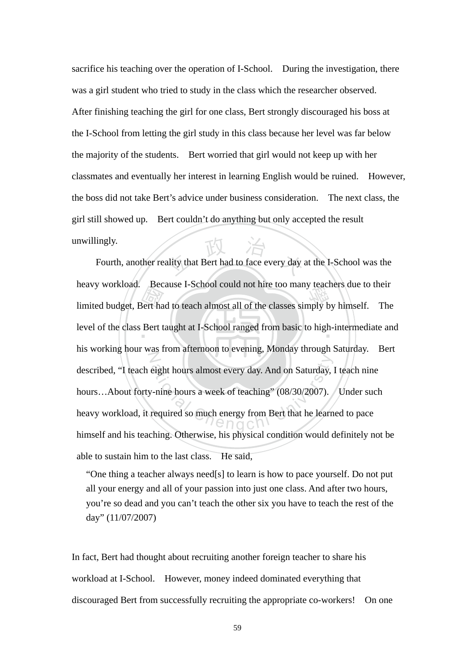sacrifice his teaching over the operation of I-School. During the investigation, there was a girl student who tried to study in the class which the researcher observed. After finishing teaching the girl for one class, Bert strongly discouraged his boss at the I-School from letting the girl study in this class because her level was far below the majority of the students. Bert worried that girl would not keep up with her classmates and eventually her interest in learning English would be ruined. However, the boss did not take Bert's advice under business consideration. The next class, the girl still showed up. Bert couldn't do anything but only accepted the result unwillingly.

limited budget, Bert had to teach almost all of the classes simply by himself. The level of the class Bert taught at I-School ranged from basic to high-intermediate and ality that Bert had to face every day level of the class Bert taught at I-School ranged from basic to high-intermediate and  $\overline{Z}$ eight hours almost every day. And on Saturday,<br>
v-nine hours a week of teaching" (08/30/2007).<br>
required so much energy from Bert that he learn Fourth, another reality that Bert had to face every day at the I-School was the heavy workload. Because I-School could not hire too many teachers due to their his working hour was from afternoon to evening, Monday through Saturday. Bert described, "I teach eight hours almost every day. And on Saturday, I teach nine hours...About forty-nine hours a week of teaching" (08/30/2007). Under such heavy workload, it required so much energy from Bert that he learned to pace himself and his teaching. Otherwise, his physical condition would definitely not be able to sustain him to the last class. He said,

"One thing a teacher always need[s] to learn is how to pace yourself. Do not put all your energy and all of your passion into just one class. And after two hours, you're so dead and you can't teach the other six you have to teach the rest of the day" (11/07/2007)

In fact, Bert had thought about recruiting another foreign teacher to share his workload at I-School. However, money indeed dominated everything that discouraged Bert from successfully recruiting the appropriate co-workers! On one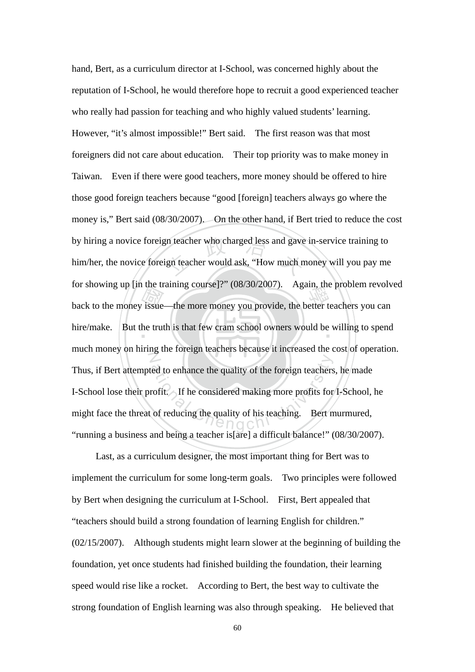back to the money issue—the more money you provide, the better teachers you can<br>hire/make. But the truth is that few cram school owners would be willing to spend by hiring a novice foreign teacher who charged less and gave in-service training to him/her, the novice foreign teacher would ask, "How much money will you pay me hire/make. But the truth is that few cram school owners would be willing to spend  $\mathbb{Z}$ ed to enhance the quality of the foreign teachers<br>rofit. If he considered making more profits for<br>of reducing the quality of his teaching. Bert n hand, Bert, as a curriculum director at I-School, was concerned highly about the reputation of I-School, he would therefore hope to recruit a good experienced teacher who really had passion for teaching and who highly valued students' learning. However, "it's almost impossible!" Bert said. The first reason was that most foreigners did not care about education. Their top priority was to make money in Taiwan. Even if there were good teachers, more money should be offered to hire those good foreign teachers because "good [foreign] teachers always go where the money is," Bert said (08/30/2007). On the other hand, if Bert tried to reduce the cost him/her, the novice foreign teacher would ask, "How much money will you pay me for showing up [in the training course]?" (08/30/2007). Again, the problem revolved much money on hiring the foreign teachers because it increased the cost of operation. Thus, if Bert attempted to enhance the quality of the foreign teachers, he made I-School lose their profit. If he considered making more profits for I-School, he might face the threat of reducing the quality of his teaching. Bert murmured, "running a business and being a teacher is[are] a difficult balance!" (08/30/2007).

 Last, as a curriculum designer, the most important thing for Bert was to implement the curriculum for some long-term goals. Two principles were followed by Bert when designing the curriculum at I-School. First, Bert appealed that "teachers should build a strong foundation of learning English for children." (02/15/2007). Although students might learn slower at the beginning of building the foundation, yet once students had finished building the foundation, their learning speed would rise like a rocket. According to Bert, the best way to cultivate the strong foundation of English learning was also through speaking. He believed that

60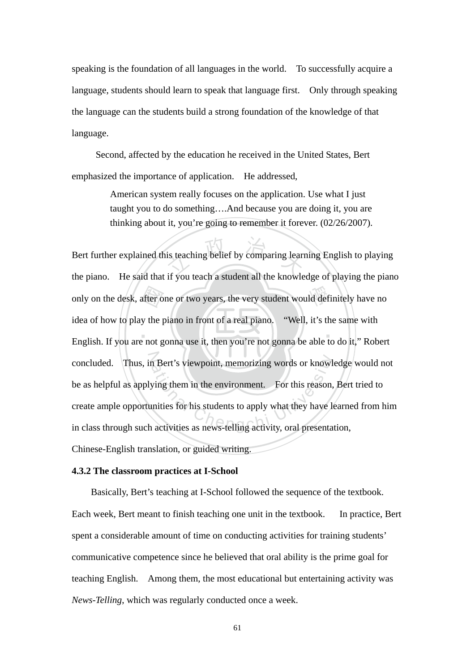speaking is the foundation of all languages in the world. To successfully acquire a language, students should learn to speak that language first. Only through speaking the language can the students build a strong foundation of the knowledge of that language.

Second, affected by the education he received in the United States, Bert emphasized the importance of application. He addressed,

> American system really focuses on the application. Use what I just taught you to do something….And because you are doing it, you are thinking about it, you're going to remember it forever. (02/26/2007).

 $\blacksquare$ only on the desk, after one or two years, the very student would definitely have no<br>idea of how to play the piano in front of a real piano. "Well, it's the same with<br>English. If you are not gonna use it, then you're not go is teaching belief by comparing learn concluded. Thus, in Bert's viewpoint, memorizing words or knowledge would not concluded. Thus, in Bert's viewpoint, memorizing words or knowledge<br>be as helpful as applying them in the environment. For this reason, Bert<br>create ample opportunities for his students to apply what they have learne<br>in cla Bert further explained this teaching belief by comparing learning English to playing the piano. He said that if you teach a student all the knowledge of playing the piano idea of how to play the piano in front of a real piano. "Well, it's the same with English. If you are not gonna use it, then you're not gonna be able to do it," Robert be as helpful as applying them in the environment. For this reason, Bert tried to create ample opportunities for his students to apply what they have learned from him Chinese-English translation, or guided writing.

#### **4.3.2 The classroom practices at I-School**

 Basically, Bert's teaching at I-School followed the sequence of the textbook. Each week, Bert meant to finish teaching one unit in the textbook. In practice, Bert spent a considerable amount of time on conducting activities for training students' communicative competence since he believed that oral ability is the prime goal for teaching English. Among them, the most educational but entertaining activity was *News-Telling*, which was regularly conducted once a week.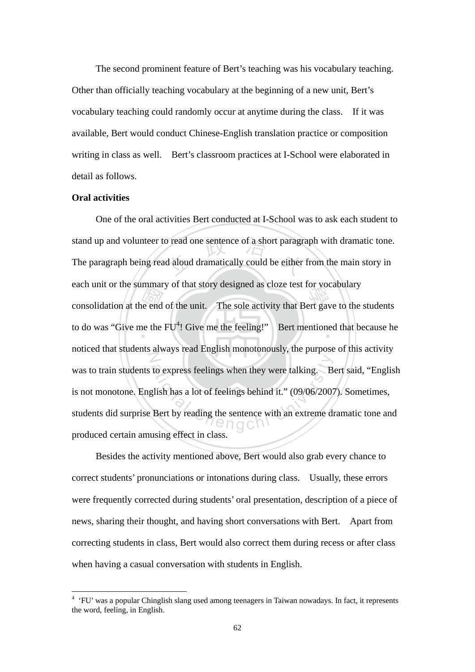The second prominent feature of Bert's teaching was his vocabulary teaching. Other than officially teaching vocabulary at the beginning of a new unit, Bert's vocabulary teaching could randomly occur at anytime during the class. If it was available, Bert would conduct Chinese-English translation practice or composition writing in class as well. Bert's classroom practices at I-School were elaborated in detail as follows.

# **Oral activities**

<u>.</u>

each unit of the summary of that story designed as close test for vocabulary<br>consolidation at the end of the unit. The sole activity that Bert gave to the students<br>to do was "Give me the FU<sup>4</sup>! Give me the feeling!"<br>Bert stand up and volunteer to read one sentence of a short paragraph with dramatic tone.<br>The paragraph being read aloud dramatically could be either from the main story in to do was "Give me the  $FU^4$ ! Give me the feeling!" Bert mentioned that because he  $Z$ to express feelings when they were talking. B<br>glish has a lot of feelings behind it." (09/06/2007<br>Bert by reading the sentence with an extreme die n g C n V or One of the oral activities Bert conducted at I-School was to ask each student to The paragraph being read aloud dramatically could be either from the main story in each unit or the summary of that story designed as cloze test for vocabulary noticed that students always read English monotonously, the purpose of this activity was to train students to express feelings when they were talking. Bert said, "English" is not monotone. English has a lot of feelings behind it." (09/06/2007). Sometimes, students did surprise Bert by reading the sentence with an extreme dramatic tone and produced certain amusing effect in class.

Besides the activity mentioned above, Bert would also grab every chance to correct students' pronunciations or intonations during class. Usually, these errors were frequently corrected during students' oral presentation, description of a piece of news, sharing their thought, and having short conversations with Bert. Apart from correcting students in class, Bert would also correct them during recess or after class when having a casual conversation with students in English.

<sup>&</sup>lt;sup>4</sup> 'FU' was a popular Chinglish slang used among teenagers in Taiwan nowadays. In fact, it represents the word, feeling, in English.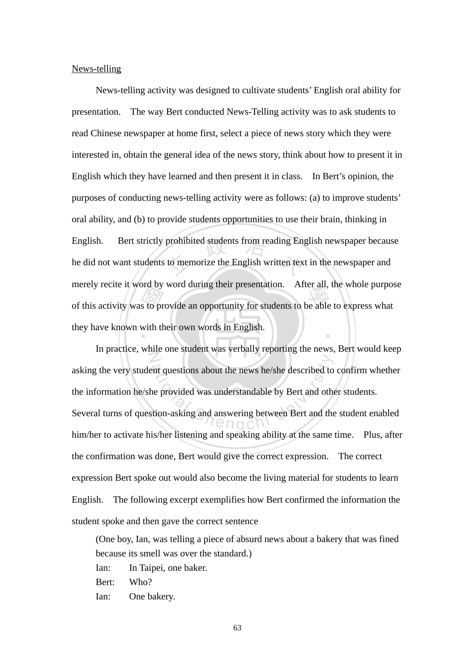News-telling

of this activity was to provide an opportunity for students to be able to express what they have known with their own words in English. prohibited students from reading Eng<br>to memorize the English written tex ‧ News-telling activity was designed to cultivate students' English oral ability for presentation. The way Bert conducted News-Telling activity was to ask students to read Chinese newspaper at home first, select a piece of news story which they were interested in, obtain the general idea of the news story, think about how to present it in English which they have learned and then present it in class. In Bert's opinion, the purposes of conducting news-telling activity were as follows: (a) to improve students' oral ability, and (b) to provide students opportunities to use their brain, thinking in English. Bert strictly prohibited students from reading English newspaper because he did not want students to memorize the English written text in the newspaper and merely recite it word by word during their presentation. After all, the whole purpose they have known with their own words in English.

N ent questions about the news he/she described to<br>ne provided was understandable by Bert and other<br>tion-asking and answering between Bert and the In practice, while one student was verbally reporting the news, Bert would keep asking the very student questions about the news he/she described to confirm whether the information he/she provided was understandable by Bert and other students. Several turns of question-asking and answering between Bert and the student enabled him/her to activate his/her listening and speaking ability at the same time. Plus, after the confirmation was done, Bert would give the correct expression. The correct expression Bert spoke out would also become the living material for students to learn English. The following excerpt exemplifies how Bert confirmed the information the student spoke and then gave the correct sentence

(One boy, Ian, was telling a piece of absurd news about a bakery that was fined because its smell was over the standard.)

Ian: In Taipei, one baker.

Bert: Who?

Ian: One bakery.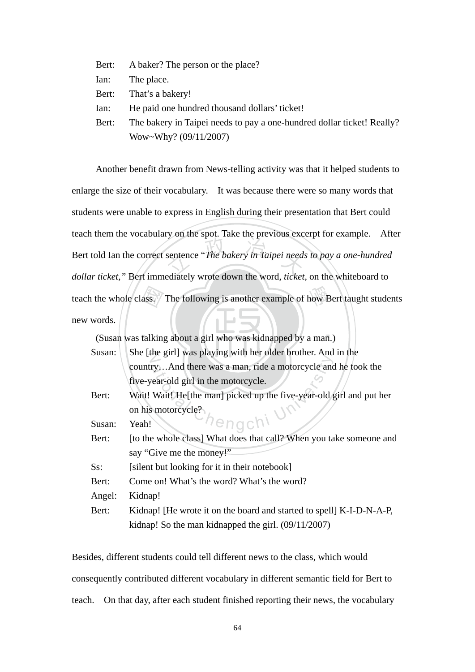| Bert: | A baker? The person or the place?                                      |
|-------|------------------------------------------------------------------------|
| lan:  | The place.                                                             |
|       | Bert: That's a bakery!                                                 |
| lan:  | He paid one hundred thousand dollars' ticket!                          |
| Bert: | The bakery in Taipei needs to pay a one-hundred dollar ticket! Really? |
|       | Wow~Why? (09/11/2007)                                                  |

ass.<br>talkin sentence "The bakery in Taipei need. teach the whole class. The following is another example of how Bert taught students Another benefit drawn from News-telling activity was that it helped students to enlarge the size of their vocabulary. It was because there were so many words that students were unable to express in English during their presentation that Bert could teach them the vocabulary on the spot. Take the previous excerpt for example. After Bert told Ian the correct sentence "*The bakery in Taipei needs to pay a one-hundred dollar ticket,"* Bert immediately wrote down the word, *ticket*, on the whiteboard to new words.

‧‧ (Susan was talking about a girl who was kidnapped by a man.)

| Susan: | She [the girl] was playing with her older brother. And in the        |
|--------|----------------------------------------------------------------------|
|        | countryAnd there was a man, ride a motorcycle and he took the        |
|        | five-year-old girl in the motorcycle.                                |
| Bert:  | Wait! Wait! He[the man] picked up the five-year-old girl and put her |
|        | on his motorcycle?                                                   |
| Susan: | Chengchi<br>Yeah!                                                    |
| Bert:  | [to the whole class] What does that call? When you take someone and  |
|        | say "Give me the money!"                                             |
| Ss:    | [silent but looking for it in their notebook]                        |
| Bert:  | Come on! What's the word? What's the word?                           |
| Angel: | Kidnap!                                                              |
| Bert:  | Kidnap! [He wrote it on the board and started to spell] K-I-D-N-A-P, |
|        | kidnap! So the man kidnapped the girl. $(09/11/2007)$                |

Besides, different students could tell different news to the class, which would consequently contributed different vocabulary in different semantic field for Bert to teach. On that day, after each student finished reporting their news, the vocabulary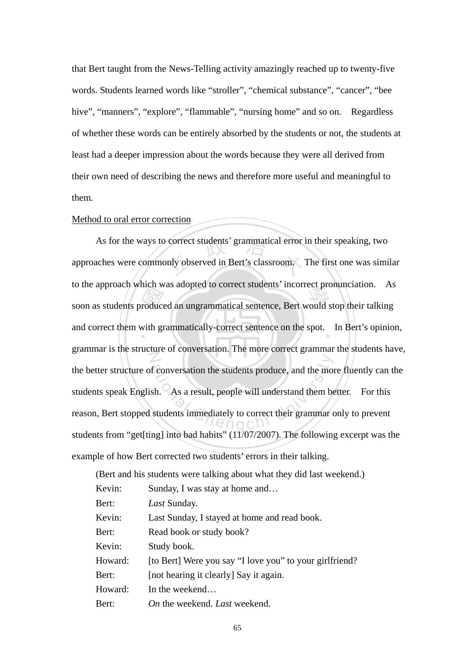that Bert taught from the News-Telling activity amazingly reached up to twenty-five words. Students learned words like "stroller", "chemical substance", "cancer", "bee hive", "manners", "explore", "flammable", "nursing home" and so on. Regardless of whether these words can be entirely absorbed by the students or not, the students at least had a deeper impression about the words because they were all derived from their own need of describing the news and therefore more useful and meaningful to them.

#### Method to oral error correction

soon as students produced an ungrammatical sentence, Bert would stop their talking<br>and correct them with grammatically-correct sentence on the spot. In Bert's opinion correct students' grammatical error<br>only observed in Bert's classroom. and correct them with grammatically-correct sentence on the spot. In Bert's opinion,  $\overline{Z}$ f conversation the students produce, and the most<br>sh. As a result, people will understand them be<br>students immediately to correct their grammar of As for the ways to correct students' grammatical error in their speaking, two approaches were commonly observed in Bert's classroom. The first one was similar to the approach which was adopted to correct students' incorrect pronunciation. As grammar is the structure of conversation. The more correct grammar the students have, the better structure of conversation the students produce, and the more fluently can the students speak English. As a result, people will understand them better. For this reason, Bert stopped students immediately to correct their grammar only to prevent students from "get[ting] into bad habits" (11/07/2007). The following excerpt was the example of how Bert corrected two students' errors in their talking.

|         | (Bert and his students were talking about what they did last weekend.) |
|---------|------------------------------------------------------------------------|
| Kevin:  | Sunday, I was stay at home and                                         |
| Bert:   | Last Sunday.                                                           |
| Kevin:  | Last Sunday, I stayed at home and read book.                           |
| Bert:   | Read book or study book?                                               |
| Kevin:  | Study book.                                                            |
| Howard: | [to Bert] Were you say "I love you" to your girlfriend?                |
| Bert:   | [not hearing it clearly] Say it again.                                 |
| Howard: | In the weekend                                                         |
| Bert:   | <i>On</i> the weekend. <i>Last</i> weekend.                            |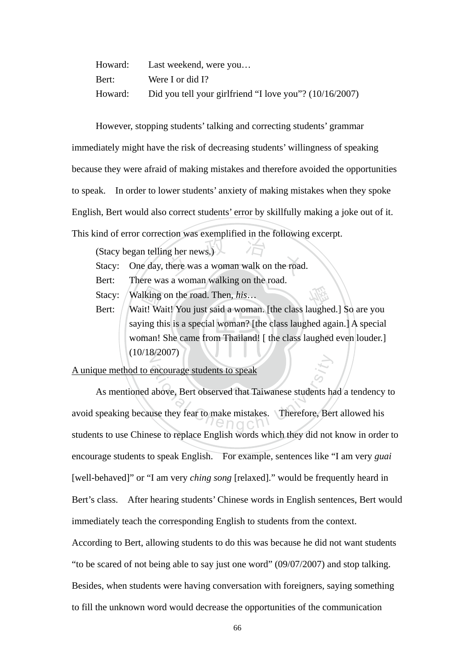| Howard: | Last weekend, were you                                  |
|---------|---------------------------------------------------------|
| Bert:   | Were I or did I?                                        |
| Howard: | Did you tell your girlfriend "I love you"? (10/16/2007) |

However, stopping students' talking and correcting students' grammar

immediately might have the risk of decreasing students' willingness of speaking because they were afraid of making mistakes and therefore avoided the opportunities to speak. In order to lower students' anxiety of making mistakes when they spoke English, Bert would also correct students' error by skillfully making a joke out of it.

This kind of error correction was exemplified in the following excerpt.

(Stacy began telling her news.)

- Stacy began telling her news.)<br>Stacy: One day, there was a woman walk on the road.
- Bert: There was a woman walking on the road.
- Stacy: Walking on the road. Then, *his*…
- **n** lking<br>it! Wa<br>ing th<br>man! ! Stacy: Walking on the road. Then, *his...*<br>Bert: Wait! Wait! You just said a woman. [the class laughed.] So are you woman! She came from Thailand! [ the class laughed even louder.]  $(10/18/2007)$ saying this is a special woman? [the class laughed again.] A special

# A unique method to encourage students to speak

encourage students to speak<br>above, Bert observed that Taiwanese students has<br>use they fear to make mistakes. Therefore, Ber As mentioned above, Bert observed that Taiwanese students had a tendency to avoid speaking because they fear to make mistakes. Therefore, Bert allowed his students to use Chinese to replace English words which they did not know in order to encourage students to speak English. For example, sentences like "I am very *guai* [well-behaved]" or "I am very *ching song* [relaxed]." would be frequently heard in Bert's class. After hearing students' Chinese words in English sentences, Bert would immediately teach the corresponding English to students from the context.

According to Bert, allowing students to do this was because he did not want students "to be scared of not being able to say just one word" (09/07/2007) and stop talking. Besides, when students were having conversation with foreigners, saying something

to fill the unknown word would decrease the opportunities of the communication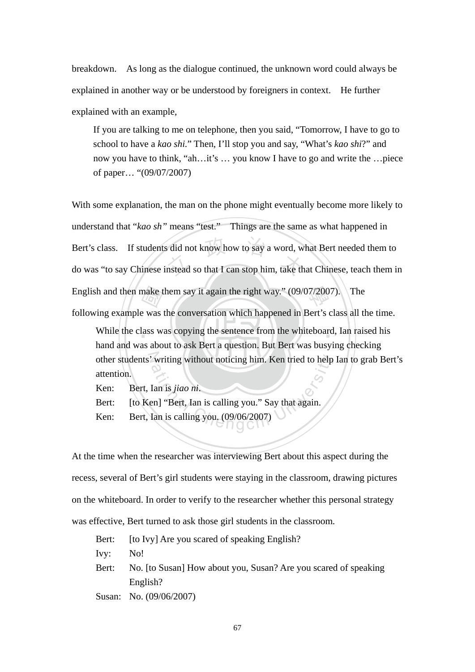breakdown. As long as the dialogue continued, the unknown word could always be explained in another way or be understood by foreigners in context. He further explained with an example,

If you are talking to me on telephone, then you said, "Tomorrow, I have to go to school to have a *kao shi.*" Then, I'll stop you and say, "What's *kao shi*?" and now you have to think, "ah…it's … you know I have to go and write the …piece of paper… "(09/07/2007)

make t<br>e was<br>lass w Bert's class. If students did not know how to say a word, what Bert needed them to<br>do was "to say Chinese instead so that I can stop him, take that Chinese, teach them in English and then make them say it again the right way." (09/07/2007). The With some explanation, the man on the phone might eventually become more likely to understand that "*kao sh*" means "test." Things are the same as what happened in Bert's class. If students did not know how to say a word, what Bert needed them to

following example was the conversation which happened in Bert's class all the time.

While the class was copying the sentence from the whiteboard, Ian raised his other students' writing without noticing him. Ken tried to help Ian to grab Bert's<br>
attention.<br>
Ken: Bert, Ian is *jiao ni*.<br>
Bert: [to Ken] "Bert, Ian is calling you. (09/06/2007)<br>
Ken: Bert, Ian is calling you. (09/06/20 hand and was about to ask Bert a question. But Bert was busying checking attention.

Ken: Bert, Ian is *jiao ni*.

Bert: [to Ken] "Bert, Ian is calling you." Say that again.

Ken: Bert, Ian is calling you. (09/06/2007)

At the time when the researcher was interviewing Bert about this aspect during the recess, several of Bert's girl students were staying in the classroom, drawing pictures on the whiteboard. In order to verify to the researcher whether this personal strategy was effective, Bert turned to ask those girl students in the classroom.

Bert: [to Ivy] Are you scared of speaking English?

Ivy: No!

Bert: No. [to Susan] How about you, Susan? Are you scared of speaking English?

Susan: No. (09/06/2007)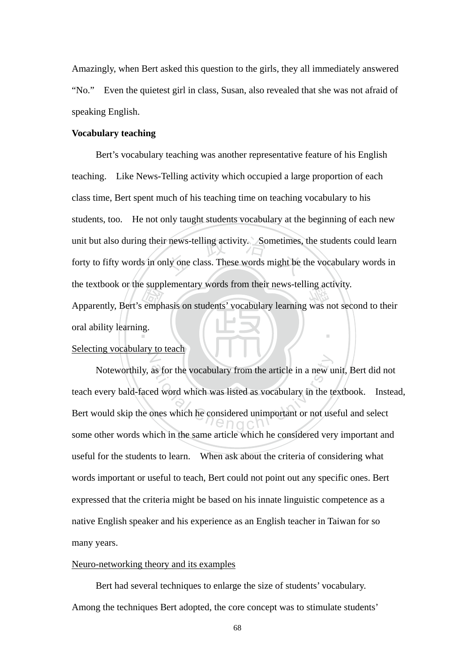Amazingly, when Bert asked this question to the girls, they all immediately answered "No." Even the quietest girl in class, Susan, also revealed that she was not afraid of speaking English.

#### **Vocabulary teaching**

Medicine is the supplementary words from their news-tening activity.<br>Apparently, Bert's emphasis on students' vocabulary learning was not second to their<br>oral ability learning. unit but also during their news-telling activity. Sometimes, the students could learn<br>forty to fifty words in only one class. These words might be the vocabulary words in ‧ Bert's vocabulary teaching was another representative feature of his English teaching. Like News-Telling activity which occupied a large proportion of each class time, Bert spent much of his teaching time on teaching vocabulary to his students, too. He not only taught students vocabulary at the beginning of each new forty to fifty words in only one class. These words might be the vocabulary words in the textbook or the supplementary words from their news-telling activity. oral ability learning.

#### N Selecting vocabulary to teach

as for the vocabulary from the article in a new u<br>ed word which was listed as vocabulary in the te<br>ones which he considered unimportant or not use Noteworthily, as for the vocabulary from the article in a new unit, Bert did not teach every bald-faced word which was listed as vocabulary in the textbook. Instead, Bert would skip the ones which he considered unimportant or not useful and select some other words which in the same article which he considered very important and useful for the students to learn. When ask about the criteria of considering what words important or useful to teach, Bert could not point out any specific ones. Bert expressed that the criteria might be based on his innate linguistic competence as a native English speaker and his experience as an English teacher in Taiwan for so many years.

#### Neuro-networking theory and its examples

Bert had several techniques to enlarge the size of students' vocabulary. Among the techniques Bert adopted, the core concept was to stimulate students'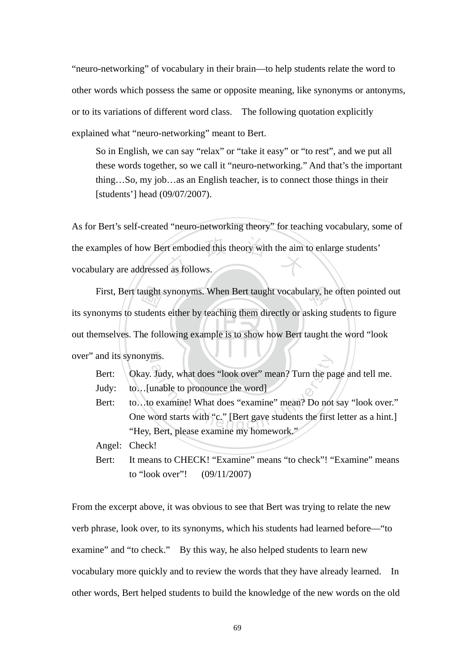"neuro-networking" of vocabulary in their brain—to help students relate the word to other words which possess the same or opposite meaning, like synonyms or antonyms, or to its variations of different word class. The following quotation explicitly explained what "neuro-networking" meant to Bert.

So in English, we can say "relax" or "take it easy" or "to rest", and we put all these words together, so we call it "neuro-networking." And that's the important thing…So, my job…as an English teacher, is to connect those things in their [students'] head (09/07/2007).

rt embodied this theory with the aim As for Bert's self-created "neuro-networking theory" for teaching vocabulary, some of the examples of how Bert embodied this theory with the aim to enlarge students' vocabulary are addressed as follows.

out themselves. The following example is to show how Bert taught the word "look aught<br>udents<br>ne foll First, Bert taught synonyms. When Bert taught vocabulary, he often pointed out over" and its synonyms. its synonyms to students either by teaching them directly or asking students to figure

Bert: \ Okay. Judy, what does "look over" mean? Turn the page and tell me.

Judy: to…[unable to pronounce the word]

ms.<br>
Judy, what does "look over" mean? Turn the pa<br>
unable to pronounce the word]<br>
b examine! What does "examine" mean? Do not<br>
vord starts with "c." [Bert gave students the first<br>
Rert please examine my homework " Bert: to...to examine! What does "examine" mean? Do not say "look over." One word starts with "c." [Bert gave students the first letter as a hint.] "Hey, Bert, please examine my homework."

Angel: Check!

Bert: It means to CHECK! "Examine" means "to check"! "Examine" means to "look over"! (09/11/2007)

From the excerpt above, it was obvious to see that Bert was trying to relate the new verb phrase, look over, to its synonyms, which his students had learned before—"to examine" and "to check." By this way, he also helped students to learn new vocabulary more quickly and to review the words that they have already learned. In other words, Bert helped students to build the knowledge of the new words on the old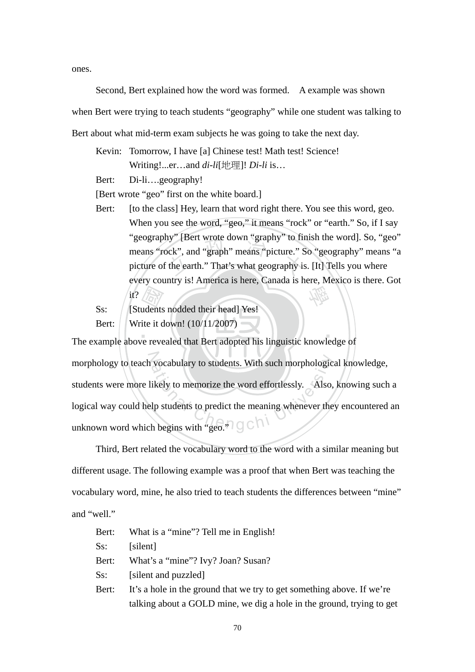ones.

 Second, Bert explained how the word was formed. A example was shown when Bert were trying to teach students "geography" while one student was talking to Bert about what mid-term exam subjects he was going to take the next day.

Kevin: Tomorrow, I have [a] Chinese test! Math test! Science! Writing!...er…and *di-li*[地理]! *Di-li* is…

Bert: Di-li….geography!

[Bert wrote "geo" first on the white board.]

- hy" [Bert wrote down "graphy" to functionally contained to the earth." That's what geography is 學 Bert: [to the class] Hey, learn that word right there. You see this word, geo. When you see the word, "geo," it means "rock" or "earth." So, if I say "geography" [Bert wrote down "graphy" to finish the word]. So, "geo" means "rock", and "graph" means "picture." So "geography" means "a picture of the earth." That's what geography is. [It] Tells you where every country is! America is here, Canada is here, Mexico is there. Got it?
- *A*<br>
dents<br>
ite it dents Ss: [Students nodded their head] Yes! Bert: Write it down! (10/11/2007)

‧ morphology to teach vocabulary to students. With such morphological knowledge, vocabulary to students. With such morphologic<br>ikely to memorize the word effortlessly. Also,<br>lp students to predict the meaning whenever the<br>h begins with "geo." The example above revealed that Bert adopted his linguistic knowledge of students were more likely to memorize the word effortlessly. Also, knowing such a logical way could help students to predict the meaning whenever they encountered an unknown word which begins with "geo." $\Box$ 

Third, Bert related the vocabulary word to the word with a similar meaning but different usage. The following example was a proof that when Bert was teaching the vocabulary word, mine, he also tried to teach students the differences between "mine" and "well."

| Bert: | What is a "mine"? Tell me in English!                                  |
|-------|------------------------------------------------------------------------|
| Ss:   | [silent]                                                               |
| Bert: | What's a "mine"? Ivy? Joan? Susan?                                     |
| Ss:   | [silent and puzzled]                                                   |
| Bert: | It's a hole in the ground that we try to get something above. If we're |
|       | talking about a GOLD mine, we dig a hole in the ground, trying to get  |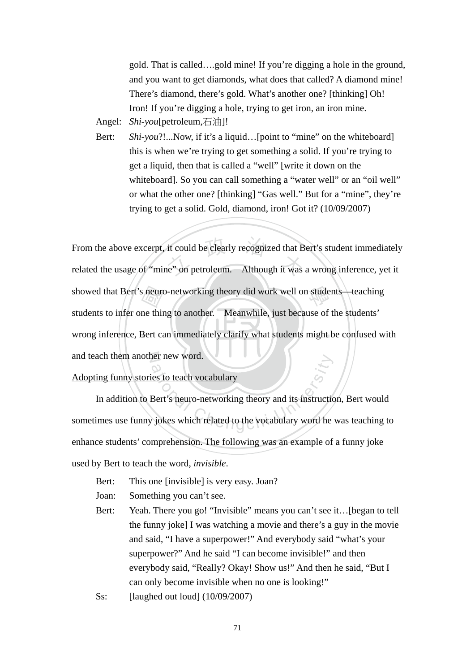gold. That is called….gold mine! If you're digging a hole in the ground, and you want to get diamonds, what does that called? A diamond mine! There's diamond, there's gold. What's another one? [thinking] Oh! Iron! If you're digging a hole, trying to get iron, an iron mine.

Angel: *Shi-you*[petroleum,石油]!

Bert: *Shi-you*?!...Now, if it's a liquid...[point to "mine" on the whiteboard] this is when we're trying to get something a solid. If you're trying to get a liquid, then that is called a "well" [write it down on the whiteboard]. So you can call something a "water well" or an "oil well" or what the other one? [thinking] "Gas well." But for a "mine", they're trying to get a solid. Gold, diamond, iron! Got it? (10/09/2007)

‧S neuron<br>
me thin<br>
Bert ca it could be clearly recognized that B<br>he" on petroleum. Although it was showed that Bert's neuro-networking theory did work well on students—teaching wrong inference, Bert can immediately clarify what students might be confused with and teach them another new word. From the above excerpt, it could be clearly recognized that Bert's student immediately related the usage of "mine" on petroleum. Although it was a wrong inference, yet it students to infer one thing to another. Meanwhile, just because of the students'

Adopting funny stories to teach vocabulary

The means word.<br>
The state of the view of the state of the view of the view of the view of the view of the view of the view of the view of the view of the view of the view of the view of the view of the view of the view of In addition to Bert's neuro-networking theory and its instruction, Bert would sometimes use funny jokes which related to the vocabulary word he was teaching to enhance students' comprehension. The following was an example of a funny joke used by Bert to teach the word, *invisible*.

- Bert: This one [invisible] is very easy. Joan?
- Joan: Something you can't see.
- Bert: Yeah. There you go! "Invisible" means you can't see it... [began to tell the funny joke] I was watching a movie and there's a guy in the movie and said, "I have a superpower!" And everybody said "what's your superpower?" And he said "I can become invisible!" and then everybody said, "Really? Okay! Show us!" And then he said, "But I can only become invisible when no one is looking!"
- Ss: [laughed out loud] (10/09/2007)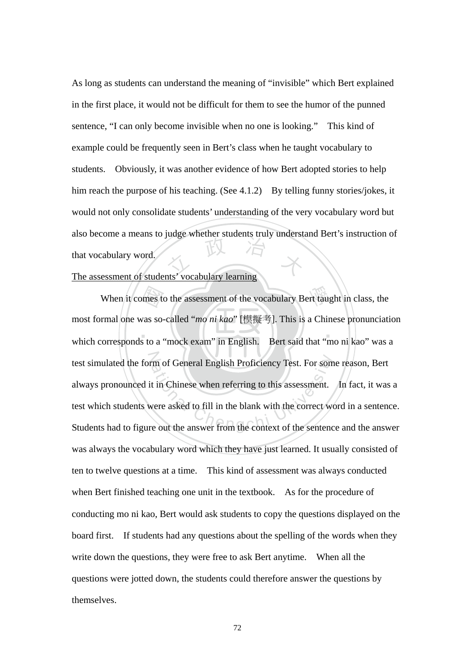TEL 75 As long as students can understand the meaning of "invisible" which Bert explained in the first place, it would not be difficult for them to see the humor of the punned sentence, "I can only become invisible when no one is looking." This kind of example could be frequently seen in Bert's class when he taught vocabulary to students. Obviously, it was another evidence of how Bert adopted stories to help him reach the purpose of his teaching. (See 4.1.2) By telling funny stories/jokes, it would not only consolidate students' understanding of the very vocabulary word but also become a means to judge whether students truly understand Bert's instruction of that vocabulary word.

# The assessment of students' vocabulary learning

 $\blacksquare$ bmes to<br>vas so-<br>s to a When it comes to the assessment of the vocabulary Bert taught in class, the test simulated the form of General English Proficiency Test. For some reason, Bert test simulated the form of General English Proficiency Test. For some reason, Bert<br>always pronounced it in Chinese when referring to this assessment. In fact, it was a<br>test which students were asked to fill in the blank wi most formal one was so-called "*mo ni kao*" [模擬考]. This is a Chinese pronunciation which corresponds to a "mock exam" in English. Bert said that "mo ni kao" was a always pronounced it in Chinese when referring to this assessment. In fact, it was a test which students were asked to fill in the blank with the correct word in a sentence. was always the vocabulary word which they have just learned. It usually consisted of ten to twelve questions at a time. This kind of assessment was always conducted when Bert finished teaching one unit in the textbook. As for the procedure of conducting mo ni kao, Bert would ask students to copy the questions displayed on the board first. If students had any questions about the spelling of the words when they write down the questions, they were free to ask Bert anytime. When all the questions were jotted down, the students could therefore answer the questions by themselves.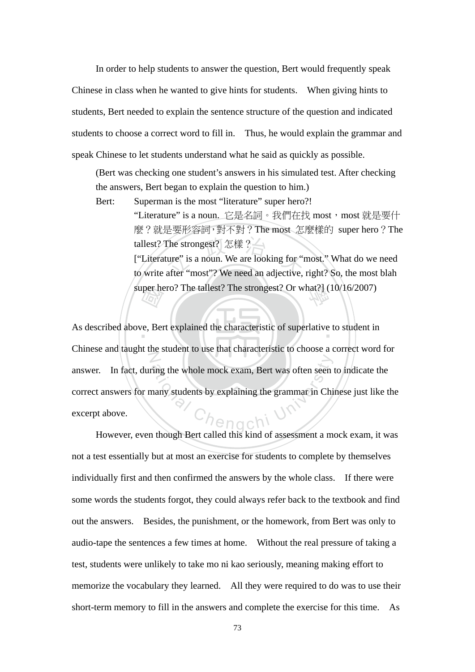In order to help students to answer the question, Bert would frequently speak

Chinese in class when he wanted to give hints for students. When giving hints to students, Bert needed to explain the sentence structure of the question and indicated students to choose a correct word to fill in. Thus, he would explain the grammar and speak Chinese to let students understand what he said as quickly as possible.

(Bert was checking one student's answers in his simulated test. After checking the answers, Bert began to explain the question to him.)

The strongest? 怎樣 ?<br>ture" is a noun. We are looking for "inter "most"? We need an adjective. super hero? The tallest? The strongest? Or what?] (10/16/2007) Bert: Superman is the most "literature" super hero?! "Literature" is a noun. 它是名詞。我們在找 most, most 就是要什 麼?就是要形容詞,對不對?The most 怎麼樣的 super hero?The tallest? The strongest? 怎樣? ["Literature" is a noun. We are looking for "most." What do we need to write after "most"? We need an adjective, right? So, the most blah

per he As described above, Bert explained the characteristic of superlative to student in N Fing the whole mock exam, Bert was often seen<br>nany students by explaining the grammar in Chi Chinese and taught the student to use that characteristic to choose a correct word for answer. In fact, during the whole mock exam, Bert was often seen to indicate the correct answers for many students by explaining the grammar in Chinese just like the excerpt above.

However, even though Bert called this kind of assessment a mock exam, it was not a test essentially but at most an exercise for students to complete by themselves individually first and then confirmed the answers by the whole class. If there were some words the students forgot, they could always refer back to the textbook and find out the answers. Besides, the punishment, or the homework, from Bert was only to audio-tape the sentences a few times at home. Without the real pressure of taking a test, students were unlikely to take mo ni kao seriously, meaning making effort to memorize the vocabulary they learned. All they were required to do was to use their short-term memory to fill in the answers and complete the exercise for this time. As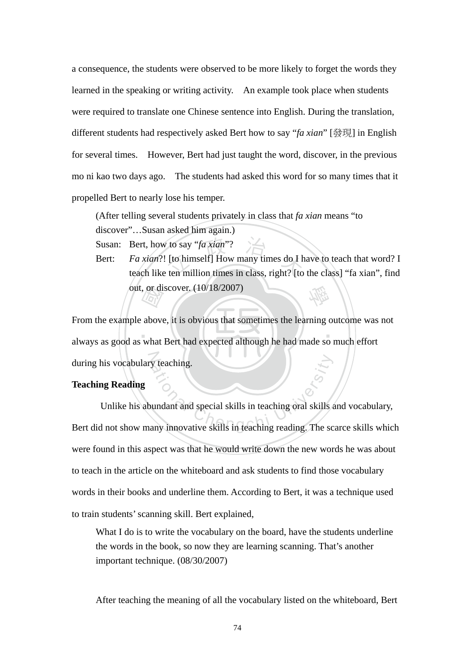a consequence, the students were observed to be more likely to forget the words they learned in the speaking or writing activity. An example took place when students were required to translate one Chinese sentence into English. During the translation, different students had respectively asked Bert how to say "*fa xian*" [發現] in English for several times. However, Bert had just taught the word, discover, in the previous mo ni kao two days ago. The students had asked this word for so many times that it propelled Bert to nearly lose his temper.

(After telling several students privately in class that *fa xian* means "to discover"…Susan asked him again.)

Susan: Bert, how to say "*fa xian*"?

to say "*fa xian*"?<br>[to himself] How many times do I h<br>ten million times in class, right? [to 學 Bert: *Fa xian*?! [to himself] How many times do I have to teach that word? I teach like ten million times in class, right? [to the class] "fa xian", find out, or discover. (10/18/2007)

out, or discover. (10/18/2007)<br>From the example above, it is obvious that sometimes the learning outcome was<br>always as good as what Bert had expected although he had made so much effort ‧ during his vocabulary teaching. From the example above, it is obvious that sometimes the learning outcome was not

# **Teaching Reading**

ational Chengchi University<br>and the special skills in teaching oral skills and interesting the scaling<br>change of the scaling reading. The scaling reading with the scaling reading<br>of the scaling reading reading. The scaling Unlike his abundant and special skills in teaching oral skills and vocabulary, Bert did not show many innovative skills in teaching reading. The scarce skills which were found in this aspect was that he would write down the new words he was about to teach in the article on the whiteboard and ask students to find those vocabulary words in their books and underline them. According to Bert, it was a technique used to train students' scanning skill. Bert explained,

What I do is to write the vocabulary on the board, have the students underline the words in the book, so now they are learning scanning. That's another important technique. (08/30/2007)

After teaching the meaning of all the vocabulary listed on the whiteboard, Bert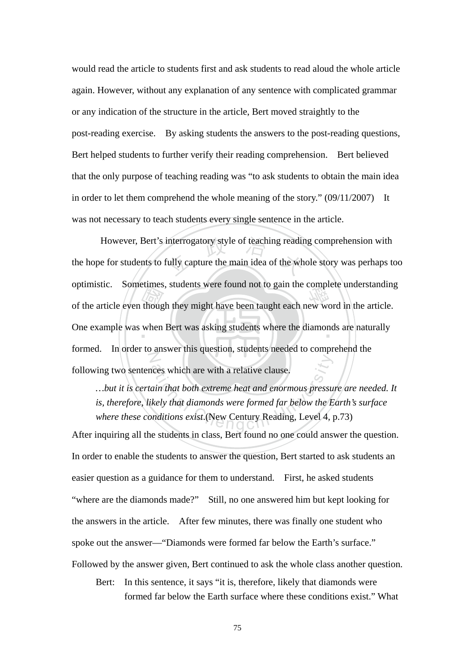would read the article to students first and ask students to read aloud the whole article again. However, without any explanation of any sentence with complicated grammar or any indication of the structure in the article, Bert moved straightly to the post-reading exercise. By asking students the answers to the post-reading questions, Bert helped students to further verify their reading comprehension. Bert believed that the only purpose of teaching reading was "to ask students to obtain the main idea in order to let them comprehend the whole meaning of the story."  $(09/11/2007)$  It was not necessary to teach students every single sentence in the article.

of the article even though they might have been taught each new word in the article.<br>One example was when Bert was asking students where the diamonds are naturally However, Bert's interrogatory style of teaching reading comprehension with the hope for students to fully capture the main idea of the whole story was perhaps to One example was when Bert was asking students where the diamonds are naturally Z the hope for students to fully capture the main idea of the whole story was perhaps too optimistic. Sometimes, students were found not to gain the complete understanding formed. In order to answer this question, students needed to comprehend the following two sentences which are with a relative clause.

ational Chengcia and the set of the set of the set of the same in that both extreme heat and enormous pressure is that diamonds were formed far below the Enditions exist. (New Century Reading, Level 4, 1 *…but it is certain that both extreme heat and enormous pressure are needed. It is, therefore, likely that diamonds were formed far below the Earth's surface where these conditions exist*.(New Century Reading, Level 4, p.73)

After inquiring all the students in class, Bert found no one could answer the question. In order to enable the students to answer the question, Bert started to ask students an easier question as a guidance for them to understand. First, he asked students "where are the diamonds made?" Still, no one answered him but kept looking for the answers in the article. After few minutes, there was finally one student who spoke out the answer—"Diamonds were formed far below the Earth's surface." Followed by the answer given, Bert continued to ask the whole class another question.

Bert: In this sentence, it says "it is, therefore, likely that diamonds were formed far below the Earth surface where these conditions exist." What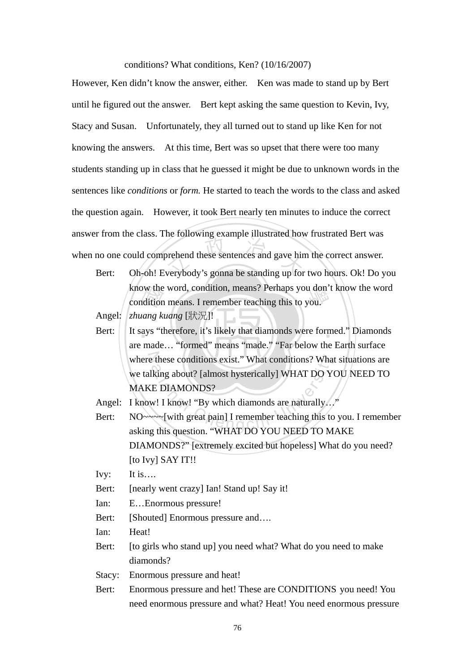#### conditions? What conditions, Ken? (10/16/2007)

between these sentences and gave him<br>verybody's gonna be standing up for However, Ken didn't know the answer, either. Ken was made to stand up by Bert until he figured out the answer. Bert kept asking the same question to Kevin, Ivy, Stacy and Susan. Unfortunately, they all turned out to stand up like Ken for not knowing the answers. At this time, Bert was so upset that there were too many students standing up in class that he guessed it might be due to unknown words in the sentences like *conditions* or *form.* He started to teach the words to the class and asked the question again. However, it took Bert nearly ten minutes to induce the correct answer from the class. The following example illustrated how frustrated Bert was when no one could comprehend these sentences and gave him the correct answer.

know the word, condition, means? Perhaps you don'<br>
condition means. I remember teaching this to you.<br>
zhuang kuang [ $\frac{1}{N}$ ]]<br>
It says "therefore, it's likely that diamonds were forn<br>
are made "formed" means "made" "Far Bert: Oh-oh! Everybody's gonna be standing up for two hours. Ok! Do you know the word, condition, means? Perhaps you don't know the word

Angel: *zhuang kuang* [狀況]!

Bert: It says "therefore, it's likely that diamonds were formed." Diamonds where these conditions exist." What conditions? What situations are At these conditions exist." What conditions? What is a set of the set of the proof.<br>
E DIAMONDS?<br>
At I know! "By which diamonds are naturally..."<br>
At I know! "By which diamonds are naturally..."<br>
At I consider this conditi are made… "formed" means "made." "Far below the Earth surface we talking about? [almost hysterically] WHAT DO YOU NEED TO MAKE DIAMONDS?

Angel: I know! I know! "By which diamonds are naturally..."

Bert: NO~~~~[with great pain] I remember teaching this to you. I remember asking this question. "WHAT DO YOU NEED TO MAKE DIAMONDS?" [extremely excited but hopeless] What do you need? [to Ivy] SAY IT!!

Ivy: It is….

- Bert: [nearly went crazy] Ian! Stand up! Say it!
- Ian: E…Enormous pressure!
- Bert: [Shouted] Enormous pressure and....

Ian: Heat!

Bert: [to girls who stand up] you need what? What do you need to make diamonds?

Stacy: Enormous pressure and heat!

Bert: Enormous pressure and het! These are CONDITIONS you need! You need enormous pressure and what? Heat! You need enormous pressure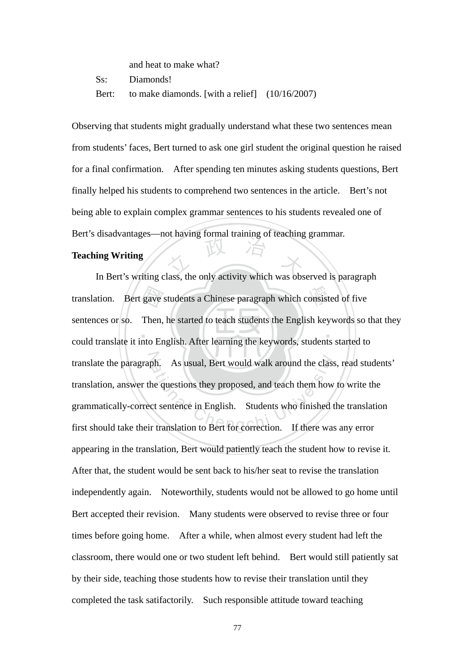| and heat to make what?                                 |  |
|--------------------------------------------------------|--|
| Ss: Diamonds!                                          |  |
| Bert: to make diamonds. [with a relief] $(10/16/2007)$ |  |

Observing that students might gradually understand what these two sentences mean from students' faces, Bert turned to ask one girl student the original question he raised for a final confirmation. After spending ten minutes asking students questions, Bert finally helped his students to comprehend two sentences in the article. Bert's not being able to explain complex grammar sentences to his students revealed one of Bert's disadvantages—not having formal training of teaching grammar.

#### **Teaching Writing**

translation. Bert gave students a Chinese paragraph which consisted of five<br>sentences or so. Then, he started to teach students the English keywords so the<br>could translate it into English. After learning the keywords, stud Teaching Writing<br>In Bert's writing class, the only activity which was observed is paragraph translation. Bert gave students a Chinese paragraph which consisted of five ‧ translate the paragraph. As usual, Bert would walk around the class, read students' ph. As usual, Bert would walk around the class<br>he questions they proposed, and teach them how<br>ct sentence in English. Students who finished to<br>r translation to Bert for correction. If there was sentences or so. Then, he started to teach students the English keywords so that they translation, answer the questions they proposed, and teach them how to write the grammatically-correct sentence in English. Students who finished the translation first should take their translation to Bert for correction. If there was any error appearing in the translation, Bert would patiently teach the student how to revise it. After that, the student would be sent back to his/her seat to revise the translation independently again. Noteworthily, students would not be allowed to go home until Bert accepted their revision. Many students were observed to revise three or four times before going home. After a while, when almost every student had left the classroom, there would one or two student left behind. Bert would still patiently sat by their side, teaching those students how to revise their translation until they completed the task satifactorily. Such responsible attitude toward teaching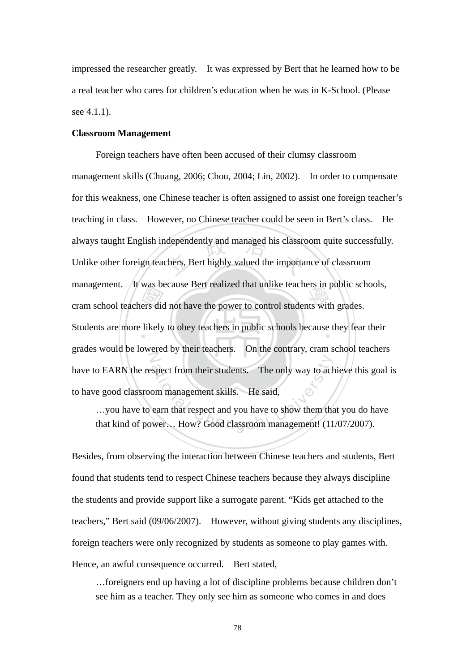impressed the researcher greatly. It was expressed by Bert that he learned how to be a real teacher who cares for children's education when he was in K-School. (Please see 4.1.1).

#### **Classroom Management**

Than all the section of the power to control students with grades.<br>
Students are more likely to obey teachers in public schools because they fear always taught English independently and managed his classroom quite successfully.<br>Unlike other foreign teachers, Bert highly valued the importance of classroom Students are more likely to obey teachers in public schools because they fear their N Subsect from their students. The only way to achieve the said,<br>commanagement skills. He said,<br>earn that respect and you have to show them the<br>wer... How? Good classroom management! (11 Foreign teachers have often been accused of their clumsy classroom management skills (Chuang, 2006; Chou, 2004; Lin, 2002). In order to compensate for this weakness, one Chinese teacher is often assigned to assist one foreign teacher's teaching in class. However, no Chinese teacher could be seen in Bert's class. He Unlike other foreign teachers, Bert highly valued the importance of classroom management. It was because Bert realized that unlike teachers in public schools, grades would be lowered by their teachers. On the contrary, cram school teachers have to EARN the respect from their students. The only way to achieve this goal is to have good classroom management skills. He said,

…you have to earn that respect and you have to show them that you do have that kind of power… How? Good classroom management! (11/07/2007).

Besides, from observing the interaction between Chinese teachers and students, Bert found that students tend to respect Chinese teachers because they always discipline the students and provide support like a surrogate parent. "Kids get attached to the teachers," Bert said (09/06/2007). However, without giving students any disciplines, foreign teachers were only recognized by students as someone to play games with. Hence, an awful consequence occurred. Bert stated,

…foreigners end up having a lot of discipline problems because children don't see him as a teacher. They only see him as someone who comes in and does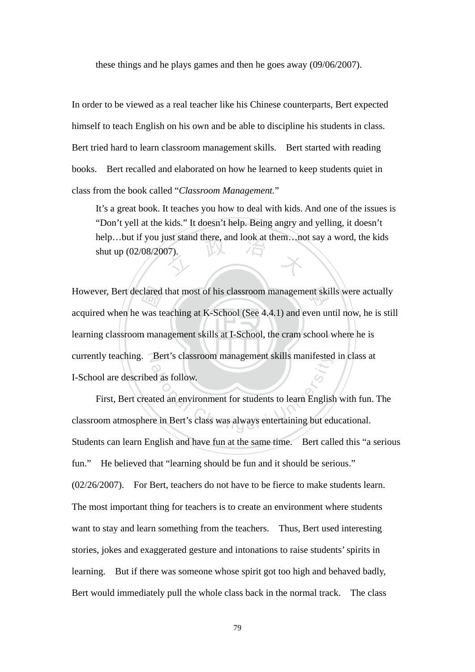these things and he plays games and then he goes away (09/06/2007).

In order to be viewed as a real teacher like his Chinese counterparts, Bert expected himself to teach English on his own and be able to discipline his students in class. Bert tried hard to learn classroom management skills. Bert started with reading books. Bert recalled and elaborated on how he learned to keep students quiet in class from the book called "*Classroom Management.*"

help…but if you just stand there, and look at them…not say a word, the kids<br>shut up (02/08/2007). It's a great book. It teaches you how to deal with kids. And one of the issues is "Don't yell at the kids." It doesn't help. Being angry and yelling, it doesn't shut up (02/08/2007).

learning classroom management skills at I-School, the cram school where he is clared<br>was te However, Bert declared that most of his classroom management skills were actually currently teaching. Bert's classroom management skills manifested in class at acquired when he was teaching at K-School (See 4.4.1) and even until now, he is still I-School are described as follow.

Bert's classroom management skills manifested<br>and as follow.<br>atted an environment for students to learn English<br>re in Bert's class was always entertaining but ed First, Bert created an environment for students to learn English with fun. The classroom atmosphere in Bert's class was always entertaining but educational. Students can learn English and have fun at the same time. Bert called this "a serious fun." He believed that "learning should be fun and it should be serious." (02/26/2007). For Bert, teachers do not have to be fierce to make students learn. The most important thing for teachers is to create an environment where students want to stay and learn something from the teachers. Thus, Bert used interesting stories, jokes and exaggerated gesture and intonations to raise students' spirits in learning. But if there was someone whose spirit got too high and behaved badly, Bert would immediately pull the whole class back in the normal track. The class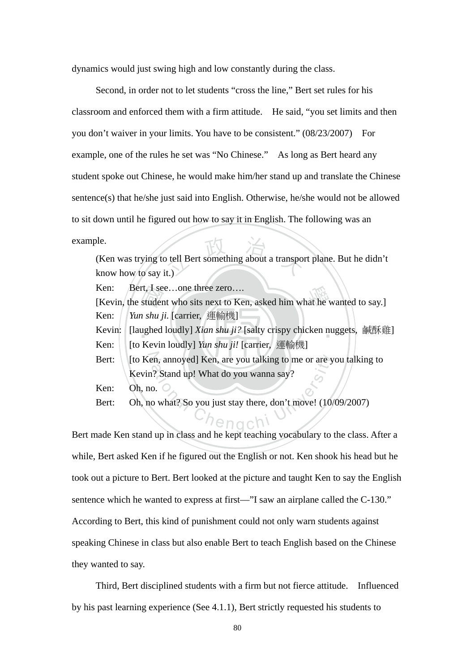dynamics would just swing high and low constantly during the class.

Second, in order not to let students "cross the line," Bert set rules for his classroom and enforced them with a firm attitude. He said, "you set limits and then you don't waiver in your limits. You have to be consistent." (08/23/2007) For example, one of the rules he set was "No Chinese." As long as Bert heard any student spoke out Chinese, he would make him/her stand up and translate the Chinese sentence(s) that he/she just said into English. Otherwise, he/she would not be allowed to sit down until he figured out how to say it in English. The following was an example.

tell Bert something about a transport. (Ken was trying to tell Bert something about a transport plane. But he didn't know how to say it.)

Ken: Bert, I see...one three zero....

rt, 1 se<br>studer<br>1 *shu j*<br>1 shu j<br>Kevir Ken: Bert, I see...one three zero....<br>[Kevin, the student who sits next to Ken, asked him what he wanted to say.] Ken: *Yun shu ji.* [carrier, 運輸機]

Kevin: [laughed loudly] *Xian shu ji?* [salty crispy chicken nuggets, 鹹酥雞]

Ken: [to Kevin loudly] *Yun shu ji!* [carrier, 運輸機]

Bert: [to Ken, annoyed] Ken, are you talking to me or are you talking to en, annoyed] Ken, are you talking to me or are y<br>
1? Stand up! What do you wanna say?<br>
0.<br>
0. What? So you just stay there, don't move! (10) Kevin? Stand up! What do you wanna say?

Ken: Oh, no.

Bert: Oh, no what? So you just stay there, don't move! (10/09/2007)

Bert made Ken stand up in class and he kept teaching vocabulary to the class. After a while, Bert asked Ken if he figured out the English or not. Ken shook his head but he took out a picture to Bert. Bert looked at the picture and taught Ken to say the English sentence which he wanted to express at first—"I saw an airplane called the C-130." According to Bert, this kind of punishment could not only warn students against speaking Chinese in class but also enable Bert to teach English based on the Chinese they wanted to say.

Third, Bert disciplined students with a firm but not fierce attitude. Influenced by his past learning experience (See 4.1.1), Bert strictly requested his students to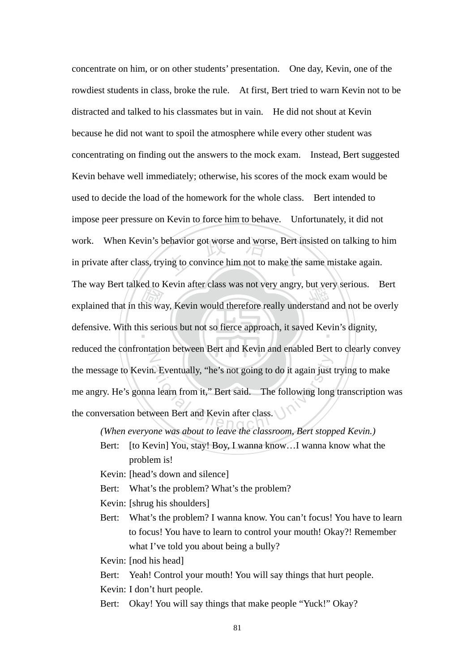The way Bert taked to Kevin after class was not very angry, but very serious. Bert<br>explained that in this way, Kevin would therefore really understand and not be overly<br>defensive. With this serious but not so fierce approa ehavior got worse and worse, Bert in<br>ing to convince him not to make the defensive. With this serious but not so fierce approach, it saved Kevin's dignity, N The Summary of the Summary of the Summary Series are set and Kevin after class.<br>
The following long<br>
Chenge Was about to leave the classroom Bert stop concentrate on him, or on other students' presentation. One day, Kevin, one of the rowdiest students in class, broke the rule. At first, Bert tried to warn Kevin not to be distracted and talked to his classmates but in vain. He did not shout at Kevin because he did not want to spoil the atmosphere while every other student was concentrating on finding out the answers to the mock exam. Instead, Bert suggested Kevin behave well immediately; otherwise, his scores of the mock exam would be used to decide the load of the homework for the whole class. Bert intended to impose peer pressure on Kevin to force him to behave. Unfortunately, it did not work. When Kevin's behavior got worse and worse, Bert insisted on talking to him in private after class, trying to convince him not to make the same mistake again. The way Bert talked to Kevin after class was not very angry, but very serious. Bert reduced the confrontation between Bert and Kevin and enabled Bert to clearly convey the message to Kevin. Eventually, "he's not going to do it again just trying to make me angry. He's gonna learn from it," Bert said. The following long transcription was the conversation between Bert and Kevin after class.

*(When everyone was about to leave the classroom, Bert stopped Kevin.)* 

Bert: [to Kevin] You, stay! Boy, I wanna know...I wanna know what the problem is!

Kevin: [head's down and silence]

Bert: What's the problem? What's the problem?

Kevin: [shrug his shoulders]

Bert: What's the problem? I wanna know. You can't focus! You have to learn to focus! You have to learn to control your mouth! Okay?! Remember what I've told you about being a bully?

Kevin: [nod his head]

Bert: Yeah! Control your mouth! You will say things that hurt people. Kevin: I don't hurt people.

Bert: Okay! You will say things that make people "Yuck!" Okay?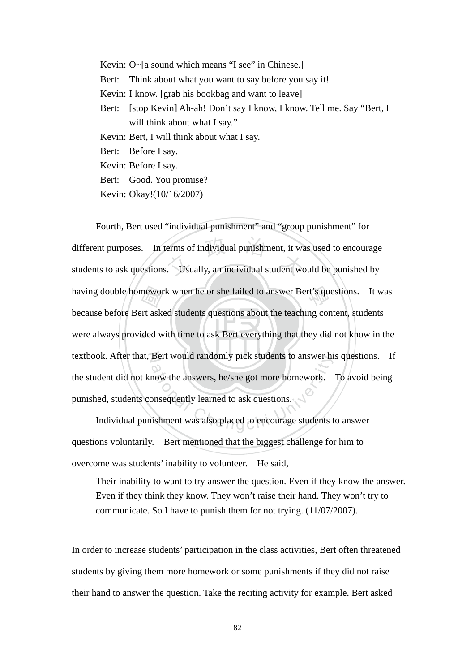Kevin: O~[a sound which means "I see" in Chinese.] Bert: Think about what you want to say before you say it! Kevin: I know. [grab his bookbag and want to leave] Bert: [stop Kevin] Ah-ah! Don't say I know, I know. Tell me. Say "Bert, I will think about what I say." Kevin: Bert, I will think about what I say. Bert: Before I say. Kevin: Before I say. Bert: Good. You promise? Kevin: Okay!(10/16/2007)

were always provided with time to ask Bert everything that they did not know in the having double homework when he or she failed to answer Bert's questions. It was<br>because before Bert asked students questions about the teaching content, students<br>were always provided with time to ask Bert everything that t different purposes. In terms of individual punishment, it was used to encourage<br>students to ask questions. Usually, an individual student would be punished by textbook. After that, Bert would randomly pick students to answer his questions. If Bert would randomly pick students to answer him<br>now the answers, he/she got more homework.<br>onsequently learned to ask questions. Fourth, Bert used "individual punishment" and "group punishment" for different purposes. In terms of individual punishment, it was used to encourage because before Bert asked students questions about the teaching content, students the student did not know the answers, he/she got more homework. To avoid being punished, students consequently learned to ask questions.

Individual punishment was also placed to encourage students to answer questions voluntarily. Bert mentioned that the biggest challenge for him to overcome was students' inability to volunteer. He said,

Their inability to want to try answer the question. Even if they know the answer. Even if they think they know. They won't raise their hand. They won't try to communicate. So I have to punish them for not trying. (11/07/2007).

In order to increase students' participation in the class activities, Bert often threatened students by giving them more homework or some punishments if they did not raise their hand to answer the question. Take the reciting activity for example. Bert asked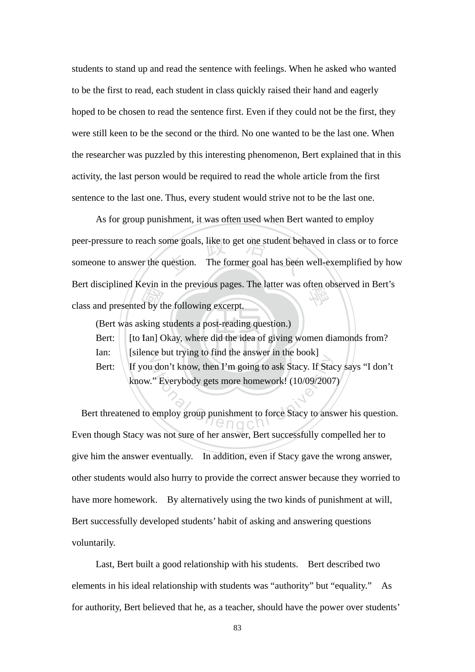students to stand up and read the sentence with feelings. When he asked who wanted to be the first to read, each student in class quickly raised their hand and eagerly hoped to be chosen to read the sentence first. Even if they could not be the first, they were still keen to be the second or the third. No one wanted to be the last one. When the researcher was puzzled by this interesting phenomenon, Bert explained that in this activity, the last person would be required to read the whole article from the first sentence to the last one. Thus, every student would strive not to be the last one.

d by the sking s<br>king s<br>Ian] C ome goals, like to get one student behavior. The former goal has been Bert disciplined Kevin in the previous pages. The latter was often observed in Bert's<br>class and presented by the following excerpt. As for group punishment, it was often used when Bert wanted to employ peer-pressure to reach some goals, like to get one student behaved in class or to force someone to answer the question. The former goal has been well-exemplified by how class and presented by the following excerpt.

(Bert was asking students a post-reading question.)

Bert: [to Ian] Okay, where did the idea of giving women diamonds from?

Ian: [silence but trying to find the answer in the book]

Bert: If you don't know, then I'm going to ask Stacy. If Stacy says "I don't know." Everybody gets more homework! (10/09/2007)

ation't know, then I'm going to ask Stacy. If State<br>  $\therefore$  Everybody gets more homework! (10/09/2007<br>
employ group punishment to force Stacy to anset Bert threatened to employ group punishment to force Stacy to answer his question. Even though Stacy was not sure of her answer, Bert successfully compelled her to give him the answer eventually. In addition, even if Stacy gave the wrong answer, other students would also hurry to provide the correct answer because they worried to have more homework. By alternatively using the two kinds of punishment at will, Bert successfully developed students' habit of asking and answering questions voluntarily.

Last, Bert built a good relationship with his students. Bert described two elements in his ideal relationship with students was "authority" but "equality." As for authority, Bert believed that he, as a teacher, should have the power over students'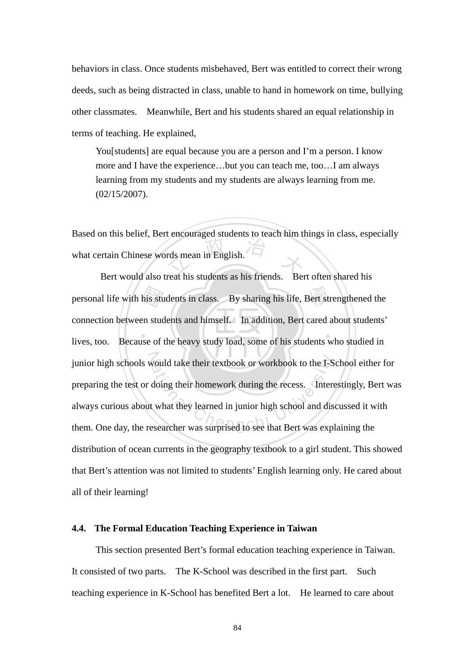behaviors in class. Once students misbehaved, Bert was entitled to correct their wrong deeds, such as being distracted in class, unable to hand in homework on time, bullying other classmates. Meanwhile, Bert and his students shared an equal relationship in terms of teaching. He explained,

You[students] are equal because you are a person and I'm a person. I know more and I have the experience…but you can teach me, too…I am always learning from my students and my students are always learning from me. (02/15/2007).

rds mean in English. Based on this belief, Bert encouraged students to teach him things in class, especially what certain Chinese words mean in English.

 $\mathcal{L}$  ,  $\mathcal{L}$  ,  $\mathcal{L}$  ,  $\mathcal{L}$  ,  $\mathcal{L}$ personal life with his students in class. By sharing his life, Bert strengthened the connection between students and himself. In addition, Bert cared about students' lives, too. Because of the heavy study load, some of his junior high schools would take their textbook or workbook to the I-School either for junior high schools would take their textbook or workbook to the I-School either<br>preparing the test or doing their homework during the recess. Interestingly, Be<br>always curious about what they learned in junior high school Bert would also treat his students as his friends. Bert often shared his connection between students and himself. In addition, Bert cared about students' lives, too. Because of the heavy study load, some of his students who studied in preparing the test or doing their homework during the recess. Interestingly, Bert was always curious about what they learned in junior high school and discussed it with distribution of ocean currents in the geography textbook to a girl student. This showed that Bert's attention was not limited to students' English learning only. He cared about all of their learning!

### **4.4. The Formal Education Teaching Experience in Taiwan**

This section presented Bert's formal education teaching experience in Taiwan. It consisted of two parts. The K-School was described in the first part. Such teaching experience in K-School has benefited Bert a lot. He learned to care about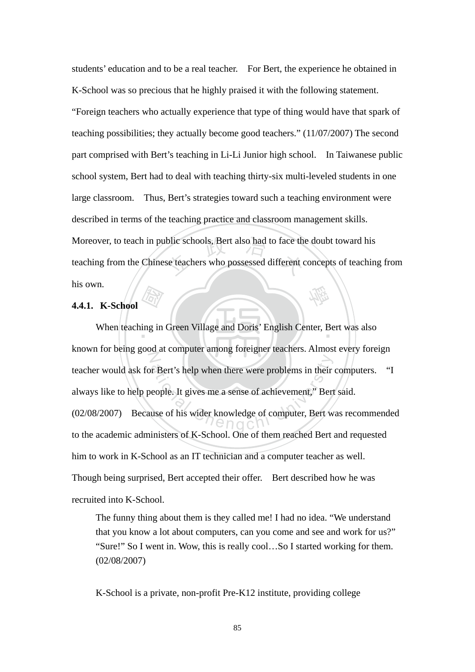Moreover, to teach in public schools, Bert also had to face the doubt toward his teaching from the Chinese teachers who possessed different concepts of teaching 學 students' education and to be a real teacher. For Bert, the experience he obtained in K-School was so precious that he highly praised it with the following statement. "Foreign teachers who actually experience that type of thing would have that spark of teaching possibilities; they actually become good teachers." (11/07/2007) The second part comprised with Bert's teaching in Li-Li Junior high school. In Taiwanese public school system, Bert had to deal with teaching thirty-six multi-leveled students in one large classroom. Thus, Bert's strategies toward such a teaching environment were described in terms of the teaching practice and classroom management skills. teaching from the Chinese teachers who possessed different concepts of teaching from his own.

# **4.4.1. K-School**

and the same of the same of the same of the same of the same of the same of the same of the same of the same of the same of the same of the same of the same of the same of the same of the same of the same of the same of th When teaching in Green Village and Doris' English Center, Bert was also N The Bert's help when there were problems in their<br>eople. It gives me a sense of achievement," Bert<br>use of his wider knowledge of computer, Bert w known for being good at computer among foreigner teachers. Almost every foreign teacher would ask for Bert's help when there were problems in their computers. "I always like to help people. It gives me a sense of achievement," Bert said. (02/08/2007) Because of his wider knowledge of computer, Bert was recommended to the academic administers of K-School. One of them reached Bert and requested him to work in K-School as an IT technician and a computer teacher as well. Though being surprised, Bert accepted their offer. Bert described how he was recruited into K-School.

The funny thing about them is they called me! I had no idea. "We understand that you know a lot about computers, can you come and see and work for us?" "Sure!" So I went in. Wow, this is really cool…So I started working for them. (02/08/2007)

K-School is a private, non-profit Pre-K12 institute, providing college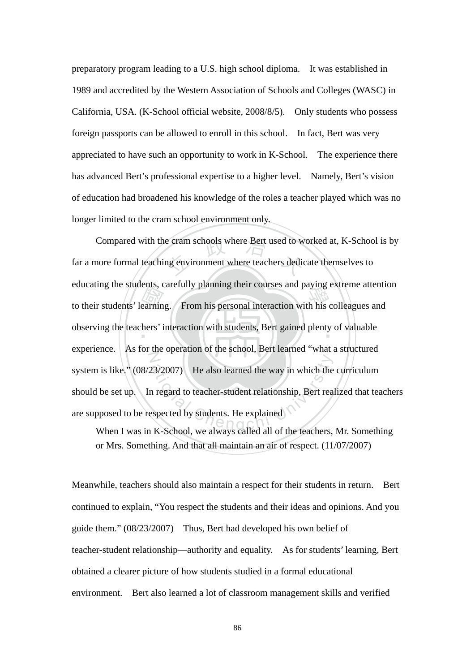preparatory program leading to a U.S. high school diploma. It was established in 1989 and accredited by the Western Association of Schools and Colleges (WASC) in California, USA. (K-School official website, 2008/8/5). Only students who possess foreign passports can be allowed to enroll in this school. In fact, Bert was very appreciated to have such an opportunity to work in K-School. The experience there has advanced Bert's professional expertise to a higher level. Namely, Bert's vision of education had broadened his knowledge of the roles a teacher played which was no longer limited to the cram school environment only.

to their students' learning. From his personal interaction with his colleagues and observing the teachers' interaction with students, Bert gained plenty of valuable e cram schools where Bert used to w<br>ng environment where teachers dedic observing the teachers' interaction with students, Bert gained plenty of valuable  $Z$  $(23/2007)$  He also learned the way in which the<br>
n regard to teacher-student relationship, Bert reaspected by students. He explained<br>
K-School we always called all of the teachers Compared with the cram schools where Bert used to worked at, K-School is by far a more formal teaching environment where teachers dedicate themselves to educating the students, carefully planning their courses and paying extreme attention experience. As for the operation of the school, Bert learned "what a structured system is like."  $(08/23/2007)$  He also learned the way in which the curriculum should be set up. In regard to teacher-student relationship, Bert realized that teachers are supposed to be respected by students. He explained

When I was in K-School, we always called all of the teachers, Mr. Something or Mrs. Something. And that all maintain an air of respect. (11/07/2007)

Meanwhile, teachers should also maintain a respect for their students in return. Bert continued to explain, "You respect the students and their ideas and opinions. And you guide them." (08/23/2007) Thus, Bert had developed his own belief of teacher-student relationship—authority and equality. As for students' learning, Bert obtained a clearer picture of how students studied in a formal educational environment. Bert also learned a lot of classroom management skills and verified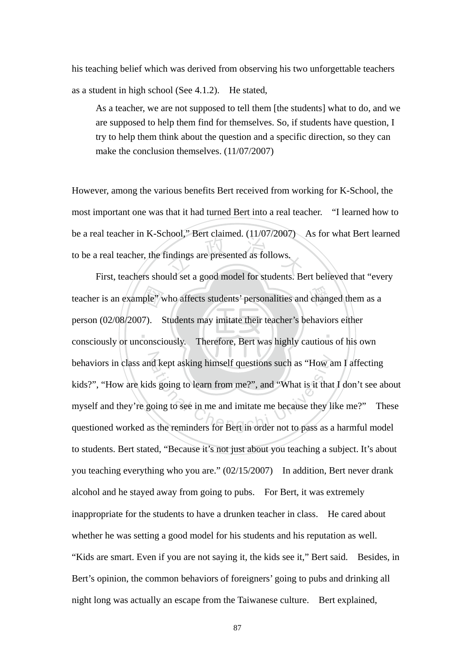his teaching belief which was derived from observing his two unforgettable teachers as a student in high school (See 4.1.2). He stated,

As a teacher, we are not supposed to tell them [the students] what to do, and we are supposed to help them find for themselves. So, if students have question, I try to help them think about the question and a specific direction, so they can make the conclusion themselves. (11/07/2007)

indings are presented as follows. However, among the various benefits Bert received from working for K-School, the most important one was that it had turned Bert into a real teacher. "I learned how to be a real teacher in K-School," Bert claimed. (11/07/2007) As for what Bert learned to be a real teacher, the findings are presented as follows.

 $\mathcal{L}$  ,  $\mathcal{L}$  ,  $\mathcal{L}$  ,  $\mathcal{L}$  ,  $\mathcal{L}$ ple" v<br>17).<br>consci teacher is an example" who affects students' personalities and changed them as a behaviors in class and kept asking himself questions such as "How am I affecting behaviors in class and kept asking himself questions such as "How am I affecting<br>kids?", "How are kids going to learn from me?", and "What is it that I don't see about<br>myself and they're going to see in me and imitate me b First, teachers should set a good model for students. Bert believed that "every person (02/08/2007). Students may imitate their teacher's behaviors either consciously or unconsciously. Therefore, Bert was highly cautious of his own kids?", "How are kids going to learn from me?", and "What is it that I don't see about myself and they're going to see in me and imitate me because they like me?" These to students. Bert stated, "Because it's not just about you teaching a subject. It's about you teaching everything who you are." (02/15/2007) In addition, Bert never drank alcohol and he stayed away from going to pubs. For Bert, it was extremely inappropriate for the students to have a drunken teacher in class. He cared about whether he was setting a good model for his students and his reputation as well. "Kids are smart. Even if you are not saying it, the kids see it," Bert said. Besides, in Bert's opinion, the common behaviors of foreigners' going to pubs and drinking all night long was actually an escape from the Taiwanese culture. Bert explained,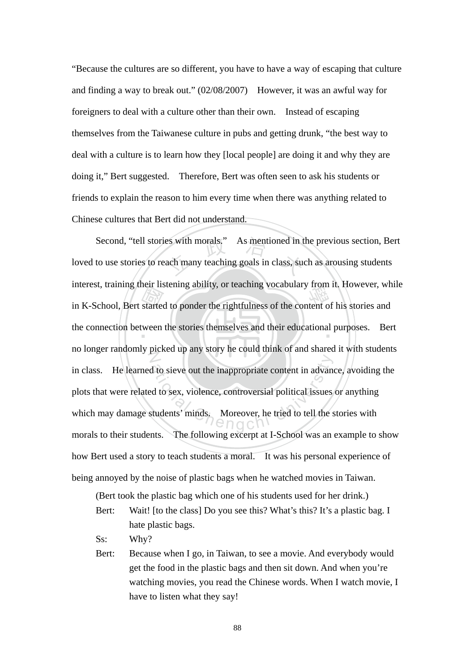"Because the cultures are so different, you have to have a way of escaping that culture and finding a way to break out." (02/08/2007) However, it was an awful way for foreigners to deal with a culture other than their own. Instead of escaping themselves from the Taiwanese culture in pubs and getting drunk, "the best way to deal with a culture is to learn how they [local people] are doing it and why they are doing it," Bert suggested. Therefore, Bert was often seen to ask his students or friends to explain the reason to him every time when there was anything related to Chinese cultures that Bert did not understand.

in K-School, Bert started to ponder the rightfulness of the content of his stories and<br>the connection between the stories themselves and their educational purposes. Ber es with morals." As mentioned in t<br>ach many teaching goals in class, sue the connection between the stories themselves and their educational purposes. Bert  $\mathbb{Z}$ d to sieve out the inappropriate content in advanced to sex, violence, controversial political issues<br>tudents' minds, Moreover, he tried to tell the s Second, "tell stories with morals." As mentioned in the previous section, Bert loved to use stories to reach many teaching goals in class, such as arousing students interest, training their listening ability, or teaching vocabulary from it. However, while no longer randomly picked up any story he could think of and shared it with students in class. He learned to sieve out the inappropriate content in advance, avoiding the plots that were related to sex, violence, controversial political issues or anything which may damage students' minds. Moreover, he tried to tell the stories with morals to their students. The following excerpt at I-School was an example to show how Bert used a story to teach students a moral. It was his personal experience of being annoyed by the noise of plastic bags when he watched movies in Taiwan.

(Bert took the plastic bag which one of his students used for her drink.)

- Ss: Why?
- Bert: Because when I go, in Taiwan, to see a movie. And everybody would get the food in the plastic bags and then sit down. And when you're watching movies, you read the Chinese words. When I watch movie, I have to listen what they say!

Bert: Wait! [to the class] Do you see this? What's this? It's a plastic bag. I hate plastic bags.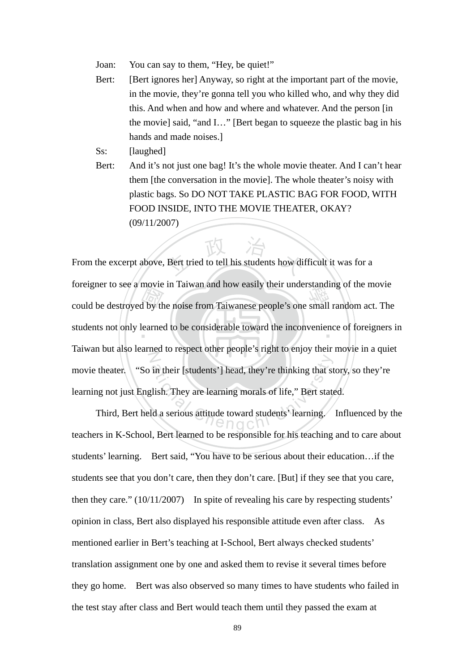- Joan: You can say to them, "Hey, be quiet!"
- Bert: [Bert ignores her] Anyway, so right at the important part of the movie, in the movie, they're gonna tell you who killed who, and why they did this. And when and how and where and whatever. And the person [in the movie] said, "and I…" [Bert began to squeeze the plastic bag in his hands and made noises.]
- Ss: [laughed]
- Bert: And it's not just one bag! It's the whole movie theater. And I can't hear them [the conversation in the movie]. The whole theater's noisy with plastic bags. So DO NOT TAKE PLASTIC BAG FOR FOOD, WITH FOOD INSIDE, INTO THE MOVIE THEATER, OKAY? (09/11/2007)

Example to see a movie in Taiwan and now easily then understanding of the movie<br>could be destroyed by the noise from Taiwanese people's one small random act. The<br>students not only learned to be considerable toward the inco Bert tried to tell his students how di students not only learned to be considerable toward the inconvenience of foreigners in N in their [students'] head, they're thinking that st<br>
lish. They are learning morals of life," Bert state<br>
ld a serious attitude toward students' learning. From the excerpt above, Bert tried to tell his students how difficult it was for a foreigner to see a movie in Taiwan and how easily their understanding of the movie Taiwan but also learned to respect other people's right to enjoy their movie in a quiet movie theater. "So in their [students'] head, they're thinking that story, so they're learning not just English. They are learning morals of life," Bert stated.

 Third, Bert held a serious attitude toward students' learning. Influenced by the teachers in K-School, Bert learned to be responsible for his teaching and to care about students' learning. Bert said, "You have to be serious about their education…if the students see that you don't care, then they don't care. [But] if they see that you care, then they care." (10/11/2007) In spite of revealing his care by respecting students' opinion in class, Bert also displayed his responsible attitude even after class. As mentioned earlier in Bert's teaching at I-School, Bert always checked students' translation assignment one by one and asked them to revise it several times before they go home. Bert was also observed so many times to have students who failed in the test stay after class and Bert would teach them until they passed the exam at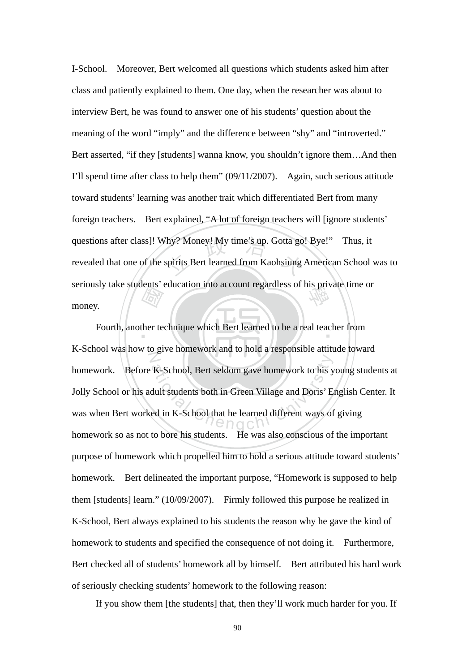the term of the term of the term of the term of the term of the term of the term of the term of the term of the term of the term of the term of the term of the term of the term of the term of the term of the term of the te questions after class]! Why? Money! My time's up. Gotta go! Bye!" Thus, it revealed that one of the spirits Bert learned from Kaohsiung American School seriously take students' education into account regardless of his private time or<br>money. I-School. Moreover, Bert welcomed all questions which students asked him after class and patiently explained to them. One day, when the researcher was about to interview Bert, he was found to answer one of his students' question about the meaning of the word "imply" and the difference between "shy" and "introverted." Bert asserted, "if they [students] wanna know, you shouldn't ignore them…And then I'll spend time after class to help them" (09/11/2007). Again, such serious attitude toward students' learning was another trait which differentiated Bert from many foreign teachers. Bert explained, "A lot of foreign teachers will [ignore students' revealed that one of the spirits Bert learned from Kaohsiung American School was to money.

Fourth, another technique which Bert learned to be a real teacher from  $\mathbb{Z}$ K-School, Bert seldom gave homework to his y<br>dult students both in Green Village and Doris' E<br>ed in K-School that he learned different ways of K-School was how to give homework and to hold a responsible attitude toward homework. Before K-School, Bert seldom gave homework to his young students at Jolly School or his adult students both in Green Village and Doris' English Center. It was when Bert worked in K-School that he learned different ways of giving homework so as not to bore his students. He was also conscious of the important purpose of homework which propelled him to hold a serious attitude toward students' homework. Bert delineated the important purpose, "Homework is supposed to help them [students] learn." (10/09/2007). Firmly followed this purpose he realized in K-School, Bert always explained to his students the reason why he gave the kind of homework to students and specified the consequence of not doing it. Furthermore, Bert checked all of students' homework all by himself. Bert attributed his hard work of seriously checking students' homework to the following reason:

If you show them [the students] that, then they'll work much harder for you. If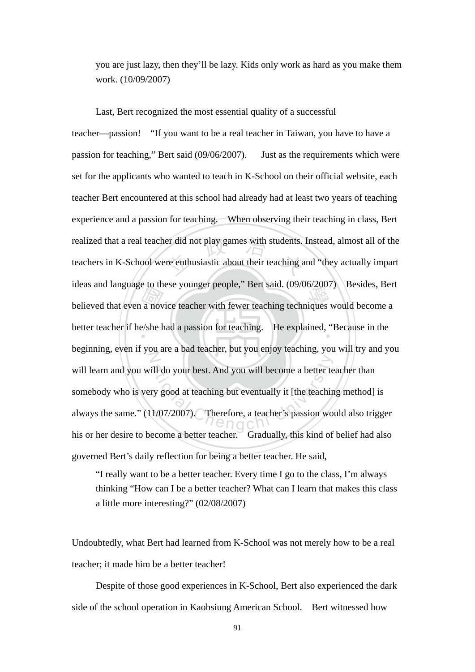you are just lazy, then they'll be lazy. Kids only work as hard as you make them work. (10/09/2007)

believed that even a novice teacher with fewer teaching techniques would become a<br>better teacher if he/she had a passion for teaching. He explained, "Because in the realized that a real teacher did not play games with students. Instead, almost all of the teachers in K-School were enthusiastic about their teaching and "they actually impart better teacher if he/she had a passion for teaching. He explained, "Because in the N ill do your best. And you will become a better te<br>ry good at teaching but eventually it [the teachin<br>1/07/2007). Therefore, a teacher's passion wo Last, Bert recognized the most essential quality of a successful teacher—passion! "If you want to be a real teacher in Taiwan, you have to have a passion for teaching," Bert said (09/06/2007). Just as the requirements which were set for the applicants who wanted to teach in K-School on their official website, each teacher Bert encountered at this school had already had at least two years of teaching experience and a passion for teaching. When observing their teaching in class, Bert teachers in K-School were enthusiastic about their teaching and "they actually impart ideas and language to these younger people," Bert said. (09/06/2007) Besides, Bert beginning, even if you are a bad teacher, but you enjoy teaching, you will try and you will learn and you will do your best. And you will become a better teacher than somebody who is very good at teaching but eventually it [the teaching method] is always the same." (11/07/2007). Therefore, a teacher's passion would also trigger his or her desire to become a better teacher. Gradually, this kind of belief had also governed Bert's daily reflection for being a better teacher. He said,

"I really want to be a better teacher. Every time I go to the class, I'm always thinking "How can I be a better teacher? What can I learn that makes this class a little more interesting?" (02/08/2007)

Undoubtedly, what Bert had learned from K-School was not merely how to be a real teacher; it made him be a better teacher!

 Despite of those good experiences in K-School, Bert also experienced the dark side of the school operation in Kaohsiung American School. Bert witnessed how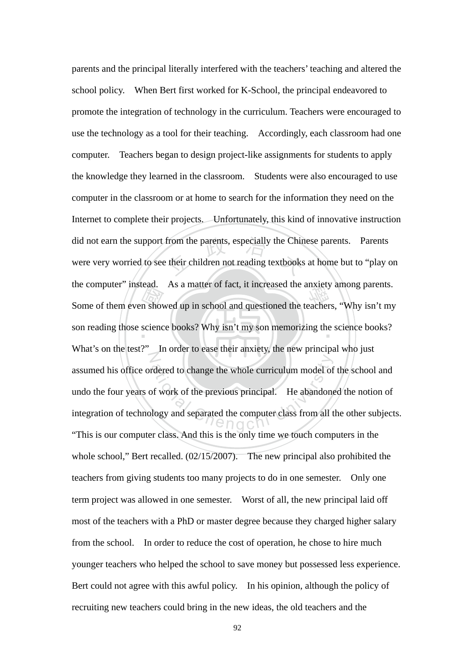Some of them even showed up in school and questioned the teachers, "Why isn't my<br>son reading those science books? Why isn't my son memorizing the science books? did not earn the support from the parents, especially the Chinese parents. Parents<br>were very worried to see their children not reading textbooks at home but to "play of son reading those science books? Why isn't my son memorizing the science books?  $\mathcal{I}% _{M_{1},M_{2}}^{\alpha,\beta}(\varepsilon)=\mathcal{I}_{M_{1},M_{2}}^{\alpha,\beta}(\varepsilon)$ rdered to change the whole curriculum model of<br>of work of the previous principal. He abandone<br>logy and separated the computer class from all t parents and the principal literally interfered with the teachers' teaching and altered the school policy. When Bert first worked for K-School, the principal endeavored to promote the integration of technology in the curriculum. Teachers were encouraged to use the technology as a tool for their teaching. Accordingly, each classroom had one computer. Teachers began to design project-like assignments for students to apply the knowledge they learned in the classroom. Students were also encouraged to use computer in the classroom or at home to search for the information they need on the Internet to complete their projects. Unfortunately, this kind of innovative instruction were very worried to see their children not reading textbooks at home but to "play on the computer" instead. As a matter of fact, it increased the anxiety among parents. What's on the test?" In order to ease their anxiety, the new principal who just assumed his office ordered to change the whole curriculum model of the school and undo the four years of work of the previous principal. He abandoned the notion of integration of technology and separated the computer class from all the other subjects. "This is our computer class. And this is the only time we touch computers in the whole school," Bert recalled. (02/15/2007). The new principal also prohibited the teachers from giving students too many projects to do in one semester. Only one term project was allowed in one semester. Worst of all, the new principal laid off most of the teachers with a PhD or master degree because they charged higher salary from the school. In order to reduce the cost of operation, he chose to hire much younger teachers who helped the school to save money but possessed less experience. Bert could not agree with this awful policy. In his opinion, although the policy of recruiting new teachers could bring in the new ideas, the old teachers and the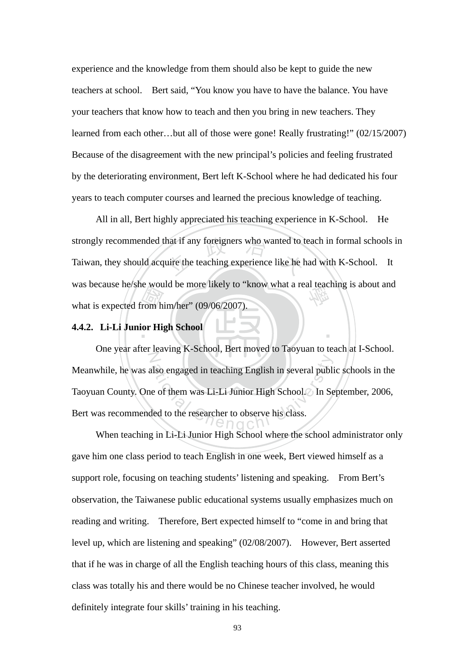experience and the knowledge from them should also be kept to guide the new teachers at school. Bert said, "You know you have to have the balance. You have your teachers that know how to teach and then you bring in new teachers. They learned from each other…but all of those were gone! Really frustrating!" (02/15/2007) Because of the disagreement with the new principal's policies and feeling frustrated by the deteriorating environment, Bert left K-School where he had dedicated his four years to teach computer courses and learned the precious knowledge of teaching.

rom h<br>ior His hat if any foreigners who wanted to the teaching experience like he has was because he/she would be more likely to "know what a real teaching is about and<br>what is expected from him/her" (09/06/2007). All in all, Bert highly appreciated his teaching experience in K-School. He strongly recommended that if any foreigners who wanted to teach in formal schools in Taiwan, they should acquire the teaching experience like he had with K-School. It what is expected from him/her" (09/06/2007).

# **4.4.2. Li-Li Junior High School**

N also engaged in teaching English in several publicant e of them was Li-Li Junior High School. In Second lead to the researcher to observe his class. One year after leaving K-School, Bert moved to Taoyuan to teach at I-School. Meanwhile, he was also engaged in teaching English in several public schools in the Taoyuan County. One of them was Li-Li Junior High School. In September, 2006, Bert was recommended to the researcher to observe his class.

‧

 When teaching in Li-Li Junior High School where the school administrator only gave him one class period to teach English in one week, Bert viewed himself as a support role, focusing on teaching students' listening and speaking. From Bert's observation, the Taiwanese public educational systems usually emphasizes much on reading and writing. Therefore, Bert expected himself to "come in and bring that level up, which are listening and speaking" (02/08/2007). However, Bert asserted that if he was in charge of all the English teaching hours of this class, meaning this class was totally his and there would be no Chinese teacher involved, he would definitely integrate four skills' training in his teaching.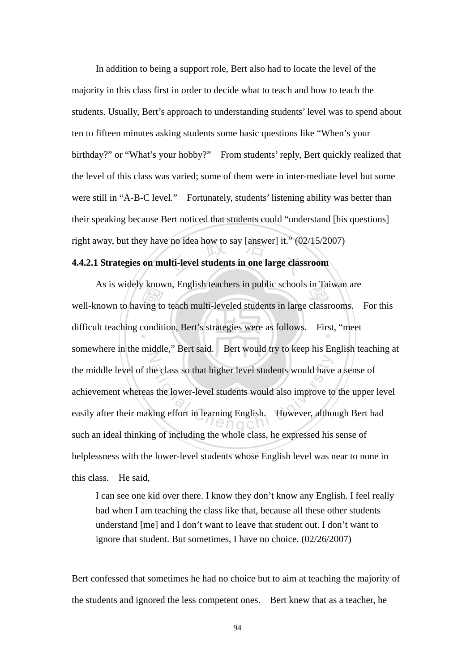e no idea how to say [answer] it." (02<br>**1lti-level students in one large class**  In addition to being a support role, Bert also had to locate the level of the majority in this class first in order to decide what to teach and how to teach the students. Usually, Bert's approach to understanding students' level was to spend about ten to fifteen minutes asking students some basic questions like "When's your birthday?" or "What's your hobby?" From students' reply, Bert quickly realized that the level of this class was varied; some of them were in inter-mediate level but some were still in "A-B-C level." Fortunately, students' listening ability was better than their speaking because Bert noticed that students could "understand [his questions] right away, but they have no idea how to say [answer] it." (02/15/2007)

### **4.4.2.1 Strategies on multi-level students in one large classroom**

As is widely known, English teachers in public schools in Talwah are<br>well-known to having to teach multi-leveled students in large classrooms. For this<br>difficult teaching condition, Bert's strategies were as follows. First difficult teaching condition, Bert's strategies were as follows. First, "meet N ational Chengchi University of the lower-level students would have<br>the lower-level students would also improve to<br>ting effort in learning English. However, altho As is widely known, English teachers in public schools in Taiwan are somewhere in the middle," Bert said. Bert would try to keep his English teaching at the middle level of the class so that higher level students would have a sense of achievement whereas the lower-level students would also improve to the upper level easily after their making effort in learning English. However, although Bert had such an ideal thinking of including the whole class, he expressed his sense of helplessness with the lower-level students whose English level was near to none in this class. He said,

I can see one kid over there. I know they don't know any English. I feel really bad when I am teaching the class like that, because all these other students understand [me] and I don't want to leave that student out. I don't want to ignore that student. But sometimes, I have no choice. (02/26/2007)

Bert confessed that sometimes he had no choice but to aim at teaching the majority of the students and ignored the less competent ones. Bert knew that as a teacher, he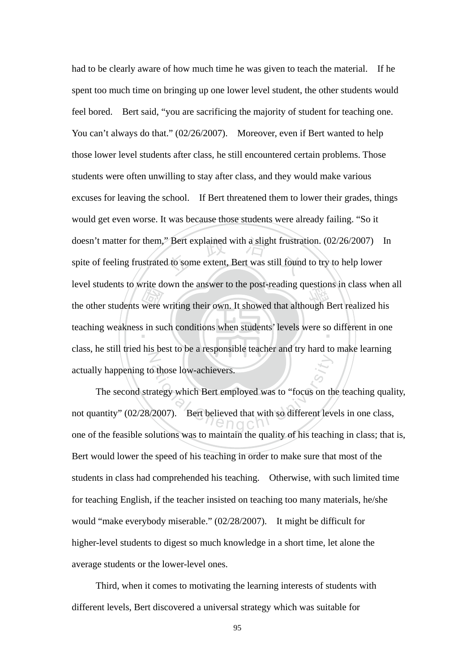the other students were writing their own. It showed that although Bert realized his teaching weakness in such conditions when students' levels were so different in one doesn't matter for them," Bert explained with a slight frustration. (02/26/2007) In spite of feeling frustrated to some extent, Bert was still found to try to help lower teaching weakness in such conditions when students' levels were so different in one N had to be clearly aware of how much time he was given to teach the material. If he spent too much time on bringing up one lower level student, the other students would feel bored. Bert said, "you are sacrificing the majority of student for teaching one. You can't always do that." (02/26/2007). Moreover, even if Bert wanted to help those lower level students after class, he still encountered certain problems. Those students were often unwilling to stay after class, and they would make various excuses for leaving the school. If Bert threatened them to lower their grades, things would get even worse. It was because those students were already failing. "So it spite of feeling frustrated to some extent, Bert was still found to try to help lower level students to write down the answer to the post-reading questions in class when all class, he still tried his best to be a responsible teacher and try hard to make learning actually happening to those low-achievers.

The Sum of the University which Bert employed was to "focus on the Chengchi University of the Chengchi University of Chengchi University of Chengchi University of Chengchi University of Chengchi University of Chengchi Univ The second strategy which Bert employed was to "focus on the teaching quality, not quantity" (02/28/2007). Bert believed that with so different levels in one class, one of the feasible solutions was to maintain the quality of his teaching in class; that is, Bert would lower the speed of his teaching in order to make sure that most of the students in class had comprehended his teaching. Otherwise, with such limited time for teaching English, if the teacher insisted on teaching too many materials, he/she would "make everybody miserable." (02/28/2007). It might be difficult for higher-level students to digest so much knowledge in a short time, let alone the average students or the lower-level ones.

 Third, when it comes to motivating the learning interests of students with different levels, Bert discovered a universal strategy which was suitable for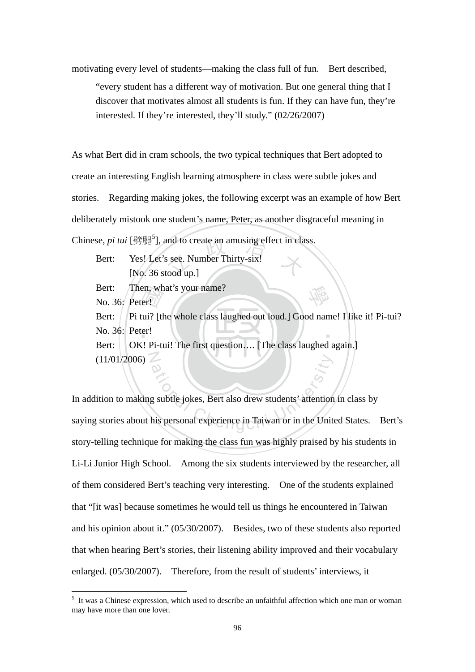motivating every level of students—making the class full of fun. Bert described, "every student has a different way of motivation. But one general thing that I discover that motivates almost all students is fun. If they can have fun, they're interested. If they're interested, they'll study." (02/26/2007)

As what Bert did in cram schools, the two typical techniques that Bert adopted to create an interesting English learning atmosphere in class were subtle jokes and stories. Regarding making jokes, the following excerpt was an example of how Bert deliberately mistook one student's name, Peter, as another disgraceful meaning in

- Thinese, *pi tui* [劈腿<sup>5</sup>], and to create an amusing effect in class.<br>Bert: Yes! Let's see. Number Thirty-six!<br>[No. 36 stood up.] Bert: Yes! Let's see. Number Thirty-six! [No. 36 stood up.]
	- Bert: Then, what's your name?

No. 36: Peter!

<u>.</u>

en, wh<br>er!<br>tui? [tl<br>cr!<br>1 Pi-tr ‧ Bert: | Pi tui? [the whole class laughed out loud.] Good name! I like it! Pi-tui? No. 36: Peter!

學

 $(11/01/2006)$ Bert: OK! Pi-tui! The first question.... [The class laughed again.]

ation<br>g subtle jokes, Bert also drew students' attention<br>his personal experience in Taiwan or in the Unit In addition to making subtle jokes, Bert also drew students' attention in class by saying stories about his personal experience in Taiwan or in the United States. Bert's story-telling technique for making the class fun was highly praised by his students in Li-Li Junior High School. Among the six students interviewed by the researcher, all of them considered Bert's teaching very interesting. One of the students explained that "[it was] because sometimes he would tell us things he encountered in Taiwan and his opinion about it." (05/30/2007). Besides, two of these students also reported that when hearing Bert's stories, their listening ability improved and their vocabulary enlarged. (05/30/2007). Therefore, from the result of students' interviews, it

<sup>&</sup>lt;sup>5</sup> It was a Chinese expression, which used to describe an unfaithful affection which one man or woman may have more than one lover.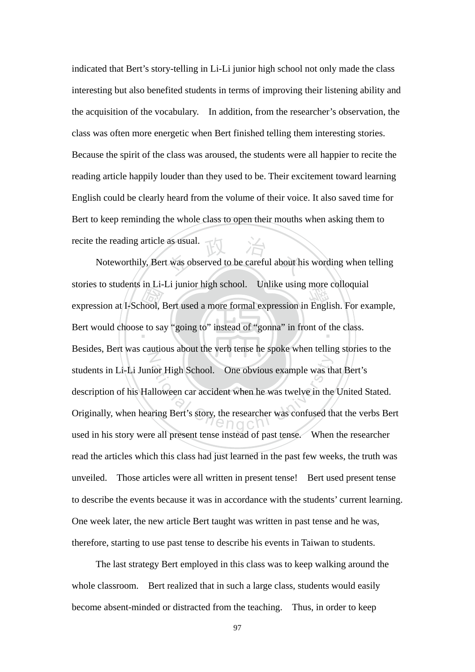indicated that Bert's story-telling in Li-Li junior high school not only made the class interesting but also benefited students in terms of improving their listening ability and the acquisition of the vocabulary. In addition, from the researcher's observation, the class was often more energetic when Bert finished telling them interesting stories. Because the spirit of the class was aroused, the students were all happier to recite the reading article happily louder than they used to be. Their excitement toward learning English could be clearly heard from the volume of their voice. It also saved time for Bert to keep reminding the whole class to open their mouths when asking them to recite the reading article as usual.

m<br>hool, l<br>e to sa as usual.<br>t was observed to be careful about hi stories to students in EI-EI junior high school. Unlike using inote conoquiar<br>expression at I-School, Bert used a more formal expression in English. For example, Bert would choose to say "going to" instead of "gonna" in front of the class. N Figh School. One obvious example was the<br>Illoween car accident when he was twelve in the<br>Illoween car accident when he was twelve in the<br>Iniversity of  $\bigcap_{n=0}^{\infty}$  Chenger was confused the Noteworthily, Bert was observed to be careful about his wording when telling stories to students in Li-Li junior high school. Unlike using more colloquial Besides, Bert was cautious about the verb tense he spoke when telling stories to the students in Li-Li Junior High School. One obvious example was that Bert's description of his Halloween car accident when he was twelve in the United Stated. Originally, when hearing Bert's story, the researcher was confused that the verbs Bert used in his story were all present tense instead of past tense. When the researcher read the articles which this class had just learned in the past few weeks, the truth was unveiled. Those articles were all written in present tense! Bert used present tense to describe the events because it was in accordance with the students' current learning. One week later, the new article Bert taught was written in past tense and he was, therefore, starting to use past tense to describe his events in Taiwan to students.

 The last strategy Bert employed in this class was to keep walking around the whole classroom. Bert realized that in such a large class, students would easily become absent-minded or distracted from the teaching. Thus, in order to keep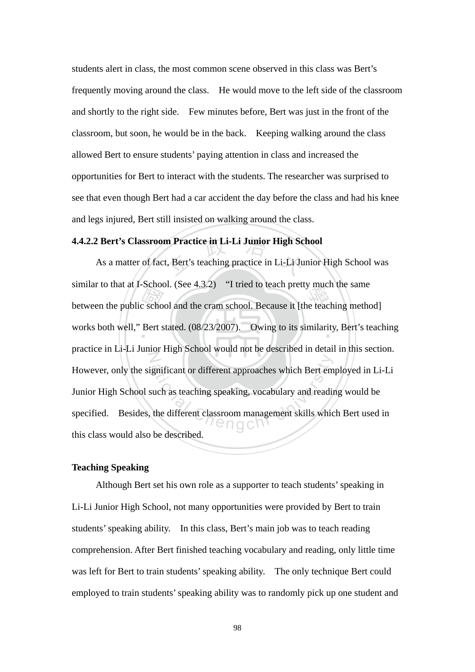students alert in class, the most common scene observed in this class was Bert's frequently moving around the class. He would move to the left side of the classroom and shortly to the right side. Few minutes before, Bert was just in the front of the classroom, but soon, he would be in the back. Keeping walking around the class allowed Bert to ensure students' paying attention in class and increased the opportunities for Bert to interact with the students. The researcher was surprised to see that even though Bert had a car accident the day before the class and had his knee and legs injured, Bert still insisted on walking around the class.

### **4.4.2.2 Bert's Classroom Practice in Li-Li Junior High School**

between the public school and the cram school. Because it [the teaching method]<br>works both well," Bert stated.  $(08/23/2007)$ . Owing to its similarity, Bert's teach **n Practice in Li-Li Junior High Sc**<br>t, Bert's teaching practice in Li-Li Ju works both well," Bert stated. (08/23/2007). Owing to its similarity, Bert's teaching N gnificant or different approaches which Bert em<br>such as teaching speaking, vocabulary and readin<br>the different classroom management skills which As a matter of fact, Bert's teaching practice in Li-Li Junior High School was similar to that at I-School. (See 4.3.2) "I tried to teach pretty much the same practice in Li-Li Junior High School would not be described in detail in this section. However, only the significant or different approaches which Bert employed in Li-Li Junior High School such as teaching speaking, vocabulary and reading would be specified. Besides, the different classroom management skills which Bert used in this class would also be described.

### **Teaching Speaking**

 Although Bert set his own role as a supporter to teach students' speaking in Li-Li Junior High School, not many opportunities were provided by Bert to train students' speaking ability. In this class, Bert's main job was to teach reading comprehension. After Bert finished teaching vocabulary and reading, only little time was left for Bert to train students' speaking ability. The only technique Bert could employed to train students' speaking ability was to randomly pick up one student and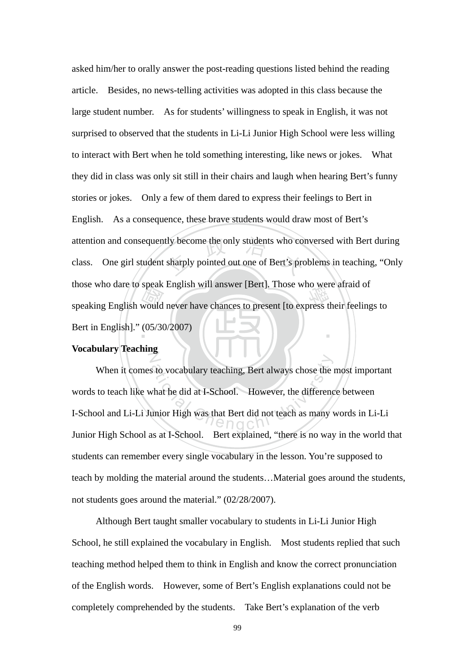mose who date to speak English will alswel [Bert]. Those who were arratd of<br>speaking English would never have chances to present [to express their feelings to<br>Bert in English]." (05/30/2007) the second the only students who constantly pointed out one of Bert's pro ‧ asked him/her to orally answer the post-reading questions listed behind the reading article. Besides, no news-telling activities was adopted in this class because the large student number. As for students' willingness to speak in English, it was not surprised to observed that the students in Li-Li Junior High School were less willing to interact with Bert when he told something interesting, like news or jokes. What they did in class was only sit still in their chairs and laugh when hearing Bert's funny stories or jokes. Only a few of them dared to express their feelings to Bert in English. As a consequence, these brave students would draw most of Bert's attention and consequently become the only students who conversed with Bert during class. One girl student sharply pointed out one of Bert's problems in teaching, "Only those who dare to speak English will answer [Bert]. Those who were afraid of Bert in English]." (05/30/2007)

#### $\mathbb Z$ **Vocabulary Teaching**

ational Chenge Stoward Chenge Stoward Chengchi University of the difference University Property of the University OF OCH Chenge Stock Chenge Stock Chenge Stock Chenge Stock Chenge Stock Chenge Stock Chenge Stock Chenge Sto When it comes to vocabulary teaching, Bert always chose the most important words to teach like what he did at I-School. However, the difference between I-School and Li-Li Junior High was that Bert did not teach as many words in Li-Li Junior High School as at I-School. Bert explained, "there is no way in the world that students can remember every single vocabulary in the lesson. You're supposed to teach by molding the material around the students…Material goes around the students, not students goes around the material." (02/28/2007).

Although Bert taught smaller vocabulary to students in Li-Li Junior High School, he still explained the vocabulary in English. Most students replied that such teaching method helped them to think in English and know the correct pronunciation of the English words. However, some of Bert's English explanations could not be completely comprehended by the students. Take Bert's explanation of the verb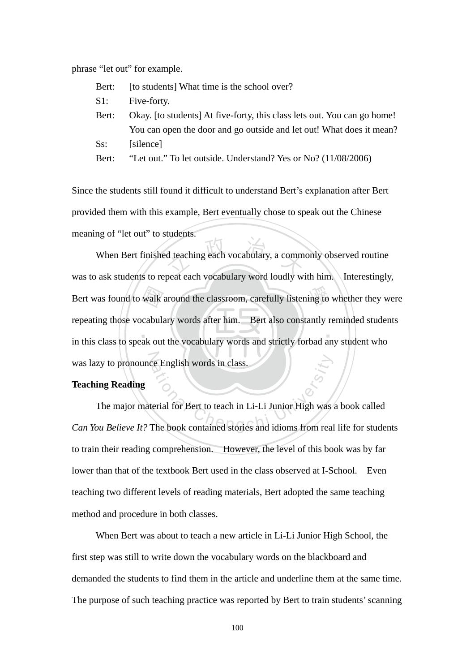phrase "let out" for example.

| Bert:  | [to students] What time is the school over?                              |
|--------|--------------------------------------------------------------------------|
| S1:    | Five-forty.                                                              |
| Bert:  | Okay. [to students] At five-forty, this class lets out. You can go home! |
|        | You can open the door and go outside and let out! What does it mean?     |
| $Ss$ : | [silence]                                                                |
| Bert:  | "Let out." To let outside. Understand? Yes or No? (11/08/2006)           |

Since the students still found it difficult to understand Bert's explanation after Bert provided them with this example, Bert eventually chose to speak out the Chinese meaning of "let out" to students.

in this class to speak out the vocabulary words and strictly forbad any student who Bert was found to walk around the classroom, carefully listening to whether they were<br>repeating those vocabulary words after him. Bert also constantly reminded students<br>in this class to speak out the vocabulary words and s d teaching each vocabulary, a comm ‧ was lazy to pronounce English words in class. When Bert finished teaching each vocabulary, a commonly observed routine was to ask students to repeat each vocabulary word loudly with him. Interestingly, repeating those vocabulary words after him. Bert also constantly reminded students

# **Teaching Reading**

The Book contained stories and idioms from real The major material for Bert to teach in Li-Li Junior High was a book called *Can You Believe It?* The book contained stories and idioms from real life for students to train their reading comprehension. However, the level of this book was by far lower than that of the textbook Bert used in the class observed at I-School. Even teaching two different levels of reading materials, Bert adopted the same teaching method and procedure in both classes.

 When Bert was about to teach a new article in Li-Li Junior High School, the first step was still to write down the vocabulary words on the blackboard and demanded the students to find them in the article and underline them at the same time. The purpose of such teaching practice was reported by Bert to train students' scanning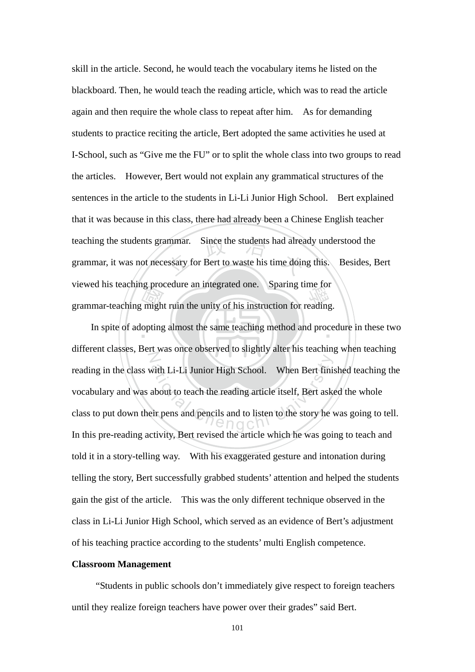responsi<br>migh<br>opting mmar. Since the students had already<br>essary for Bert to waste his time doin viewed insteaching procedure an integrated one. Sparing time for<br>grammar-teaching might ruin the unity of his instruction for reading. skill in the article. Second, he would teach the vocabulary items he listed on the blackboard. Then, he would teach the reading article, which was to read the article again and then require the whole class to repeat after him. As for demanding students to practice reciting the article, Bert adopted the same activities he used at I-School, such as "Give me the FU" or to split the whole class into two groups to read the articles. However, Bert would not explain any grammatical structures of the sentences in the article to the students in Li-Li Junior High School. Bert explained that it was because in this class, there had already been a Chinese English teacher teaching the students grammar. Since the students had already understood the grammar, it was not necessary for Bert to waste his time doing this. Besides, Bert viewed his teaching procedure an integrated one. Sparing time for

In spite of adopting almost the same teaching method and procedure in these two N with Li-Li Junior High School. When Bert finis<br>about to teach the reading article itself, Bert asketir pens and pencils and to listen to the story he different classes, Bert was once observed to slightly alter his teaching when teaching reading in the class with Li-Li Junior High School. When Bert finished teaching the vocabulary and was about to teach the reading article itself, Bert asked the whole class to put down their pens and pencils and to listen to the story he was going to tell. In this pre-reading activity, Bert revised the article which he was going to teach and told it in a story-telling way. With his exaggerated gesture and intonation during telling the story, Bert successfully grabbed students' attention and helped the students gain the gist of the article. This was the only different technique observed in the class in Li-Li Junior High School, which served as an evidence of Bert's adjustment of his teaching practice according to the students' multi English competence.

#### **Classroom Management**

 "Students in public schools don't immediately give respect to foreign teachers until they realize foreign teachers have power over their grades" said Bert.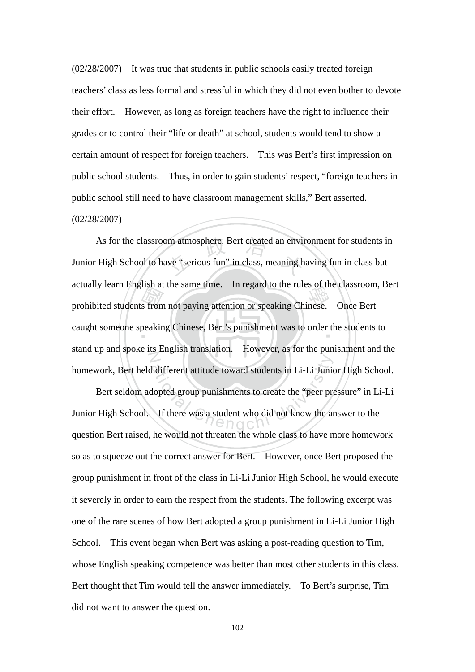(02/28/2007) It was true that students in public schools easily treated foreign teachers' class as less formal and stressful in which they did not even bother to devote their effort. However, as long as foreign teachers have the right to influence their grades or to control their "life or death" at school, students would tend to show a certain amount of respect for foreign teachers. This was Bert's first impression on public school students. Thus, in order to gain students' respect, "foreign teachers in public school still need to have classroom management skills," Bert asserted. (02/28/2007)

actuary learn English at the same time. In regard to the rules of the classroom<br>prohibited students from not paying attention or speaking Chinese. Once Bert<br>caught someone speaking Chinese, Bert's punishment was to order t om atmosphere, Bert created an envir<br>ave "serious fun" in class, meaning h caught someone speaking Chinese, Bert's punishment was to order the students to N As for the classroom atmosphere, Bert created an environment for students in Junior High School to have "serious fun" in class, meaning having fun in class but actually learn English at the same time. In regard to the rules of the classroom, Bert stand up and spoke its English translation. However, as for the punishment and the homework, Bert held different attitude toward students in Li-Li Junior High School.

ation<br>
different attitude toward students in Li-Li Junion<br>
dopted group punishments to create the "peer property<br>
If there was a student who did not know the an Bert seldom adopted group punishments to create the "peer pressure" in Li-Li Junior High School. If there was a student who did not know the answer to the question Bert raised, he would not threaten the whole class to have more homework so as to squeeze out the correct answer for Bert. However, once Bert proposed the group punishment in front of the class in Li-Li Junior High School, he would execute it severely in order to earn the respect from the students. The following excerpt was one of the rare scenes of how Bert adopted a group punishment in Li-Li Junior High School. This event began when Bert was asking a post-reading question to Tim, whose English speaking competence was better than most other students in this class. Bert thought that Tim would tell the answer immediately. To Bert's surprise, Tim did not want to answer the question.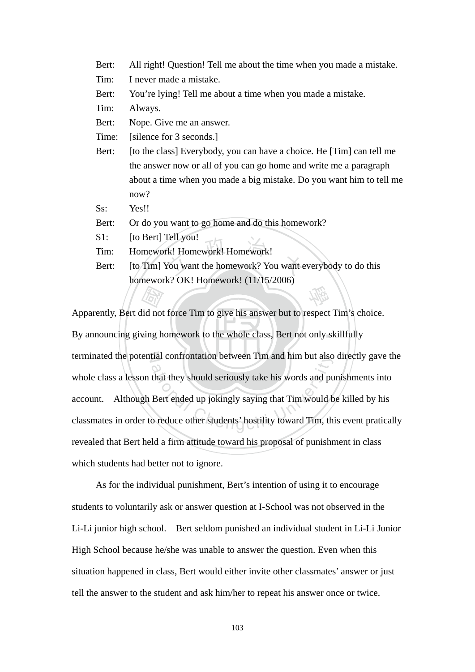- Bert: All right! Question! Tell me about the time when you made a mistake.
- Tim: I never made a mistake.
- Bert: You're lying! Tell me about a time when you made a mistake.
- Tim: Always.
- Bert: Nope. Give me an answer.
- Time: [silence for 3 seconds.]
- Bert: [to the class] Everybody, you can have a choice. He [Tim] can tell me the answer now or all of you can go home and write me a paragraph about a time when you made a big mistake. Do you want him to tell me now?

Ss: Yes!!

- Bert: Or do you want to go home and do this homework?
- S1: [to Bert] Tell you!
- Tim: Homework! Homework! Homework!
- S1: [to Bert] Tell you!<br>Tim: Homework! Homework! Homework!<br>Bert: [to Tim] You want the homework? You want everybody to do this 學 homework? OK! Homework! (11/15/2006)

By announcing giving homework to the whole class, Bert not only skillfully and the same of the same of the same of the same of the same of the same of the same of the same of the same of the same of the same of the same of the same of the same of the same of the same of the same of the same of th terminated the potential confrontation between Tim and him but also directly gave the tial controntation between 11m and him but also<br>that they should seriously take his words and pu<br>Bert ended up jokingly saying that Tim would b<br>o reduce other students' hostility toward Tim, th Apparently, Bert did not force Tim to give his answer but to respect Tim's choice. whole class a lesson that they should seriously take his words and punishments into account. Although Bert ended up jokingly saying that Tim would be killed by his classmates in order to reduce other students' hostility toward Tim, this event pratically revealed that Bert held a firm attitude toward his proposal of punishment in class which students had better not to ignore.

 As for the individual punishment, Bert's intention of using it to encourage students to voluntarily ask or answer question at I-School was not observed in the Li-Li junior high school. Bert seldom punished an individual student in Li-Li Junior High School because he/she was unable to answer the question. Even when this situation happened in class, Bert would either invite other classmates' answer or just tell the answer to the student and ask him/her to repeat his answer once or twice.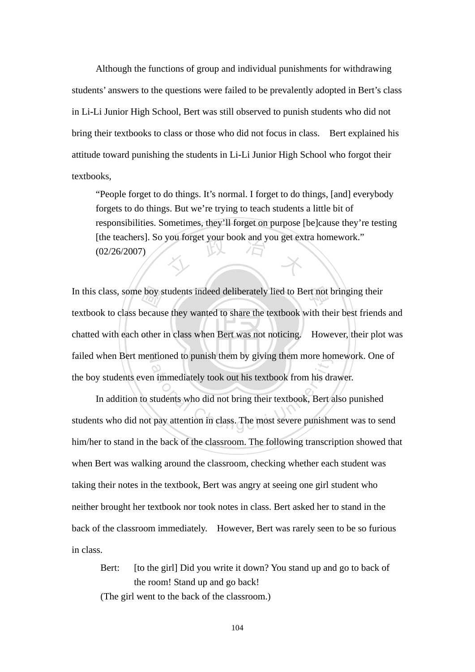Although the functions of group and individual punishments for withdrawing students' answers to the questions were failed to be prevalently adopted in Bert's class in Li-Li Junior High School, Bert was still observed to punish students who did not bring their textbooks to class or those who did not focus in class. Bert explained his attitude toward punishing the students in Li-Li Junior High School who forgot their textbooks,

[the teachers]. So you forget your book and you get extra homework."<br>(02/26/2007) "People forget to do things. It's normal. I forget to do things, [and] everybody forgets to do things. But we're trying to teach students a little bit of responsibilities. Sometimes, they'll forget on purpose [be]cause they're testing (02/26/2007)

chatted with each other in class when Bert was not noticing. However, their plot was boy s<br>becaus<br>other In this class, some boy students indeed deliberately lied to Bert not bringing their failed when Bert mentioned to punish them by giving them more homework. One of textbook to class because they wanted to share the textbook with their best friends and the boy students even immediately took out his textbook from his drawer.

ntioned to punish them by giving them more hor<br>a immediately took out his textbook from his dra<br>students who did not bring their textbook, Bert a<br>pay attention in class. The most severe punishn In addition to students who did not bring their textbook, Bert also punished students who did not pay attention in class. The most severe punishment was to send him/her to stand in the back of the classroom. The following transcription showed that when Bert was walking around the classroom, checking whether each student was taking their notes in the textbook, Bert was angry at seeing one girl student who neither brought her textbook nor took notes in class. Bert asked her to stand in the back of the classroom immediately. However, Bert was rarely seen to be so furious in class.

Bert: [to the girl] Did you write it down? You stand up and go to back of the room! Stand up and go back! (The girl went to the back of the classroom.)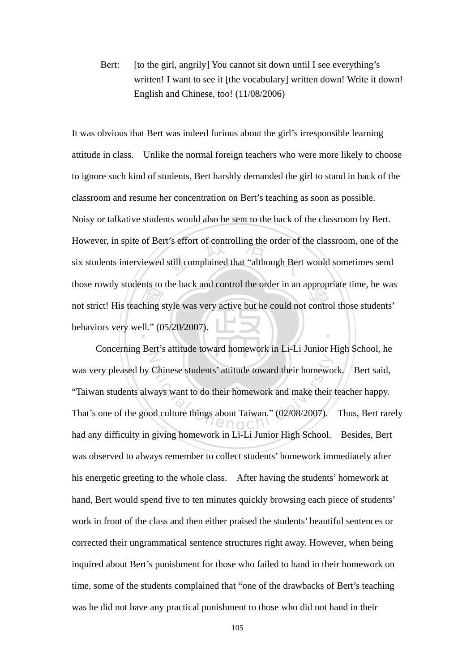Bert: [to the girl, angrily] You cannot sit down until I see everything's written! I want to see it [the vocabulary] written down! Write it down! English and Chinese, too! (11/08/2006)

mot strict! His teaching style was very active but he could not control those students'<br>behaviors very well." (05/20/2007). However, in spite of Bert's effort of controlling the order of the classroom, one of the six students interviewed still complained that "although Bert would sometimes send ‧ It was obvious that Bert was indeed furious about the girl's irresponsible learning attitude in class. Unlike the normal foreign teachers who were more likely to choose to ignore such kind of students, Bert harshly demanded the girl to stand in back of the classroom and resume her concentration on Bert's teaching as soon as possible. Noisy or talkative students would also be sent to the back of the classroom by Bert. six students interviewed still complained that "although Bert would sometimes send those rowdy students to the back and control the order in an appropriate time, he was behaviors very well." (05/20/2007).

N Chinese students' attitude toward their homework<br>ways want to do their homework and make their<br>od culture things about Taiwan." (02/08/2007). Concerning Bert's attitude toward homework in Li-Li Junior High School, he was very pleased by Chinese students' attitude toward their homework. Bert said, "Taiwan students always want to do their homework and make their teacher happy. That's one of the good culture things about Taiwan." (02/08/2007). Thus, Bert rarely had any difficulty in giving homework in Li-Li Junior High School. Besides, Bert was observed to always remember to collect students' homework immediately after his energetic greeting to the whole class. After having the students' homework at hand, Bert would spend five to ten minutes quickly browsing each piece of students' work in front of the class and then either praised the students' beautiful sentences or corrected their ungrammatical sentence structures right away. However, when being inquired about Bert's punishment for those who failed to hand in their homework on time, some of the students complained that "one of the drawbacks of Bert's teaching was he did not have any practical punishment to those who did not hand in their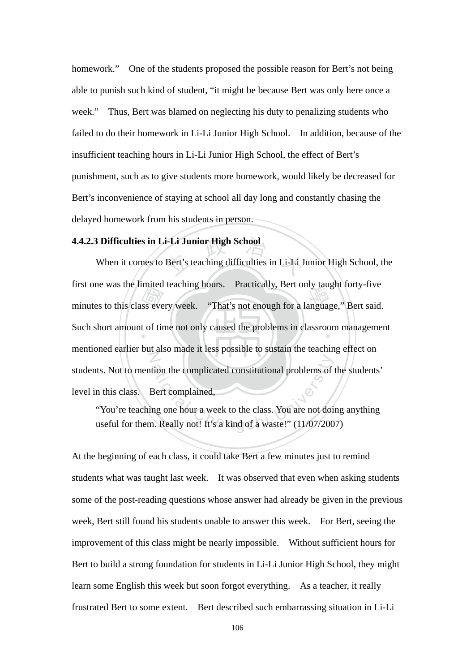homework." One of the students proposed the possible reason for Bert's not being able to punish such kind of student, "it might be because Bert was only here once a week." Thus, Bert was blamed on neglecting his duty to penalizing students who failed to do their homework in Li-Li Junior High School. In addition, because of the insufficient teaching hours in Li-Li Junior High School, the effect of Bert's punishment, such as to give students more homework, would likely be decreased for Bert's inconvenience of staying at school all day long and constantly chasing the delayed homework from his students in person.

# **4.4.2.3 Difficulties in Li-Li Junior High School**

minutes to this class every week. "That's not enough for a language," Bert said.<br>Such short amount of time not only caused the problems in classroom management i-Li Junior High School<br>Bert's teaching difficulties in Li-Li J Such short amount of time not only caused the problems in classroom management N ational Chengchi University Chengchi University Chengchi University Chengchi University Chengchi University Chengchi University Chengchi University Chengchi University Chengchi University Chengchi University Chengchi Unive When it comes to Bert's teaching difficulties in Li-Li Junior High School, the first one was the limited teaching hours. Practically, Bert only taught forty-five mentioned earlier but also made it less possible to sustain the teaching effect on students. Not to mention the complicated constitutional problems of the students' level in this class. Bert complained,

"You're teaching one hour a week to the class. You are not doing anything

At the beginning of each class, it could take Bert a few minutes just to remind students what was taught last week. It was observed that even when asking students some of the post-reading questions whose answer had already be given in the previous week, Bert still found his students unable to answer this week. For Bert, seeing the improvement of this class might be nearly impossible. Without sufficient hours for Bert to build a strong foundation for students in Li-Li Junior High School, they might learn some English this week but soon forgot everything. As a teacher, it really frustrated Bert to some extent. Bert described such embarrassing situation in Li-Li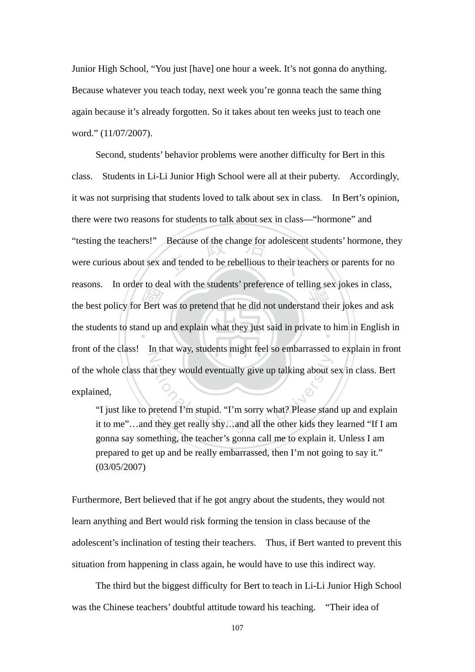Junior High School, "You just [have] one hour a week. It's not gonna do anything. Because whatever you teach today, next week you're gonna teach the same thing again because it's already forgotten. So it takes about ten weeks just to teach one word." (11/07/2007).

the best policy for Bert was to pretend that he did not understand their jokes and ask<br>the students to stand up and explain what they just said in private to him in English in "testing the teachers!" Because of the change for adolescent students' hormone, they<br>were curious about sex and tended to be rebellious to their teachers or parents for no the students to stand up and explain what they just said in private to him in English in N at they would eventually give up talking about s<br>
oretend I'm stupid. "I'm sorry what? Please stand<br>
I they get really shy...and all the other kids they Second, students' behavior problems were another difficulty for Bert in this class. Students in Li-Li Junior High School were all at their puberty. Accordingly, it was not surprising that students loved to talk about sex in class. In Bert's opinion, there were two reasons for students to talk about sex in class—"hormone" and were curious about sex and tended to be rebellious to their teachers or parents for no reasons. In order to deal with the students' preference of telling sex jokes in class, front of the class! In that way, students might feel so embarrassed to explain in front of the whole class that they would eventually give up talking about sex in class. Bert explained,

"I just like to pretend I'm stupid. "I'm sorry what? Please stand up and explain it to me"…and they get really shy…and all the other kids they learned "If I am gonna say something, the teacher's gonna call me to explain it. Unless I am prepared to get up and be really embarrassed, then I'm not going to say it." (03/05/2007)

Furthermore, Bert believed that if he got angry about the students, they would not learn anything and Bert would risk forming the tension in class because of the adolescent's inclination of testing their teachers. Thus, if Bert wanted to prevent this situation from happening in class again, he would have to use this indirect way.

 The third but the biggest difficulty for Bert to teach in Li-Li Junior High School was the Chinese teachers' doubtful attitude toward his teaching. "Their idea of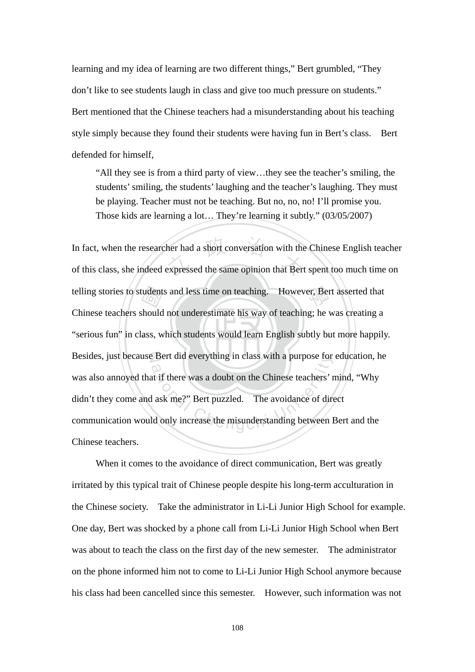learning and my idea of learning are two different things," Bert grumbled, "They don't like to see students laugh in class and give too much pressure on students." Bert mentioned that the Chinese teachers had a misunderstanding about his teaching style simply because they found their students were having fun in Bert's class. Bert defended for himself,

"All they see is from a third party of view…they see the teacher's smiling, the students' smiling, the students' laughing and the teacher's laughing. They must be playing. Teacher must not be teaching. But no, no, no! I'll promise you. Those kids are learning a lot… They're learning it subtly." (03/05/2007)

"serious fun" in class, which students would learn English subtly but more happily. telling stories to students and less time on teaching. However, Bert asserted that<br>Chinese teachers should not underestimate his way of teaching; he was creating a<br>"serious fun" in class, which students would learn English her had a short conversation with the<br>expressed the same opinion that Bert N Besides, just because Bert did everything in class with a purpose for education, he Bert did everything in class with a purpose for<br>at if there was a doubt on the Chinese teachers' r<br>d ask me?" Bert puzzled. The avoidance of directed<br>and only increase the misunderstanding between I In fact, when the researcher had a short conversation with the Chinese English teacher of this class, she indeed expressed the same opinion that Bert spent too much time on Chinese teachers should not underestimate his way of teaching; he was creating a was also annoyed that if there was a doubt on the Chinese teachers' mind, "Why didn't they come and ask me?" Bert puzzled. The avoidance of direct communication would only increase the misunderstanding between Bert and the Chinese teachers.

 When it comes to the avoidance of direct communication, Bert was greatly irritated by this typical trait of Chinese people despite his long-term acculturation in the Chinese society. Take the administrator in Li-Li Junior High School for example. One day, Bert was shocked by a phone call from Li-Li Junior High School when Bert was about to teach the class on the first day of the new semester. The administrator on the phone informed him not to come to Li-Li Junior High School anymore because his class had been cancelled since this semester. However, such information was not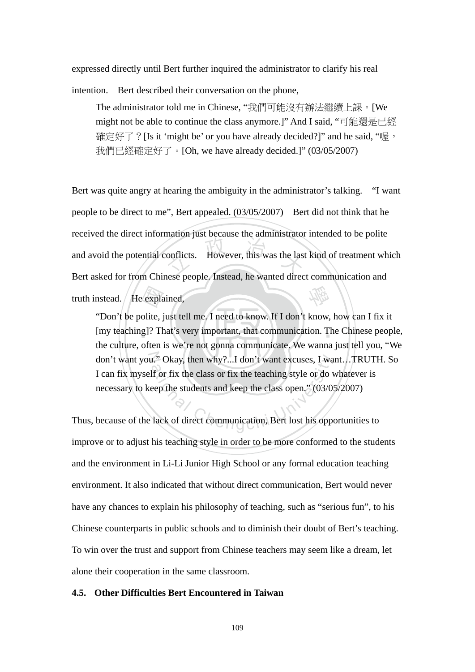expressed directly until Bert further inquired the administrator to clarify his real

intention. Bert described their conversation on the phone,

The administrator told me in Chinese, "我們可能沒有辦法繼續上課。[We might not be able to continue the class anymore.]" And I said, "可能還是已經 確定好了? [Is it 'might be' or you have already decided?]" and he said, "喔, 我們已經確定好了。[Oh, we have already decided.]" (03/05/2007)

onflicts. However, this was the last<br>
and a procedure the world direction 學 Bert was quite angry at hearing the ambiguity in the administrator's talking. "I want people to be direct to me", Bert appealed. (03/05/2007) Bert did not think that he received the direct information just because the administrator intended to be polite and avoid the potential conflicts. However, this was the last kind of treatment which Bert asked for from Chinese people. Instead, he wanted direct communication and truth instead. He explained,

‧expla<br>olite, j<br>g]? Th [my teaching]? That's very important, that communication. The Chinese people, don't want you." Okay, then why?...I don't want excuses, I want...TRUTH. So ative Okay, then why?...I don't want excuses, I want of or fix the class or fix the teaching style or do where the students and keep the class open." (03/0).<br>Let us and keep the class open." (03/0).<br>Let us direct communica "Don't be polite, just tell me. I need to know. If I don't know, how can I fix it the culture, often is we're not gonna communicate. We wanna just tell you, "We I can fix myself or fix the class or fix the teaching style or do whatever is necessary to keep the students and keep the class open." (03/05/2007)

Thus, because of the lack of direct communication, Bert lost his opportunities to improve or to adjust his teaching style in order to be more conformed to the students and the environment in Li-Li Junior High School or any formal education teaching environment. It also indicated that without direct communication, Bert would never have any chances to explain his philosophy of teaching, such as "serious fun", to his Chinese counterparts in public schools and to diminish their doubt of Bert's teaching. To win over the trust and support from Chinese teachers may seem like a dream, let alone their cooperation in the same classroom.

### **4.5. Other Difficulties Bert Encountered in Taiwan**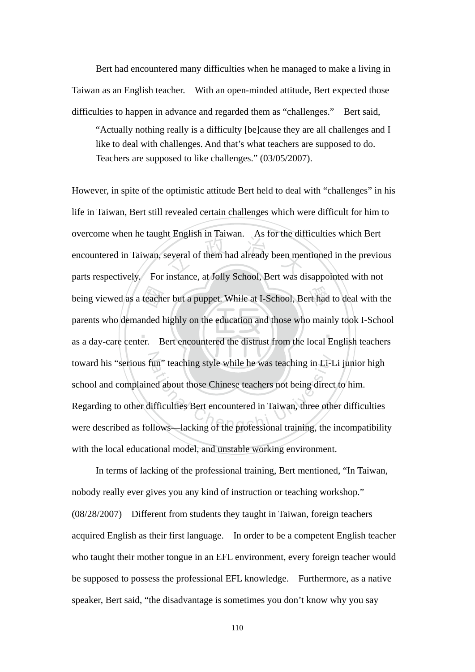Bert had encountered many difficulties when he managed to make a living in Taiwan as an English teacher. With an open-minded attitude, Bert expected those difficulties to happen in advance and regarded them as "challenges." Bert said,

"Actually nothing really is a difficulty [be]cause they are all challenges and I like to deal with challenges. And that's what teachers are supposed to do. Teachers are supposed to like challenges." (03/05/2007).

 $\mathcal{L}$  ,  $\mathcal{L}$  ,  $\mathcal{L}$  ,  $\mathcal{L}$  ,  $\mathcal{L}$ being viewed as a teacher but a puppet. While at I-School, Bert had to deal with the parents who demanded highly on the education and those who mainly took I-School as a day-care center. Bert encountered the distrust from English in Talwan. This for the dirt<br>several of them had already been mer toward his "serious fun" teaching style while he was teaching in Li-Li junior high toward his "serious fun" teaching style while he was teaching in Li-Li junior high<br>school and complained about those Chinese teachers not being direct to him.<br>Regarding to other difficulties Bert encountered in Taiwan, thr However, in spite of the optimistic attitude Bert held to deal with "challenges" in his life in Taiwan, Bert still revealed certain challenges which were difficult for him to overcome when he taught English in Taiwan. As for the difficulties which Bert encountered in Taiwan, several of them had already been mentioned in the previous parts respectively. For instance, at Jolly School, Bert was disappointed with not parents who demanded highly on the education and those who mainly took I-School as a day-care center. Bert encountered the distrust from the local English teachers school and complained about those Chinese teachers not being direct to him. Regarding to other difficulties Bert encountered in Taiwan, three other difficulties with the local educational model, and unstable working environment.

In terms of lacking of the professional training, Bert mentioned, "In Taiwan, nobody really ever gives you any kind of instruction or teaching workshop." (08/28/2007) Different from students they taught in Taiwan, foreign teachers acquired English as their first language. In order to be a competent English teacher who taught their mother tongue in an EFL environment, every foreign teacher would be supposed to possess the professional EFL knowledge. Furthermore, as a native speaker, Bert said, "the disadvantage is sometimes you don't know why you say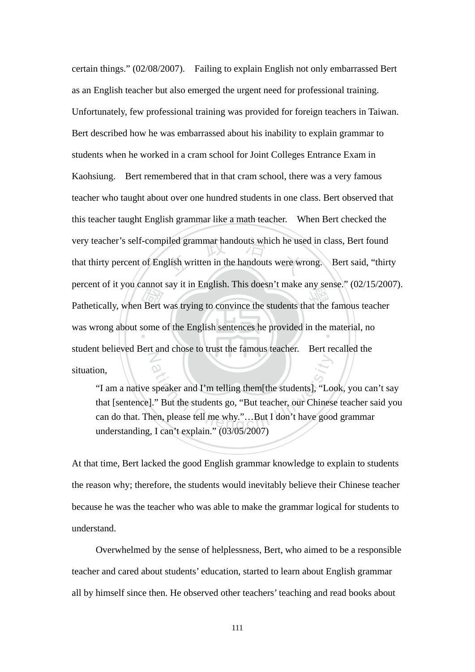Pathetically, when Bert was trying to convince the students that the famous teacher<br>was wrong about some of the English sentences he provided in the material, no iled grammar handouts which he use<br>glish written in the handouts were wr was wrong about some of the English sentences he provided in the material, no N certain things." (02/08/2007). Failing to explain English not only embarrassed Bert as an English teacher but also emerged the urgent need for professional training. Unfortunately, few professional training was provided for foreign teachers in Taiwan. Bert described how he was embarrassed about his inability to explain grammar to students when he worked in a cram school for Joint Colleges Entrance Exam in Kaohsiung. Bert remembered that in that cram school, there was a very famous teacher who taught about over one hundred students in one class. Bert observed that this teacher taught English grammar like a math teacher. When Bert checked the very teacher's self-compiled grammar handouts which he used in class, Bert found that thirty percent of English written in the handouts were wrong. Bert said, "thirty percent of it you cannot say it in English. This doesn't make any sense." (02/15/2007). student believed Bert and chose to trust the famous teacher. Bert recalled the situation,

speaker and I'm telling them[the students], "Lo<br>
"But the students go, "But teacher, our Chines<br>
en, please tell me why."...But I don't have good<br>
Lean't explain " (03/05/2007) "I am a native speaker and I'm telling them[the students], "Look, you can't say that [sentence]." But the students go, "But teacher, our Chinese teacher said you can do that. Then, please tell me why."…But I don't have good grammar understanding, I can't explain." (03/05/2007)

At that time, Bert lacked the good English grammar knowledge to explain to students the reason why; therefore, the students would inevitably believe their Chinese teacher because he was the teacher who was able to make the grammar logical for students to understand.

Overwhelmed by the sense of helplessness, Bert, who aimed to be a responsible teacher and cared about students' education, started to learn about English grammar all by himself since then. He observed other teachers' teaching and read books about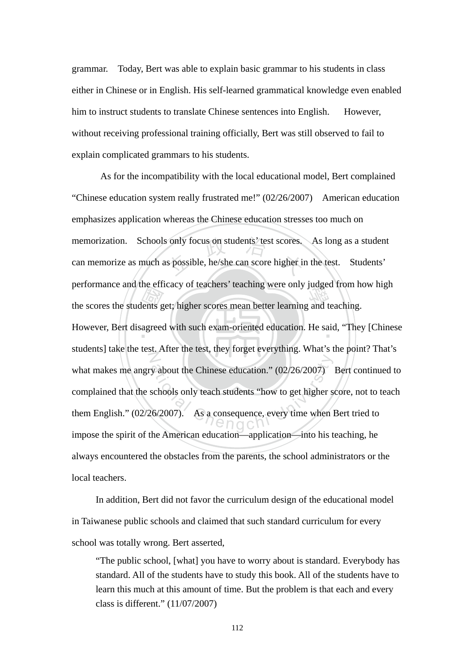grammar. Today, Bert was able to explain basic grammar to his students in class either in Chinese or in English. His self-learned grammatical knowledge even enabled him to instruct students to translate Chinese sentences into English. However, without receiving professional training officially, Bert was still observed to fail to explain complicated grammars to his students.

performance and the efficacy of teachers teaching were only judged from he<br>the scores the students get; higher scores mean better learning and teaching.<br>However, Bert disagreed with such exam-oriented education. He said, " memorization. Schools only focus on students' test scores. As long as a student<br>can memorize as much as possible, he/she can score higher in the test. Students' However, Bert disagreed with such exam-oriented education. He said, "They [Chinese N y about the Chinese education."  $(02/26/2007)$ <br>schools only teach students "how to get higher s<br>.6/2007). As a consequence, every time when l As for the incompatibility with the local educational model, Bert complained "Chinese education system really frustrated me!" (02/26/2007) American education emphasizes application whereas the Chinese education stresses too much on can memorize as much as possible, he/she can score higher in the test. Students' performance and the efficacy of teachers' teaching were only judged from how high students] take the test. After the test, they forget everything. What's the point? That's what makes me angry about the Chinese education." (02/26/2007) Bert continued to complained that the schools only teach students "how to get higher score, not to teach them English." (02/26/2007). As a consequence, every time when Bert tried to impose the spirit of the American education—application—into his teaching, he always encountered the obstacles from the parents, the school administrators or the local teachers.

In addition, Bert did not favor the curriculum design of the educational model in Taiwanese public schools and claimed that such standard curriculum for every school was totally wrong. Bert asserted,

"The public school, [what] you have to worry about is standard. Everybody has standard. All of the students have to study this book. All of the students have to learn this much at this amount of time. But the problem is that each and every class is different." (11/07/2007)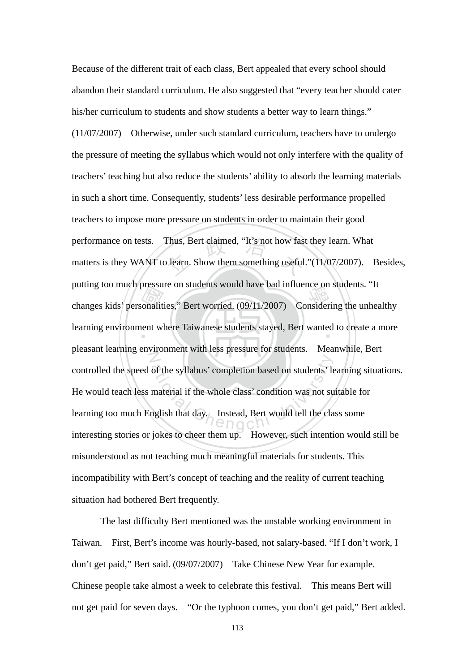putting too interipressure on students would have bad infidence on students. It<br>changes kids' personalities," Bert worried. (09/11/2007) Considering the unhealthy<br>learning environment where Taiwanese students stayed, Bert performance on tests. Thus, Bert claimed, "It's not how fast they learn. What matters is they WANT to learn. Show them something useful."(11/07/2007). learning environment where Taiwanese students stayed, Bert wanted to create a more  $Z$ of the syllabus' completion based on students' le<br>material if the whole class' condition was not su<br>nglish that day.<br>Instead, Bert would tell the cla Because of the different trait of each class, Bert appealed that every school should abandon their standard curriculum. He also suggested that "every teacher should cater his/her curriculum to students and show students a better way to learn things." (11/07/2007) Otherwise, under such standard curriculum, teachers have to undergo the pressure of meeting the syllabus which would not only interfere with the quality of teachers' teaching but also reduce the students' ability to absorb the learning materials in such a short time. Consequently, students' less desirable performance propelled teachers to impose more pressure on students in order to maintain their good matters is they WANT to learn. Show them something useful."(11/07/2007). Besides, putting too much pressure on students would have bad influence on students. "It pleasant learning environment with less pressure for students. Meanwhile, Bert controlled the speed of the syllabus' completion based on students' learning situations. He would teach less material if the whole class' condition was not suitable for learning too much English that day. Instead, Bert would tell the class some interesting stories or jokes to cheer them up. However, such intention would still be misunderstood as not teaching much meaningful materials for students. This incompatibility with Bert's concept of teaching and the reality of current teaching situation had bothered Bert frequently.

 The last difficulty Bert mentioned was the unstable working environment in Taiwan. First, Bert's income was hourly-based, not salary-based. "If I don't work, I don't get paid," Bert said. (09/07/2007) Take Chinese New Year for example. Chinese people take almost a week to celebrate this festival. This means Bert will not get paid for seven days. "Or the typhoon comes, you don't get paid," Bert added.

113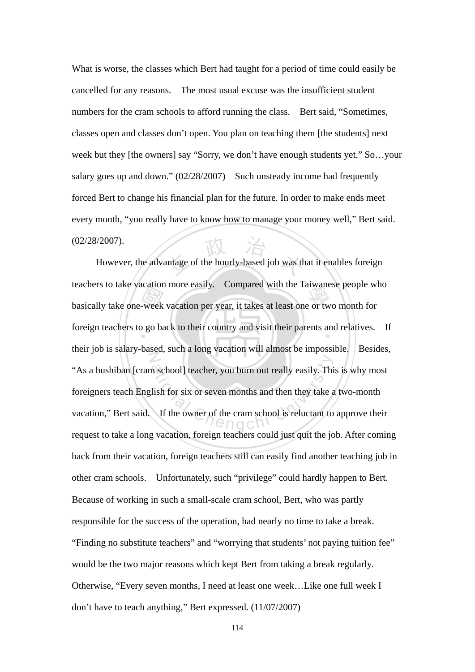What is worse, the classes which Bert had taught for a period of time could easily be cancelled for any reasons. The most usual excuse was the insufficient student numbers for the cram schools to afford running the class. Bert said, "Sometimes, classes open and classes don't open. You plan on teaching them [the students] next week but they [the owners] say "Sorry, we don't have enough students yet." So…your salary goes up and down." (02/28/2007) Such unsteady income had frequently forced Bert to change his financial plan for the future. In order to make ends meet every month, "you really have to know how to manage your money well," Bert said. (02/28/2007).

basically take one-week vacation per year, it takes at least one or two month for<br>foreign teachers to go back to their country and visit their parents and relatives. antage of the hourly-based job was the foreign teachers to go back to their country and visit their parents and relatives. If N ational Euclidean Chengchi University<br>
School Just and the University of the cram school is reluctant to<br>
If the owner of the cram school is reluctant to<br>  $\bigcap_{n=0}^{\infty}$  However, the advantage of the hourly-based job was that it enables foreign teachers to take vacation more easily. Compared with the Taiwanese people who their job is salary-based, such a long vacation will almost be impossible. Besides, "As a bushiban [cram school] teacher, you burn out really easily. This is why most foreigners teach English for six or seven months and then they take a two-month vacation," Bert said. If the owner of the cram school is reluctant to approve their request to take a long vacation, foreign teachers could just quit the job. After coming back from their vacation, foreign teachers still can easily find another teaching job in other cram schools. Unfortunately, such "privilege" could hardly happen to Bert. Because of working in such a small-scale cram school, Bert, who was partly responsible for the success of the operation, had nearly no time to take a break. "Finding no substitute teachers" and "worrying that students' not paying tuition fee" would be the two major reasons which kept Bert from taking a break regularly. Otherwise, "Every seven months, I need at least one week…Like one full week I don't have to teach anything," Bert expressed. (11/07/2007)

114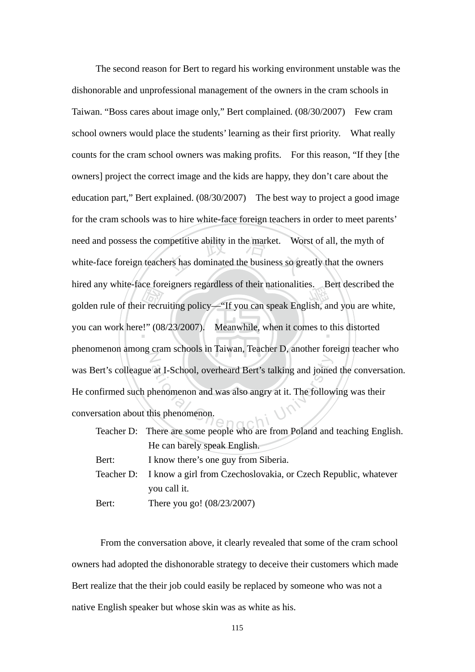med any while-race foreigners regardless of their hationalities. Bert described the<br>golden rule of their recruiting policy—"If you can speak English, and you are white,<br>you can work here!" (08/23/2007). Meanwhile, when it need and possess the competitive ability in the market. Worst of all, the myth of white-face foreign teachers has dominated the business so greatly that the owners you can work here!" (08/23/2007). Meanwhile, when it comes to this distorted  $\mathbb{Z}$ at I-School, overheard Bert's talking and joined<br>
benomenon and was also angry at it. The follow<br>
his phenomenon. The second reason for Bert to regard his working environment unstable was the dishonorable and unprofessional management of the owners in the cram schools in Taiwan. "Boss cares about image only," Bert complained. (08/30/2007) Few cram school owners would place the students' learning as their first priority. What really counts for the cram school owners was making profits. For this reason, "If they [the owners] project the correct image and the kids are happy, they don't care about the education part," Bert explained. (08/30/2007) The best way to project a good image for the cram schools was to hire white-face foreign teachers in order to meet parents' white-face foreign teachers has dominated the business so greatly that the owners hired any white-face foreigners regardless of their nationalities. Bert described the phenomenon among cram schools in Taiwan, Teacher D, another foreign teacher who was Bert's colleague at I-School, overheard Bert's talking and joined the conversation. He confirmed such phenomenon and was also angry at it. The following was their conversation about this phenomenon.

|       | Teacher D: There are some people who are from Poland and teaching English. |
|-------|----------------------------------------------------------------------------|
|       | He can barely speak English.                                               |
| Bert: | I know there's one guy from Siberia.                                       |
|       | Teacher D: I know a girl from Czechoslovakia, or Czech Republic, whatever  |
|       | you call it.                                                               |
| Bert: | There you go! $(08/23/2007)$                                               |

From the conversation above, it clearly revealed that some of the cram school owners had adopted the dishonorable strategy to deceive their customers which made Bert realize that the their job could easily be replaced by someone who was not a native English speaker but whose skin was as white as his.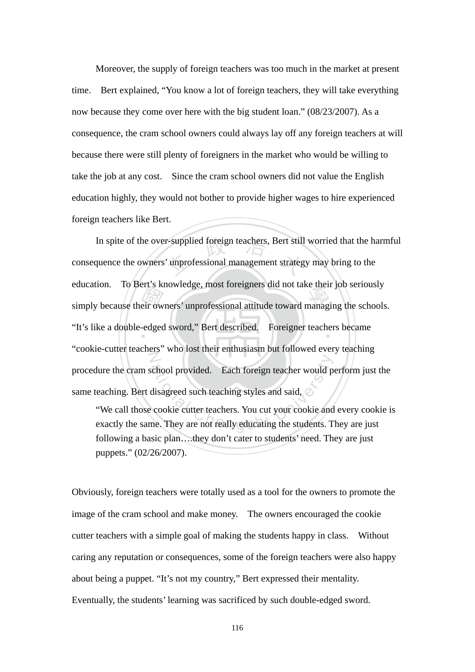Moreover, the supply of foreign teachers was too much in the market at present time. Bert explained, "You know a lot of foreign teachers, they will take everything now because they come over here with the big student loan." (08/23/2007). As a consequence, the cram school owners could always lay off any foreign teachers at will because there were still plenty of foreigners in the market who would be willing to take the job at any cost. Since the cram school owners did not value the English education highly, they would not bother to provide higher wages to hire experienced foreign teachers like Bert.

education. To be it's knowledge, most foreigners did not take their job seriously<br>simply because their owners' unprofessional attitude toward managing the schools.<br>"It's like a double-edged sword," Bert described. Foreigne In spite of the over-supplied foreign teachers, Bert still worried that the harmful<br>consequence the owners' unprofessional management strategy may bring to the ‧ "It's like a double-edged sword," Bert described. Foreigner teachers became N chool provided. Each foreign teacher would p<br>disagreed such teaching styles and said,<br>cookie cutter teachers. You cut your cookie and<br>me. They are not really educating the students. T consequence the owners' unprofessional management strategy may bring to the education. To Bert's knowledge, most foreigners did not take their job seriously "cookie-cutter teachers" who lost their enthusiasm but followed every teaching procedure the cram school provided. Each foreign teacher would perform just the same teaching. Bert disagreed such teaching styles and said,  $\oslash$ 

"We call those cookie cutter teachers. You cut your cookie and every cookie is exactly the same. They are not really educating the students. They are just following a basic plan….they don't cater to students' need. They are just puppets." (02/26/2007).

Obviously, foreign teachers were totally used as a tool for the owners to promote the image of the cram school and make money. The owners encouraged the cookie cutter teachers with a simple goal of making the students happy in class. Without caring any reputation or consequences, some of the foreign teachers were also happy about being a puppet. "It's not my country," Bert expressed their mentality. Eventually, the students' learning was sacrificed by such double-edged sword.